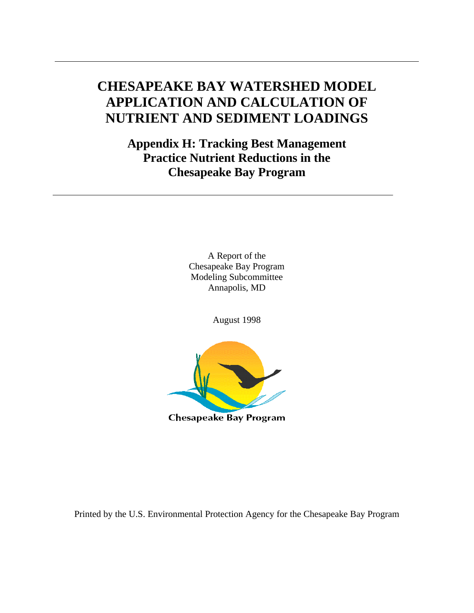# **CHESAPEAKE BAY WATERSHED MODEL APPLICATION AND CALCULATION OF NUTRIENT AND SEDIMENT LOADINGS**

**Appendix H: Tracking Best Management Practice Nutrient Reductions in the Chesapeake Bay Program**

> A Report of the Chesapeake Bay Program Modeling Subcommittee Annapolis, MD

> > August 1998



Printed by the U.S. Environmental Protection Agency for the Chesapeake Bay Program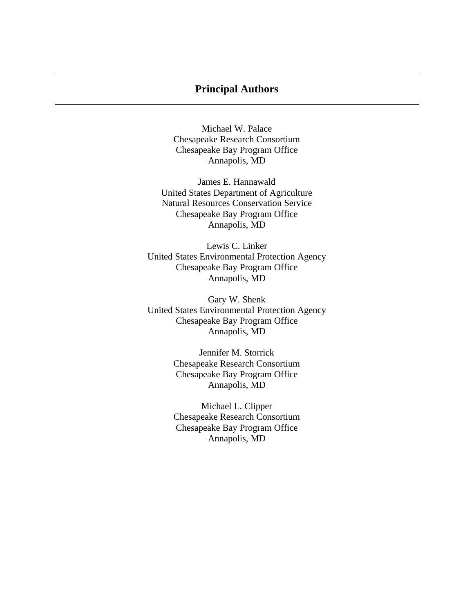### **Principal Authors**

Michael W. Palace Chesapeake Research Consortium Chesapeake Bay Program Office Annapolis, MD

James E. Hannawald United States Department of Agriculture Natural Resources Conservation Service Chesapeake Bay Program Office Annapolis, MD

Lewis C. Linker United States Environmental Protection Agency Chesapeake Bay Program Office Annapolis, MD

Gary W. Shenk United States Environmental Protection Agency Chesapeake Bay Program Office Annapolis, MD

> Jennifer M. Storrick Chesapeake Research Consortium Chesapeake Bay Program Office Annapolis, MD

> Michael L. Clipper Chesapeake Research Consortium Chesapeake Bay Program Office Annapolis, MD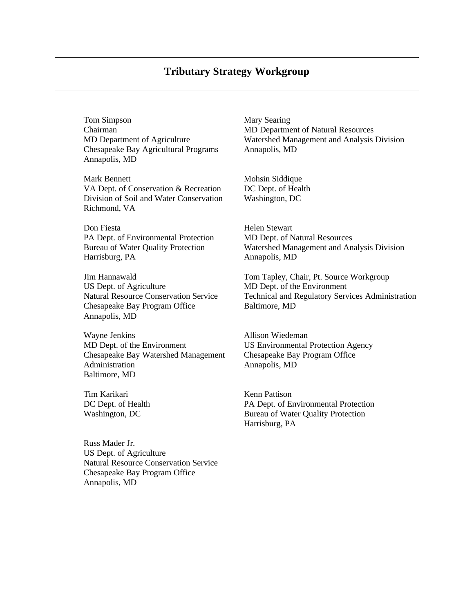Tom Simpson Mary Searing Chairman MD Department of Natural Resources Chesapeake Bay Agricultural Programs Annapolis, MD Annapolis, MD

Mark Bennett Mohsin Siddique VA Dept. of Conservation & Recreation DC Dept. of Health Division of Soil and Water Conservation Washington, DC Richmond, VA

Don Fiesta **Helen Stewart** PA Dept. of Environmental Protection MD Dept. of Natural Resources Harrisburg, PA Annapolis, MD

US Dept. of Agriculture MD Dept. of the Environment Chesapeake Bay Program Office Baltimore, MD Annapolis, MD

Wayne Jenkins **Allison Wiedeman** MD Dept. of the Environment US Environmental Protection Agency Chesapeake Bay Watershed Management Chesapeake Bay Program Office Administration Annapolis, MD Baltimore, MD

Tim Karikari **Kenn Pattison** 

Russ Mader Jr. US Dept. of Agriculture Natural Resource Conservation Service Chesapeake Bay Program Office Annapolis, MD

MD Department of Agriculture Watershed Management and Analysis Division

Bureau of Water Quality Protection Watershed Management and Analysis Division

Jim Hannawald Tom Tapley, Chair, Pt. Source Workgroup Natural Resource Conservation Service Technical and Regulatory Services Administration

DC Dept. of Health PA Dept. of Environmental Protection Washington, DC Bureau of Water Quality Protection Harrisburg, PA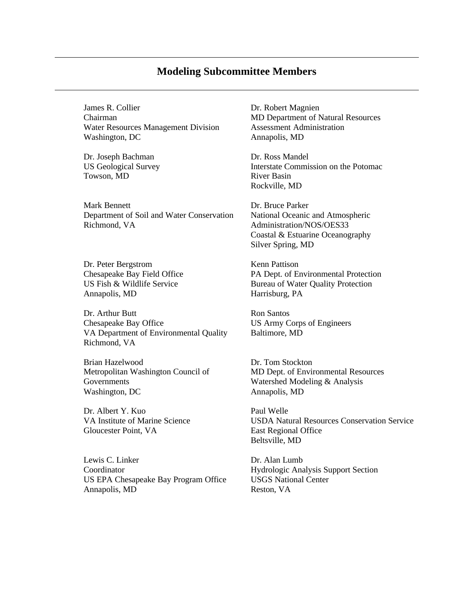### **Modeling Subcommittee Members**

James R. Collier Dr. Robert Magnien Chairman MD Department of Natural Resources Water Resources Management Division Assessment Administration Washington, DC Annapolis, MD

Dr. Joseph Bachman Dr. Ross Mandel Towson, MD River Basin

Mark Bennett Dr. Bruce Parker Department of Soil and Water Conservation National Oceanic and Atmospheric Richmond, VA Administration/NOS/OES33

Dr. Peter Bergstrom Kenn Pattison Annapolis, MD Harrisburg, PA

Dr. Arthur Butt Ron Santos Chesapeake Bay Office US Army Corps of Engineers VA Department of Environmental Quality Baltimore, MD Richmond, VA

Brian Hazelwood Dr. Tom Stockton Governments Watershed Modeling & Analysis Washington, DC Annapolis, MD

Dr. Albert Y. Kuo Paul Welle Gloucester Point, VA East Regional Office

Lewis C. Linker Dr. Alan Lumb Coordinator Hydrologic Analysis Support Section US EPA Chesapeake Bay Program Office USGS National Center Annapolis, MD Reston, VA

US Geological Survey **Interstate Commission on the Potomac** Rockville, MD

> Coastal & Estuarine Oceanography Silver Spring, MD

Chesapeake Bay Field Office PA Dept. of Environmental Protection US Fish & Wildlife Service Bureau of Water Quality Protection

Metropolitan Washington Council of MD Dept. of Environmental Resources

VA Institute of Marine Science USDA Natural Resources Conservation Service Beltsville, MD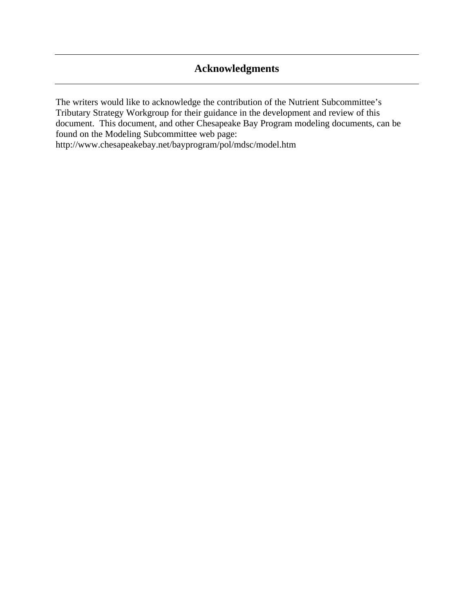# **Acknowledgments**

The writers would like to acknowledge the contribution of the Nutrient Subcommittee's Tributary Strategy Workgroup for their guidance in the development and review of this document. This document, and other Chesapeake Bay Program modeling documents, can be found on the Modeling Subcommittee web page:

http://www.chesapeakebay.net/bayprogram/pol/mdsc/model.htm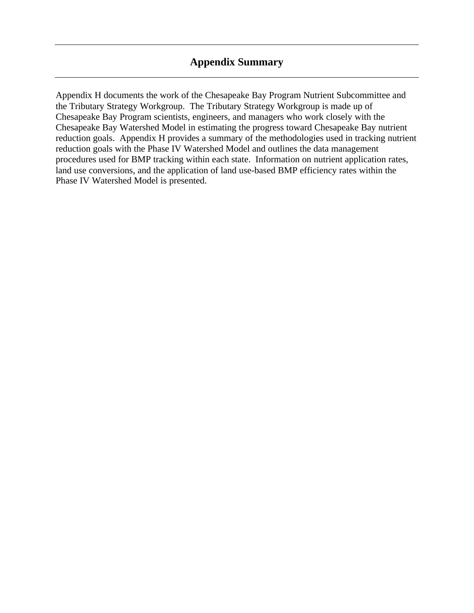### **Appendix Summary**

Appendix H documents the work of the Chesapeake Bay Program Nutrient Subcommittee and the Tributary Strategy Workgroup. The Tributary Strategy Workgroup is made up of Chesapeake Bay Program scientists, engineers, and managers who work closely with the Chesapeake Bay Watershed Model in estimating the progress toward Chesapeake Bay nutrient reduction goals. Appendix H provides a summary of the methodologies used in tracking nutrient reduction goals with the Phase IV Watershed Model and outlines the data management procedures used for BMP tracking within each state. Information on nutrient application rates, land use conversions, and the application of land use-based BMP efficiency rates within the Phase IV Watershed Model is presented.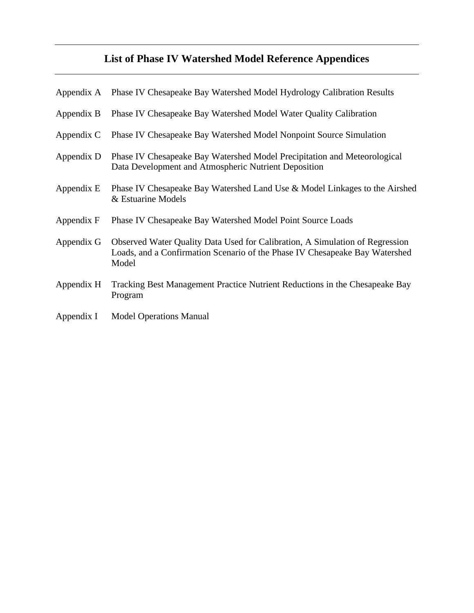# **List of Phase IV Watershed Model Reference Appendices**

| Appendix A | Phase IV Chesapeake Bay Watershed Model Hydrology Calibration Results                                                                                                |
|------------|----------------------------------------------------------------------------------------------------------------------------------------------------------------------|
| Appendix B | Phase IV Chesapeake Bay Watershed Model Water Quality Calibration                                                                                                    |
| Appendix C | Phase IV Chesapeake Bay Watershed Model Nonpoint Source Simulation                                                                                                   |
| Appendix D | Phase IV Chesapeake Bay Watershed Model Precipitation and Meteorological<br>Data Development and Atmospheric Nutrient Deposition                                     |
| Appendix E | Phase IV Chesapeake Bay Watershed Land Use & Model Linkages to the Airshed<br>& Estuarine Models                                                                     |
| Appendix F | Phase IV Chesapeake Bay Watershed Model Point Source Loads                                                                                                           |
| Appendix G | Observed Water Quality Data Used for Calibration, A Simulation of Regression<br>Loads, and a Confirmation Scenario of the Phase IV Chesapeake Bay Watershed<br>Model |
| Appendix H | Tracking Best Management Practice Nutrient Reductions in the Chesapeake Bay<br>Program                                                                               |
| Appendix I | <b>Model Operations Manual</b>                                                                                                                                       |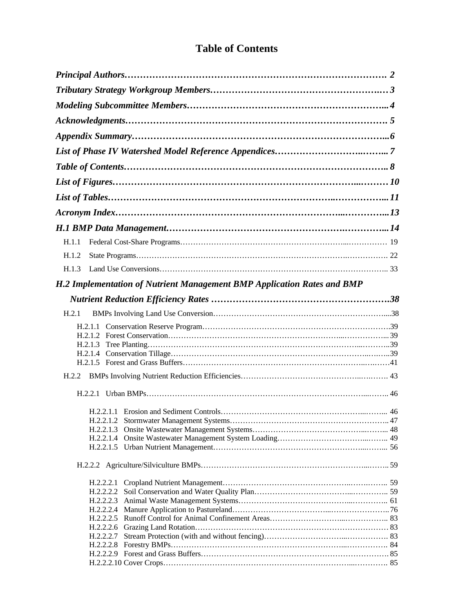## **Table of Contents**

| H.1.1                                                                   |  |
|-------------------------------------------------------------------------|--|
|                                                                         |  |
| H.1.2                                                                   |  |
| H.1.3                                                                   |  |
| H.2 Implementation of Nutrient Management BMP Application Rates and BMP |  |
|                                                                         |  |
| H.2.1                                                                   |  |
|                                                                         |  |
|                                                                         |  |
|                                                                         |  |
|                                                                         |  |
|                                                                         |  |
|                                                                         |  |
|                                                                         |  |
|                                                                         |  |
|                                                                         |  |
|                                                                         |  |
|                                                                         |  |
|                                                                         |  |
|                                                                         |  |
|                                                                         |  |
|                                                                         |  |
| H.2.2.2.3                                                               |  |
|                                                                         |  |
|                                                                         |  |
|                                                                         |  |
|                                                                         |  |
|                                                                         |  |
|                                                                         |  |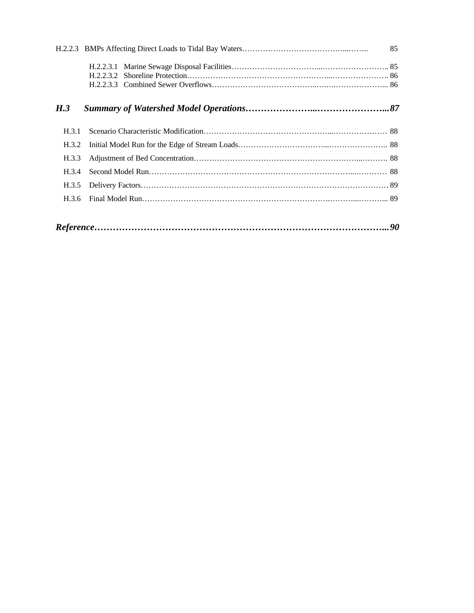|       | - 85 |
|-------|------|
|       |      |
| H.3   |      |
| H.3.1 |      |
| H.3.2 |      |
| H.3.3 |      |
| H.3.4 |      |
| H.3.5 |      |
| H.3.6 |      |
|       |      |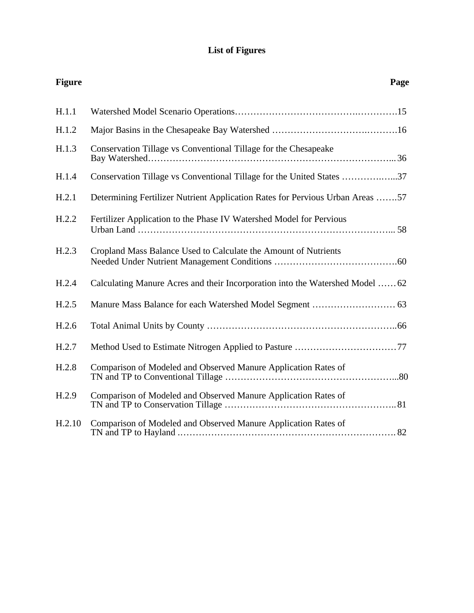### **List of Figures**

| <b>Figure</b> |                                                                               | Page |
|---------------|-------------------------------------------------------------------------------|------|
| H.1.1         |                                                                               |      |
| H.1.2         |                                                                               |      |
| H.1.3         | Conservation Tillage vs Conventional Tillage for the Chesapeake               |      |
| H.1.4         | Conservation Tillage vs Conventional Tillage for the United States 37         |      |
| H.2.1         | Determining Fertilizer Nutrient Application Rates for Pervious Urban Areas 57 |      |
| H.2.2         | Fertilizer Application to the Phase IV Watershed Model for Pervious           |      |
| H.2.3         | Cropland Mass Balance Used to Calculate the Amount of Nutrients               |      |
| H.2.4         | Calculating Manure Acres and their Incorporation into the Watershed Model  62 |      |
| H.2.5         |                                                                               |      |
| H.2.6         |                                                                               |      |
| H.2.7         |                                                                               |      |
| H.2.8         | Comparison of Modeled and Observed Manure Application Rates of                |      |
| H.2.9         | Comparison of Modeled and Observed Manure Application Rates of                |      |
| H.2.10        | Comparison of Modeled and Observed Manure Application Rates of                |      |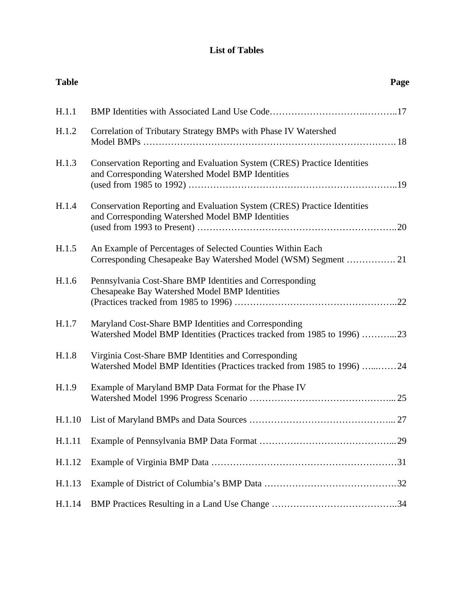### **List of Tables**

| <b>Table</b> |                                                                                                                                 | Page |
|--------------|---------------------------------------------------------------------------------------------------------------------------------|------|
| H.1.1        |                                                                                                                                 |      |
| H.1.2        | Correlation of Tributary Strategy BMPs with Phase IV Watershed                                                                  |      |
| H.1.3        | Conservation Reporting and Evaluation System (CRES) Practice Identities<br>and Corresponding Watershed Model BMP Identities     |      |
| H.1.4        | Conservation Reporting and Evaluation System (CRES) Practice Identities<br>and Corresponding Watershed Model BMP Identities     |      |
| H.1.5        | An Example of Percentages of Selected Counties Within Each<br>Corresponding Chesapeake Bay Watershed Model (WSM) Segment  21    |      |
| H.1.6        | Pennsylvania Cost-Share BMP Identities and Corresponding<br>Chesapeake Bay Watershed Model BMP Identities                       |      |
| H.1.7        | Maryland Cost-Share BMP Identities and Corresponding<br>Watershed Model BMP Identities (Practices tracked from 1985 to 1996) 23 |      |
| H.1.8        | Virginia Cost-Share BMP Identities and Corresponding<br>Watershed Model BMP Identities (Practices tracked from 1985 to 1996) 24 |      |
| H.1.9        | Example of Maryland BMP Data Format for the Phase IV                                                                            |      |
|              |                                                                                                                                 | 27   |
| H.1.11       |                                                                                                                                 |      |
| H.1.12       |                                                                                                                                 |      |
| H.1.13       |                                                                                                                                 |      |
| H.1.14       |                                                                                                                                 |      |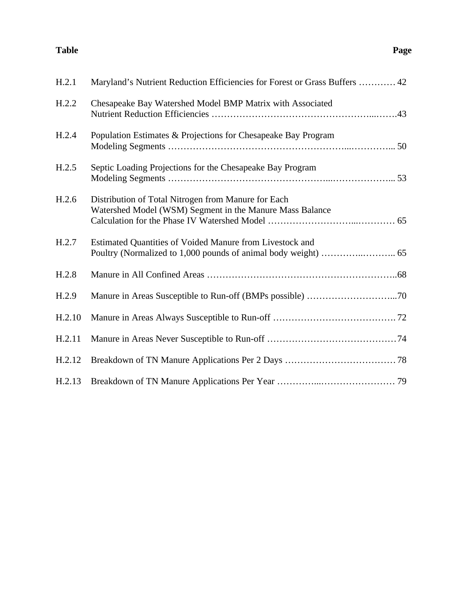#### **Table** Page

| H.2.1  | Maryland's Nutrient Reduction Efficiencies for Forest or Grass Buffers  42                                      |
|--------|-----------------------------------------------------------------------------------------------------------------|
| H.2.2  | Chesapeake Bay Watershed Model BMP Matrix with Associated                                                       |
| H.2.4  | Population Estimates & Projections for Chesapeake Bay Program                                                   |
| H.2.5  | Septic Loading Projections for the Chesapeake Bay Program                                                       |
| H.2.6  | Distribution of Total Nitrogen from Manure for Each<br>Watershed Model (WSM) Segment in the Manure Mass Balance |
| H.2.7  | Estimated Quantities of Voided Manure from Livestock and                                                        |
| H.2.8  |                                                                                                                 |
| H.2.9  |                                                                                                                 |
| H.2.10 |                                                                                                                 |
| H.2.11 |                                                                                                                 |
| H.2.12 |                                                                                                                 |
| H.2.13 |                                                                                                                 |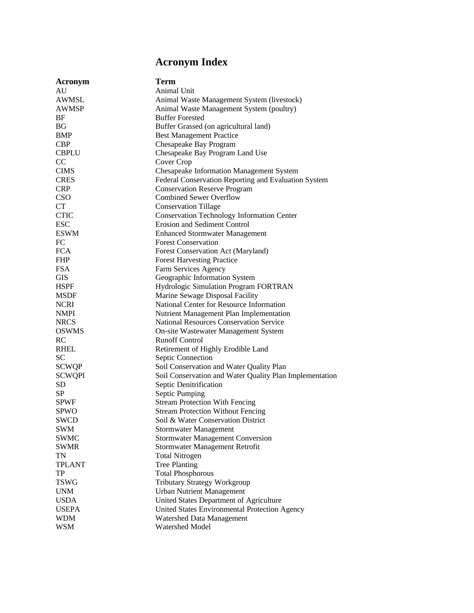# **Acronym Index**

| Acronym             | <b>Term</b>                                             |
|---------------------|---------------------------------------------------------|
| AU                  | Animal Unit                                             |
| <b>AWMSL</b>        | Animal Waste Management System (livestock)              |
| <b>AWMSP</b>        | Animal Waste Management System (poultry)                |
| BF                  | <b>Buffer Forested</b>                                  |
| <b>BG</b>           | Buffer Grassed (on agricultural land)                   |
| <b>BMP</b>          | <b>Best Management Practice</b>                         |
| <b>CBP</b>          | Chesapeake Bay Program                                  |
| <b>CBPLU</b>        | Chesapeake Bay Program Land Use                         |
| CC                  | Cover Crop                                              |
| <b>CIMS</b>         | Chesapeake Information Management System                |
| <b>CRES</b>         | Federal Conservation Reporting and Evaluation System    |
| <b>CRP</b>          | <b>Conservation Reserve Program</b>                     |
| CSO                 | <b>Combined Sewer Overflow</b>                          |
| CT                  | <b>Conservation Tillage</b>                             |
| <b>CTIC</b>         | <b>Conservation Technology Information Center</b>       |
| <b>ESC</b>          | <b>Erosion and Sediment Control</b>                     |
| <b>ESWM</b>         | <b>Enhanced Stormwater Management</b>                   |
| FC                  | <b>Forest Conservation</b>                              |
| <b>FCA</b>          | Forest Conservation Act (Maryland)                      |
| <b>FHP</b>          | <b>Forest Harvesting Practice</b>                       |
| <b>FSA</b>          | Farm Services Agency                                    |
| <b>GIS</b>          | Geographic Information System                           |
| <b>HSPF</b>         | Hydrologic Simulation Program FORTRAN                   |
| <b>MSDF</b>         | Marine Sewage Disposal Facility                         |
| <b>NCRI</b>         | National Center for Resource Information                |
| <b>NMPI</b>         | Nutrient Management Plan Implementation                 |
| <b>NRCS</b>         | National Resources Conservation Service                 |
| <b>OSWMS</b>        | On-site Wastewater Management System                    |
| <b>RC</b>           | <b>Runoff Control</b>                                   |
| <b>RHEL</b>         | Retirement of Highly Erodible Land                      |
| <b>SC</b>           | Septic Connection                                       |
| <b>SCWQP</b>        | Soil Conservation and Water Quality Plan                |
| <b>SCWQPI</b>       | Soil Conservation and Water Quality Plan Implementation |
| SD                  | Septic Denitrification                                  |
| SP                  | Septic Pumping                                          |
| <b>SPWF</b>         | <b>Stream Protection With Fencing</b>                   |
| <b>SPWO</b>         | <b>Stream Protection Without Fencing</b>                |
| <b>SWCD</b>         | Soil & Water Conservation District                      |
| <b>SWM</b>          | <b>Stormwater Management</b>                            |
| <b>SWMC</b>         | <b>Stormwater Management Conversion</b>                 |
| <b>SWMR</b>         |                                                         |
|                     | Stormwater Management Retrofit                          |
| TN                  | <b>Total Nitrogen</b>                                   |
| <b>TPLANT</b><br>TP | <b>Tree Planting</b>                                    |
|                     | <b>Total Phosphorous</b>                                |
| <b>TSWG</b>         | <b>Tributary Strategy Workgroup</b>                     |
| <b>UNM</b>          | <b>Urban Nutrient Management</b>                        |
| <b>USDA</b>         | United States Department of Agriculture                 |
| <b>USEPA</b>        | United States Environmental Protection Agency           |
| <b>WDM</b>          | Watershed Data Management                               |
| <b>WSM</b>          | Watershed Model                                         |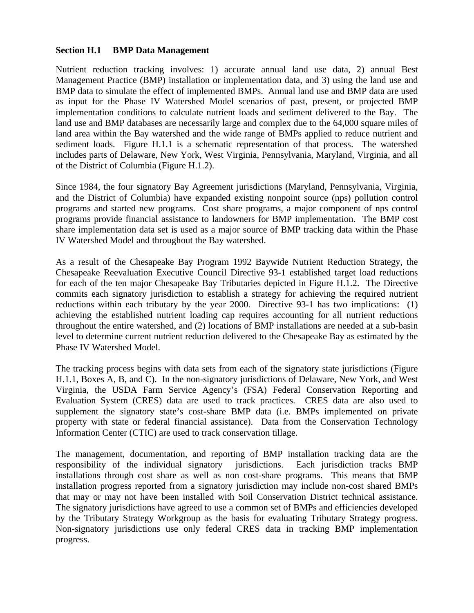### **Section H.1 BMP Data Management**

Nutrient reduction tracking involves: 1) accurate annual land use data, 2) annual Best Management Practice (BMP) installation or implementation data, and 3) using the land use and BMP data to simulate the effect of implemented BMPs. Annual land use and BMP data are used as input for the Phase IV Watershed Model scenarios of past, present, or projected BMP implementation conditions to calculate nutrient loads and sediment delivered to the Bay. The land use and BMP databases are necessarily large and complex due to the 64,000 square miles of land area within the Bay watershed and the wide range of BMPs applied to reduce nutrient and sediment loads. Figure H.1.1 is a schematic representation of that process. The watershed includes parts of Delaware, New York, West Virginia, Pennsylvania, Maryland, Virginia, and all of the District of Columbia (Figure H.1.2).

Since 1984, the four signatory Bay Agreement jurisdictions (Maryland, Pennsylvania, Virginia, and the District of Columbia) have expanded existing nonpoint source (nps) pollution control programs and started new programs. Cost share programs, a major component of nps control programs provide financial assistance to landowners for BMP implementation. The BMP cost share implementation data set is used as a major source of BMP tracking data within the Phase IV Watershed Model and throughout the Bay watershed.

As a result of the Chesapeake Bay Program 1992 Baywide Nutrient Reduction Strategy, the Chesapeake Reevaluation Executive Council Directive 93-1 established target load reductions for each of the ten major Chesapeake Bay Tributaries depicted in Figure H.1.2. The Directive commits each signatory jurisdiction to establish a strategy for achieving the required nutrient reductions within each tributary by the year 2000. Directive 93-1 has two implications: (1) achieving the established nutrient loading cap requires accounting for all nutrient reductions throughout the entire watershed, and (2) locations of BMP installations are needed at a sub-basin level to determine current nutrient reduction delivered to the Chesapeake Bay as estimated by the Phase IV Watershed Model.

The tracking process begins with data sets from each of the signatory state jurisdictions (Figure H.1.1, Boxes A, B, and C). In the non-signatory jurisdictions of Delaware, New York, and West Virginia, the USDA Farm Service Agency's (FSA) Federal Conservation Reporting and Evaluation System (CRES) data are used to track practices. CRES data are also used to supplement the signatory state's cost-share BMP data (i.e. BMPs implemented on private property with state or federal financial assistance). Data from the Conservation Technology Information Center (CTIC) are used to track conservation tillage.

The management, documentation, and reporting of BMP installation tracking data are the responsibility of the individual signatory jurisdictions. Each jurisdiction tracks BMP installations through cost share as well as non cost-share programs. This means that BMP installation progress reported from a signatory jurisdiction may include non-cost shared BMPs that may or may not have been installed with Soil Conservation District technical assistance. The signatory jurisdictions have agreed to use a common set of BMPs and efficiencies developed by the Tributary Strategy Workgroup as the basis for evaluating Tributary Strategy progress. Non-signatory jurisdictions use only federal CRES data in tracking BMP implementation progress.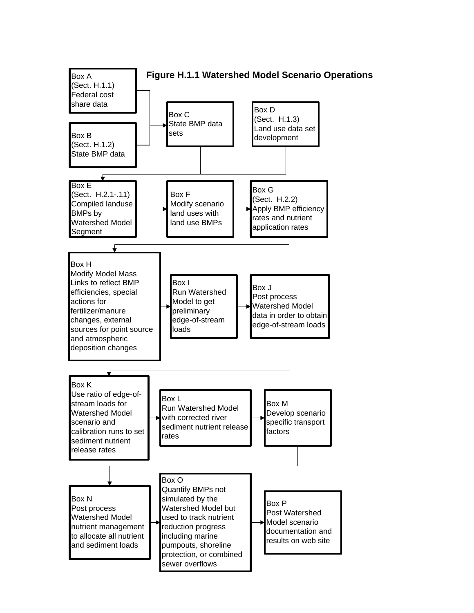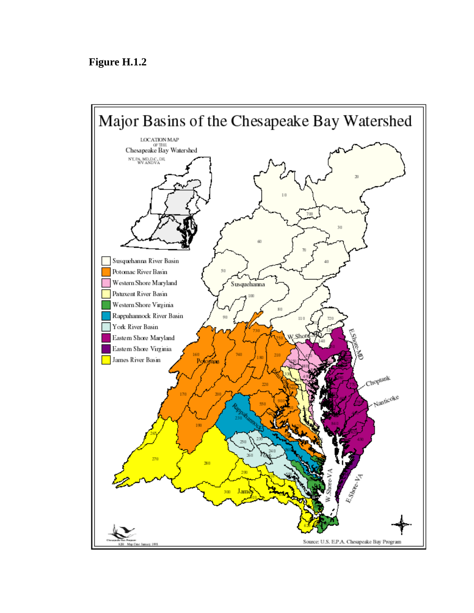## **Figure H.1.2**

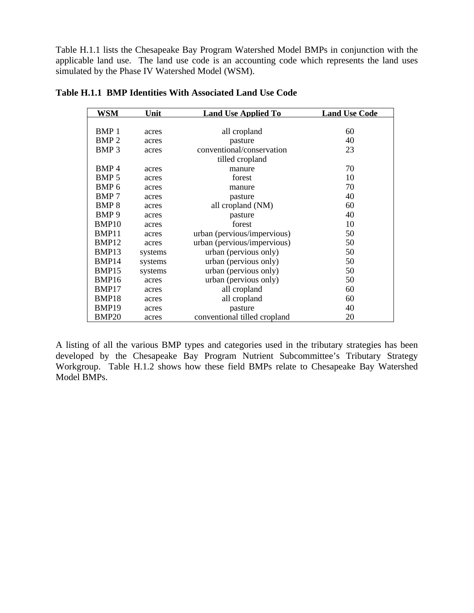Table H.1.1 lists the Chesapeake Bay Program Watershed Model BMPs in conjunction with the applicable land use. The land use code is an accounting code which represents the land uses simulated by the Phase IV Watershed Model (WSM).

| WSM               | Unit    | <b>Land Use Applied To</b>   | <b>Land Use Code</b> |
|-------------------|---------|------------------------------|----------------------|
|                   |         |                              |                      |
| BMP <sub>1</sub>  | acres   | all cropland                 | 60                   |
| BMP <sub>2</sub>  | acres   | pasture                      | 40                   |
| BMP <sub>3</sub>  | acres   | conventional/conservation    | 23                   |
|                   |         | tilled cropland              |                      |
| BMP <sub>4</sub>  | acres   | manure                       | 70                   |
| BMP <sub>5</sub>  | acres   | forest                       | 10                   |
| BMP <sub>6</sub>  | acres   | manure                       | 70                   |
| <b>BMP7</b>       | acres   | pasture                      | 40                   |
| BMP <sub>8</sub>  | acres   | all cropland (NM)            | 60                   |
| BMP <sub>9</sub>  | acres   | pasture                      | 40                   |
| BMP <sub>10</sub> | acres   | forest                       | 10                   |
| BMP11             | acres   | urban (pervious/impervious)  | 50                   |
| BMP12             | acres   | urban (pervious/impervious)  | 50                   |
| BMP <sub>13</sub> | systems | urban (pervious only)        | 50                   |
| BMP <sub>14</sub> | systems | urban (pervious only)        | 50                   |
| BMP15             | systems | urban (pervious only)        | 50                   |
| BMP16             | acres   | urban (pervious only)        | 50                   |
| BMP17             | acres   | all cropland                 | 60                   |
| BMP18             | acres   | all cropland                 | 60                   |
| BMP <sub>19</sub> | acres   | pasture                      | 40                   |
| <b>BMP20</b>      | acres   | conventional tilled cropland | 20                   |

**Table H.1.1 BMP Identities With Associated Land Use Code**

A listing of all the various BMP types and categories used in the tributary strategies has been developed by the Chesapeake Bay Program Nutrient Subcommittee's Tributary Strategy Workgroup. Table H.1.2 shows how these field BMPs relate to Chesapeake Bay Watershed Model BMPs.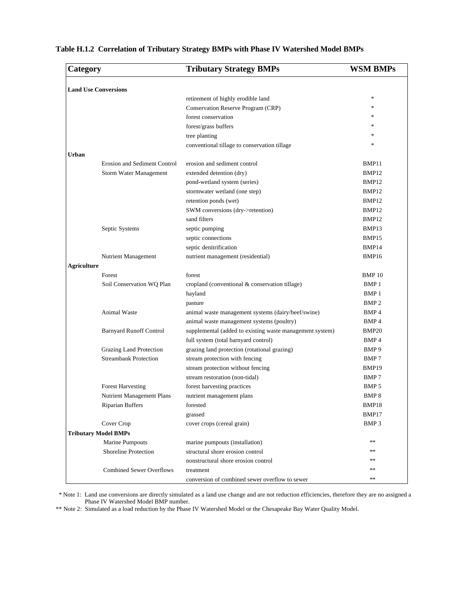| Category                    |                                 | <b>Tributary Strategy BMPs</b>                           | <b>WSM BMPs</b>   |  |
|-----------------------------|---------------------------------|----------------------------------------------------------|-------------------|--|
| <b>Land Use Conversions</b> |                                 |                                                          |                   |  |
|                             |                                 | retirement of highly erodible land                       | $\frac{1}{2}$     |  |
|                             |                                 | Conservation Reserve Program (CRP)                       | $\frac{1}{2}$     |  |
|                             |                                 | forest conservation                                      | *                 |  |
|                             |                                 | forest/grass buffers                                     | *                 |  |
|                             |                                 | tree planting                                            | *                 |  |
|                             |                                 | conventional tillage to conservation tillage             | ×.                |  |
| Urban                       |                                 |                                                          |                   |  |
|                             | Erosion and Sediment Control    | erosion and sediment control                             | BMP11             |  |
|                             | Storm Water Management          | extended detention (dry)                                 | BMP <sub>12</sub> |  |
|                             |                                 | pond-wetland system (series)                             | BMP12             |  |
|                             |                                 | stormwater wetland (one step)                            | BMP12             |  |
|                             |                                 | retention ponds (wet)                                    | BMP12             |  |
|                             |                                 | SWM conversions (dry->retention)                         | BMP12             |  |
|                             |                                 | sand filters                                             | BMP <sub>12</sub> |  |
|                             | Septic Systems                  | septic pumping                                           | BMP13             |  |
|                             |                                 | septic connections                                       | BMP15             |  |
|                             |                                 | septic denitrification                                   | BMP <sub>14</sub> |  |
|                             | Nutrient Management             | nutrient management (residential)                        | BMP16             |  |
| <b>Agriculture</b>          |                                 |                                                          |                   |  |
|                             | Forest                          | forest                                                   | <b>BMP</b> 10     |  |
|                             | Soil Conservation WQ Plan       | cropland (conventional & conservation tillage)           | BMP 1             |  |
|                             |                                 | hayland                                                  | BMP <sub>1</sub>  |  |
|                             |                                 | pasture                                                  | BMP <sub>2</sub>  |  |
|                             | <b>Animal Waste</b>             | animal waste management systems (dairy/beef/swine)       | BMP <sub>4</sub>  |  |
|                             |                                 | animal waste management systems (poultry)                | BMP <sub>4</sub>  |  |
|                             | <b>Barnyard Runoff Control</b>  | supplemental (added to existing waste management system) | BMP <sub>20</sub> |  |
|                             |                                 | full system (total barnyard control)                     | BMP <sub>4</sub>  |  |
|                             | <b>Grazing Land Protection</b>  | grazing land protection (rotational grazing)             | BMP 9             |  |
|                             | <b>Streambank Protection</b>    | stream protection with fencing                           | BMP 7             |  |
|                             |                                 | stream protection without fencing                        | BMP19             |  |
|                             |                                 | stream restoration (non-tidal)                           | BMP 7             |  |
|                             | <b>Forest Harvesting</b>        | forest harvesting practices                              | BMP <sub>5</sub>  |  |
|                             | Nutrient Management Plans       | nutrient management plans                                | BMP <sub>8</sub>  |  |
|                             | Riparian Buffers                | forested                                                 | BMP18             |  |
|                             |                                 | grassed                                                  | BMP17             |  |
|                             | Cover Crop                      | cover crops (cereal grain)                               | BMP <sub>3</sub>  |  |
|                             | <b>Tributary Model BMPs</b>     |                                                          |                   |  |
|                             | <b>Marine Pumpouts</b>          | marine pumpouts (installation)                           | $**$              |  |
|                             | <b>Shoreline Protection</b>     | structural shore erosion control                         | $**$              |  |
|                             |                                 | nonstructural shore erosion control                      | $**$              |  |
|                             | <b>Combined Sewer Overflows</b> | treatment                                                | $**$              |  |
|                             |                                 | conversion of combined sewer overflow to sewer           | $**$              |  |

**Table H.1.2 Correlation of Tributary Strategy BMPs with Phase IV Watershed Model BMPs**

 \* Note 1: Land use conversions are directly simulated as a land use change and are not reduction efficiencies, therefore they are no assigned a Phase IV Watershed Model BMP number.

\*\* Note 2: Simulated as a load reduction by the Phase IV Watershed Model or the Chesapeake Bay Water Quality Model.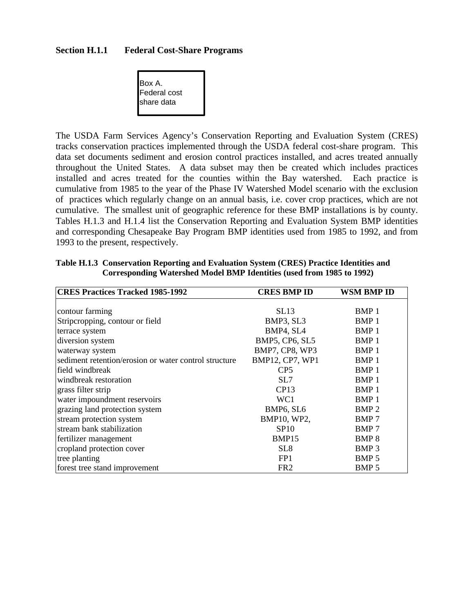#### **Section H.1.1 Federal Cost-Share Programs**



The USDA Farm Services Agency's Conservation Reporting and Evaluation System (CRES) tracks conservation practices implemented through the USDA federal cost-share program. This data set documents sediment and erosion control practices installed, and acres treated annually throughout the United States. A data subset may then be created which includes practices installed and acres treated for the counties within the Bay watershed. Each practice is cumulative from 1985 to the year of the Phase IV Watershed Model scenario with the exclusion of practices which regularly change on an annual basis, i.e. cover crop practices, which are not cumulative. The smallest unit of geographic reference for these BMP installations is by county. Tables H.1.3 and H.1.4 list the Conservation Reporting and Evaluation System BMP identities and corresponding Chesapeake Bay Program BMP identities used from 1985 to 1992, and from 1993 to the present, respectively.

| <b>CRES Practices Tracked 1985-1992</b>               | <b>CRES BMP ID</b> | WSM BMP ID       |
|-------------------------------------------------------|--------------------|------------------|
|                                                       |                    |                  |
| contour farming                                       | SL13               | BMP 1            |
| Stripcropping, contour or field                       | BMP3, SL3          | BMP 1            |
| terrace system                                        | BMP4, SL4          | BMP <sub>1</sub> |
| diversion system                                      | BMP5, CP6, SL5     | BMP 1            |
| waterway system                                       | BMP7, CP8, WP3     | BMP 1            |
| sediment retention/erosion or water control structure | BMP12, CP7, WP1    | BMP 1            |
| field windbreak                                       | CP <sub>5</sub>    | BMP <sub>1</sub> |
| windbreak restoration                                 | SL7                | BMP <sub>1</sub> |
| grass filter strip                                    | CP13               | BMP <sub>1</sub> |
| water impoundment reservoirs                          | WC1                | BMP <sub>1</sub> |
| grazing land protection system                        | BMP6, SL6          | BMP <sub>2</sub> |
| stream protection system                              | BMP10, WP2,        | BMP 7            |
| stream bank stabilization                             | <b>SP10</b>        | BMP 7            |
| fertilizer management                                 | BMP15              | <b>BMP8</b>      |
| cropland protection cover                             | SL <sub>8</sub>    | BMP <sub>3</sub> |
| tree planting                                         | FP <sub>1</sub>    | BMP <sub>5</sub> |
| forest tree stand improvement                         | FR <sub>2</sub>    | BMP <sub>5</sub> |

#### **Table H.1.3 Conservation Reporting and Evaluation System (CRES) Practice Identities and Corresponding Watershed Model BMP Identities (used from 1985 to 1992)**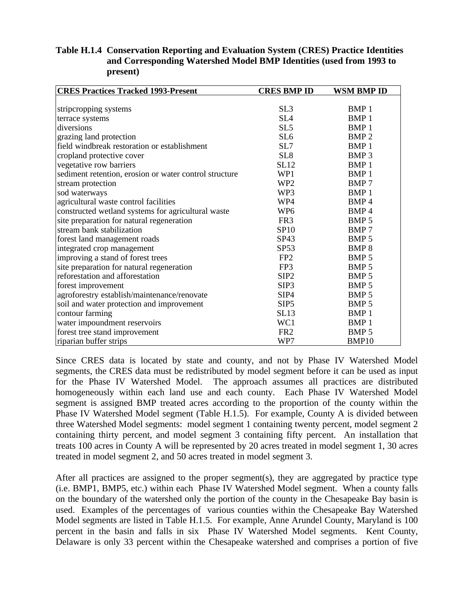### **Table H.1.4 Conservation Reporting and Evaluation System (CRES) Practice Identities and Corresponding Watershed Model BMP Identities (used from 1993 to present)**

| <b>CRES Practices Tracked 1993-Present</b>             | <b>CRES BMP ID</b> | WSM BMP ID       |
|--------------------------------------------------------|--------------------|------------------|
|                                                        |                    |                  |
| stripcropping systems                                  | SL <sub>3</sub>    | BMP <sub>1</sub> |
| terrace systems                                        | SL <sub>4</sub>    | BMP <sub>1</sub> |
| diversions                                             | SL <sub>5</sub>    | BMP <sub>1</sub> |
| grazing land protection                                | SL <sub>6</sub>    | BMP <sub>2</sub> |
| field windbreak restoration or establishment           | SL7                | BMP <sub>1</sub> |
| cropland protective cover                              | SL <sub>8</sub>    | BMP <sub>3</sub> |
| vegetative row barriers                                | <b>SL12</b>        | BMP <sub>1</sub> |
| sediment retention, erosion or water control structure | WP1                | BMP <sub>1</sub> |
| stream protection                                      | WP <sub>2</sub>    | BMP 7            |
| sod waterways                                          | WP3                | BMP <sub>1</sub> |
| agricultural waste control facilities                  | WP4                | BMP <sub>4</sub> |
| constructed wetland systems for agricultural waste     | WP <sub>6</sub>    | BMP <sub>4</sub> |
| site preparation for natural regeneration              | FR <sub>3</sub>    | BMP <sub>5</sub> |
| stream bank stabilization                              | SP10               | BMP 7            |
| forest land management roads                           | SP43               | BMP <sub>5</sub> |
| integrated crop management                             | SP53               | BMP <sub>8</sub> |
| improving a stand of forest trees                      | FP <sub>2</sub>    | BMP <sub>5</sub> |
| site preparation for natural regeneration              | FP3                | BMP <sub>5</sub> |
| reforestation and afforestation                        | SIP <sub>2</sub>   | BMP <sub>5</sub> |
| forest improvement                                     | SIP <sub>3</sub>   | BMP <sub>5</sub> |
| agroforestry establish/maintenance/renovate            | SIP <sub>4</sub>   | BMP <sub>5</sub> |
| soil and water protection and improvement              | SIP <sub>5</sub>   | BMP <sub>5</sub> |
| contour farming                                        | SL13               | BMP <sub>1</sub> |
| water impoundment reservoirs                           | WC1                | <b>BMP1</b>      |
| forest tree stand improvement                          | FR <sub>2</sub>    | BMP <sub>5</sub> |
| riparian buffer strips                                 | WP7                | BMP10            |

Since CRES data is located by state and county, and not by Phase IV Watershed Model segments, the CRES data must be redistributed by model segment before it can be used as input for the Phase IV Watershed Model. The approach assumes all practices are distributed homogeneously within each land use and each county. Each Phase IV Watershed Model segment is assigned BMP treated acres according to the proportion of the county within the Phase IV Watershed Model segment (Table H.1.5). For example, County A is divided between three Watershed Model segments: model segment 1 containing twenty percent, model segment 2 containing thirty percent, and model segment 3 containing fifty percent. An installation that treats 100 acres in County A will be represented by 20 acres treated in model segment 1, 30 acres treated in model segment 2, and 50 acres treated in model segment 3.

After all practices are assigned to the proper segment(s), they are aggregated by practice type (i.e. BMP1, BMP5, etc.) within each Phase IV Watershed Model segment. When a county falls on the boundary of the watershed only the portion of the county in the Chesapeake Bay basin is used. Examples of the percentages of various counties within the Chesapeake Bay Watershed Model segments are listed in Table H.1.5. For example, Anne Arundel County, Maryland is 100 percent in the basin and falls in six Phase IV Watershed Model segments. Kent County, Delaware is only 33 percent within the Chesapeake watershed and comprises a portion of five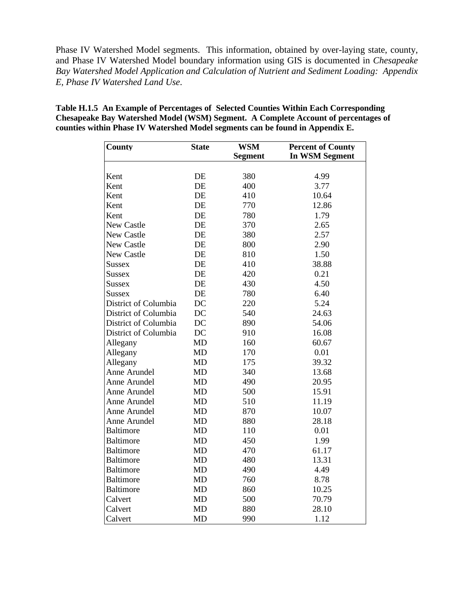Phase IV Watershed Model segments. This information, obtained by over-laying state, county, and Phase IV Watershed Model boundary information using GIS is documented in *Chesapeake Bay Watershed Model Application and Calculation of Nutrient and Sediment Loading: Appendix E, Phase IV Watershed Land Use*.

| County               | <b>State</b> | <b>WSM</b><br><b>Segment</b> | <b>Percent of County</b><br><b>In WSM Segment</b> |
|----------------------|--------------|------------------------------|---------------------------------------------------|
|                      |              |                              |                                                   |
| Kent                 | DE           | 380                          | 4.99                                              |
| Kent                 | DE           | 400                          | 3.77                                              |
| Kent                 | DE           | 410                          | 10.64                                             |
| Kent                 | DE           | 770                          | 12.86                                             |
| Kent                 | DE           | 780                          | 1.79                                              |
| New Castle           | DE           | 370                          | 2.65                                              |
| New Castle           | DE           | 380                          | 2.57                                              |
| <b>New Castle</b>    | DE           | 800                          | 2.90                                              |
| New Castle           | DE           | 810                          | 1.50                                              |
| <b>Sussex</b>        | DE           | 410                          | 38.88                                             |
| <b>Sussex</b>        | DE           | 420                          | 0.21                                              |
| <b>Sussex</b>        | DE           | 430                          | 4.50                                              |
| <b>Sussex</b>        | DE           | 780                          | 6.40                                              |
| District of Columbia | DC           | 220                          | 5.24                                              |
| District of Columbia | DC           | 540                          | 24.63                                             |
| District of Columbia | DC           | 890                          | 54.06                                             |
| District of Columbia | DC           | 910                          | 16.08                                             |
| Allegany             | MD           | 160                          | 60.67                                             |
| Allegany             | MD           | 170                          | 0.01                                              |
| Allegany             | MD           | 175                          | 39.32                                             |
| Anne Arundel         | MD           | 340                          | 13.68                                             |
| Anne Arundel         | MD           | 490                          | 20.95                                             |
| Anne Arundel         | MD           | 500                          | 15.91                                             |
| Anne Arundel         | MD           | 510                          | 11.19                                             |
| Anne Arundel         | MD           | 870                          | 10.07                                             |
| Anne Arundel         | <b>MD</b>    | 880                          | 28.18                                             |
| <b>Baltimore</b>     | <b>MD</b>    | 110                          | 0.01                                              |
| <b>Baltimore</b>     | <b>MD</b>    | 450                          | 1.99                                              |
| <b>Baltimore</b>     | <b>MD</b>    | 470                          | 61.17                                             |
| <b>Baltimore</b>     | MD           | 480                          | 13.31                                             |
| <b>Baltimore</b>     | MD           | 490                          | 4.49                                              |
| <b>Baltimore</b>     | MD           | 760                          | 8.78                                              |
| <b>Baltimore</b>     | <b>MD</b>    | 860                          | 10.25                                             |
| Calvert              | MD           | 500                          | 70.79                                             |
| Calvert              | <b>MD</b>    | 880                          | 28.10                                             |
| Calvert              | MD           | 990                          | 1.12                                              |

**Table H.1.5 An Example of Percentages of Selected Counties Within Each Corresponding Chesapeake Bay Watershed Model (WSM) Segment. A Complete Account of percentages of counties within Phase IV Watershed Model segments can be found in Appendix E.**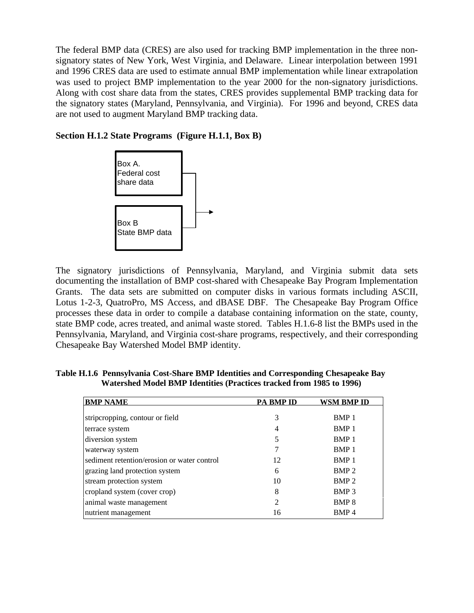The federal BMP data (CRES) are also used for tracking BMP implementation in the three nonsignatory states of New York, West Virginia, and Delaware. Linear interpolation between 1991 and 1996 CRES data are used to estimate annual BMP implementation while linear extrapolation was used to project BMP implementation to the year 2000 for the non-signatory jurisdictions. Along with cost share data from the states, CRES provides supplemental BMP tracking data for the signatory states (Maryland, Pennsylvania, and Virginia). For 1996 and beyond, CRES data are not used to augment Maryland BMP tracking data.

### **Section H.1.2 State Programs (Figure H.1.1, Box B)**



The signatory jurisdictions of Pennsylvania, Maryland, and Virginia submit data sets documenting the installation of BMP cost-shared with Chesapeake Bay Program Implementation Grants. The data sets are submitted on computer disks in various formats including ASCII, Lotus 1-2-3, QuatroPro, MS Access, and dBASE DBF. The Chesapeake Bay Program Office processes these data in order to compile a database containing information on the state, county, state BMP code, acres treated, and animal waste stored. Tables H.1.6-8 list the BMPs used in the Pennsylvania, Maryland, and Virginia cost-share programs, respectively, and their corresponding Chesapeake Bay Watershed Model BMP identity.

| <b>BMP NAME</b>                             | <b>PA BMP ID</b> | WSM BMP ID       |
|---------------------------------------------|------------------|------------------|
| stripcropping, contour or field             | 3                | BMP 1            |
| terrace system                              | 4                | BMP <sub>1</sub> |
| diversion system                            |                  | BMP <sub>1</sub> |
| waterway system                             |                  | BMP <sub>1</sub> |
| sediment retention/erosion or water control | 12               | BMP <sub>1</sub> |
| grazing land protection system              | 6                | BMP <sub>2</sub> |
| stream protection system                    | 10               | BMP <sub>2</sub> |
| cropland system (cover crop)                | 8                | BMP <sub>3</sub> |
| animal waste management                     | $\mathfrak{D}$   | BMP <sub>8</sub> |
| nutrient management                         | 16               | BMP <sub>4</sub> |
|                                             |                  |                  |

**Table H.1.6 Pennsylvania Cost-Share BMP Identities and Corresponding Chesapeake Bay Watershed Model BMP Identities (Practices tracked from 1985 to 1996)**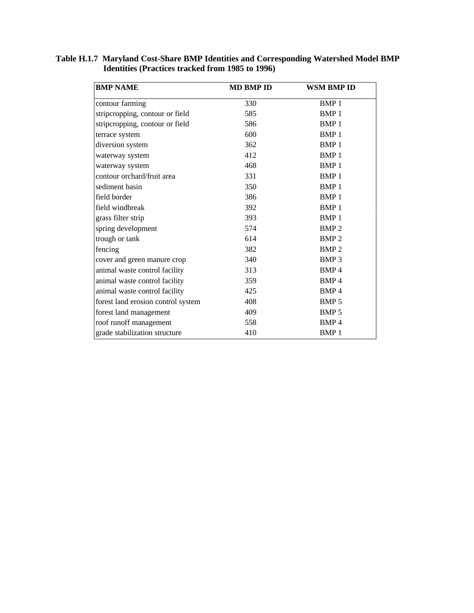| <b>BMP NAME</b>                    | <b>MD BMP ID</b> | WSM BMP ID       |
|------------------------------------|------------------|------------------|
| contour farming                    | 330              | BMP <sub>1</sub> |
| stripcropping, contour or field    | 585              | BMP <sub>1</sub> |
| stripcropping, contour or field    | 586              | BMP <sub>1</sub> |
| terrace system                     | 600              | BMP <sub>1</sub> |
| diversion system                   | 362              | BMP <sub>1</sub> |
| waterway system                    | 412              | BMP <sub>1</sub> |
| waterway system                    | 468              | BMP <sub>1</sub> |
| contour orchard/fruit area         | 331              | BMP <sub>1</sub> |
| sediment basin                     | 350              | BMP <sub>1</sub> |
| field border                       | 386              | BMP <sub>1</sub> |
| field windbreak                    | 392              | BMP <sub>1</sub> |
| grass filter strip                 | 393              | BMP <sub>1</sub> |
| spring development                 | 574              | <b>BMP2</b>      |
| trough or tank                     | 614              | BMP <sub>2</sub> |
| fencing                            | 382              | BMP <sub>2</sub> |
| cover and green manure crop        | 340              | BMP <sub>3</sub> |
| animal waste control facility      | 313              | BMP <sub>4</sub> |
| animal waste control facility      | 359              | BMP <sub>4</sub> |
| animal waste control facility      | 425              | BMP <sub>4</sub> |
| forest land erosion control system | 408              | BMP 5            |
| forest land management             | 409              | BMP <sub>5</sub> |
| roof runoff management             | 558              | BMP <sub>4</sub> |
| grade stabilization structure      | 410              | <b>BMP1</b>      |

**Table H.1.7 Maryland Cost-Share BMP Identities and Corresponding Watershed Model BMP Identities (Practices tracked from 1985 to 1996)**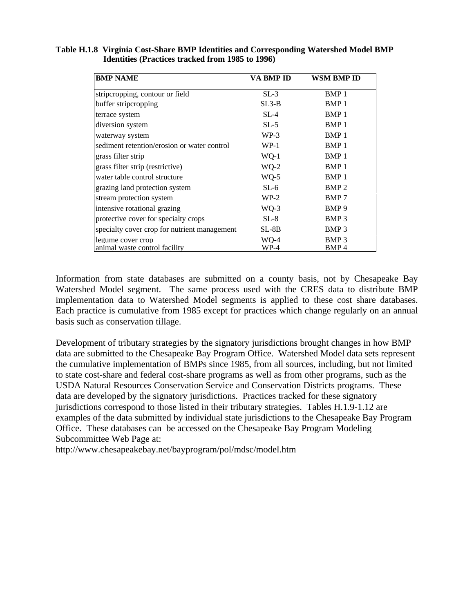| <b>BMP NAME</b>                              | VA BMP ID | WSM BMP ID       |
|----------------------------------------------|-----------|------------------|
| stripcropping, contour or field              | $SL-3$    | BMP <sub>1</sub> |
| buffer stripcropping                         | $SL3-B$   | BMP <sub>1</sub> |
| terrace system                               | $SL-4$    | BMP <sub>1</sub> |
| diversion system                             | $SL-5$    | BMP <sub>1</sub> |
| waterway system                              | $WP-3$    | BMP 1            |
| sediment retention/erosion or water control  | $WP-1$    | BMP <sub>1</sub> |
| grass filter strip                           | WQ-1      | BMP <sub>1</sub> |
| grass filter strip (restrictive)             | $WQ-2$    | BMP 1            |
| water table control structure                | $WQ-5$    | BMP 1            |
| grazing land protection system               | $SL-6$    | BMP <sub>2</sub> |
| stream protection system                     | $WP-2$    | BMP 7            |
| intensive rotational grazing                 | $WQ-3$    | BMP 9            |
| protective cover for specialty crops         | $SL-8$    | BMP <sub>3</sub> |
| specialty cover crop for nutrient management | SL-8B     | BMP <sub>3</sub> |
| legume cover crop                            | WO-4      | BMP <sub>3</sub> |
| animal waste control facility                | WP-4      | BMP 4            |

**Table H.1.8 Virginia Cost-Share BMP Identities and Corresponding Watershed Model BMP Identities (Practices tracked from 1985 to 1996)**

Information from state databases are submitted on a county basis, not by Chesapeake Bay Watershed Model segment. The same process used with the CRES data to distribute BMP implementation data to Watershed Model segments is applied to these cost share databases. Each practice is cumulative from 1985 except for practices which change regularly on an annual basis such as conservation tillage.

Development of tributary strategies by the signatory jurisdictions brought changes in how BMP data are submitted to the Chesapeake Bay Program Office. Watershed Model data sets represent the cumulative implementation of BMPs since 1985, from all sources, including, but not limited to state cost-share and federal cost-share programs as well as from other programs, such as the USDA Natural Resources Conservation Service and Conservation Districts programs. These data are developed by the signatory jurisdictions. Practices tracked for these signatory jurisdictions correspond to those listed in their tributary strategies. Tables H.1.9-1.12 are examples of the data submitted by individual state jurisdictions to the Chesapeake Bay Program Office. These databases can be accessed on the Chesapeake Bay Program Modeling Subcommittee Web Page at:

http://www.chesapeakebay.net/bayprogram/pol/mdsc/model.htm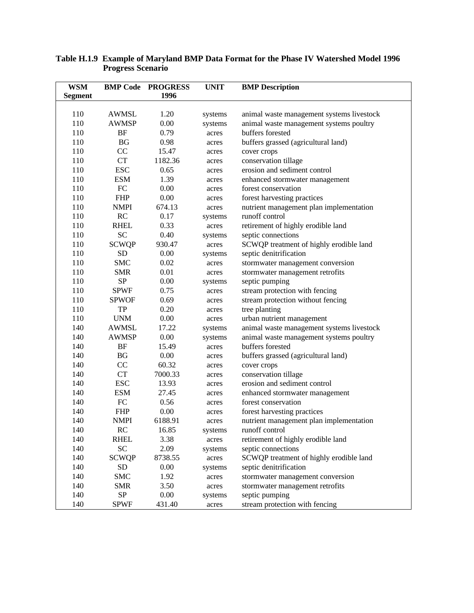| <b>WSM</b>     |              | <b>BMP Code PROGRESS</b> | <b>UNIT</b> | <b>BMP</b> Description                    |
|----------------|--------------|--------------------------|-------------|-------------------------------------------|
| <b>Segment</b> |              | 1996                     |             |                                           |
|                |              |                          |             |                                           |
| 110            | <b>AWMSL</b> | 1.20                     | systems     | animal waste management systems livestock |
| 110            | <b>AWMSP</b> | 0.00                     | systems     | animal waste management systems poultry   |
| 110            | <b>BF</b>    | 0.79                     | acres       | buffers forested                          |
| 110            | BG           | 0.98                     | acres       | buffers grassed (agricultural land)       |
| 110            | CC           | 15.47                    | acres       | cover crops                               |
| 110            | CT           | 1182.36                  | acres       | conservation tillage                      |
| 110            | <b>ESC</b>   | 0.65                     | acres       | erosion and sediment control              |
| 110            | <b>ESM</b>   | 1.39                     | acres       | enhanced stormwater management            |
| 110            | ${\rm FC}$   | 0.00                     | acres       | forest conservation                       |
| 110            | <b>FHP</b>   | 0.00                     | acres       | forest harvesting practices               |
| 110            | <b>NMPI</b>  | 674.13                   | acres       | nutrient management plan implementation   |
| 110            | RC           | 0.17                     | systems     | runoff control                            |
| 110            | <b>RHEL</b>  | 0.33                     | acres       | retirement of highly erodible land        |
| 110            | <b>SC</b>    | 0.40                     | systems     | septic connections                        |
| 110            | <b>SCWQP</b> | 930.47                   | acres       | SCWQP treatment of highly erodible land   |
| 110            | SD           | 0.00                     | systems     | septic denitrification                    |
| 110            | <b>SMC</b>   | 0.02                     | acres       | stormwater management conversion          |
| 110            | <b>SMR</b>   | 0.01                     | acres       | stormwater management retrofits           |
| 110            | <b>SP</b>    | 0.00                     | systems     | septic pumping                            |
| 110            | <b>SPWF</b>  | 0.75                     | acres       | stream protection with fencing            |
| 110            | <b>SPWOF</b> | 0.69                     | acres       | stream protection without fencing         |
| 110            | TP           | 0.20                     | acres       | tree planting                             |
| 110            | <b>UNM</b>   | 0.00                     | acres       | urban nutrient management                 |
| 140            | <b>AWMSL</b> | 17.22                    | systems     | animal waste management systems livestock |
| 140            | <b>AWMSP</b> | 0.00                     | systems     | animal waste management systems poultry   |
| 140            | <b>BF</b>    | 15.49                    | acres       | buffers forested                          |
| 140            | BG           | 0.00                     | acres       | buffers grassed (agricultural land)       |
| 140            | CC           | 60.32                    | acres       | cover crops                               |
| 140            | <b>CT</b>    | 7000.33                  | acres       | conservation tillage                      |
| 140            | <b>ESC</b>   | 13.93                    | acres       | erosion and sediment control              |
| 140            | <b>ESM</b>   | 27.45                    | acres       | enhanced stormwater management            |
| 140            | FC           | 0.56                     | acres       | forest conservation                       |
| 140            | <b>FHP</b>   | 0.00                     | acres       | forest harvesting practices               |
| 140            | <b>NMPI</b>  | 6188.91                  | acres       | nutrient management plan implementation   |
| 140            | RC           | 16.85                    | systems     | runoff control                            |
| 140            | <b>RHEL</b>  | 3.38                     | acres       | retirement of highly erodible land        |
| 140            | <b>SC</b>    | 2.09                     | systems     | septic connections                        |
| 140            | <b>SCWQP</b> | 8738.55                  | acres       | SCWQP treatment of highly erodible land   |
| 140            | SD           | 0.00                     | systems     | septic denitrification                    |
| 140            | <b>SMC</b>   | 1.92                     | acres       | stormwater management conversion          |
| 140            | <b>SMR</b>   | 3.50                     |             | stormwater management retrofits           |
| 140            | SP           | 0.00                     | acres       | septic pumping                            |
|                |              |                          | systems     |                                           |
| 140            | <b>SPWF</b>  | 431.40                   | acres       | stream protection with fencing            |

#### **Table H.1.9 Example of Maryland BMP Data Format for the Phase IV Watershed Model 1996 Progress Scenario**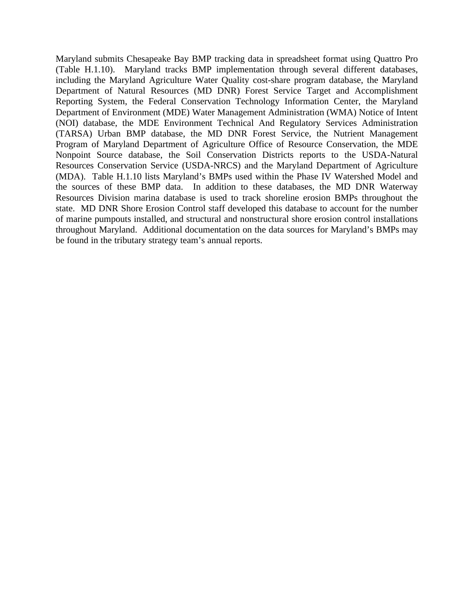Maryland submits Chesapeake Bay BMP tracking data in spreadsheet format using Quattro Pro (Table H.1.10). Maryland tracks BMP implementation through several different databases, including the Maryland Agriculture Water Quality cost-share program database, the Maryland Department of Natural Resources (MD DNR) Forest Service Target and Accomplishment Reporting System, the Federal Conservation Technology Information Center, the Maryland Department of Environment (MDE) Water Management Administration (WMA) Notice of Intent (NOI) database, the MDE Environment Technical And Regulatory Services Administration (TARSA) Urban BMP database, the MD DNR Forest Service, the Nutrient Management Program of Maryland Department of Agriculture Office of Resource Conservation, the MDE Nonpoint Source database, the Soil Conservation Districts reports to the USDA-Natural Resources Conservation Service (USDA-NRCS) and the Maryland Department of Agriculture (MDA). Table H.1.10 lists Maryland's BMPs used within the Phase IV Watershed Model and the sources of these BMP data. In addition to these databases, the MD DNR Waterway Resources Division marina database is used to track shoreline erosion BMPs throughout the state. MD DNR Shore Erosion Control staff developed this database to account for the number of marine pumpouts installed, and structural and nonstructural shore erosion control installations throughout Maryland. Additional documentation on the data sources for Maryland's BMPs may be found in the tributary strategy team's annual reports.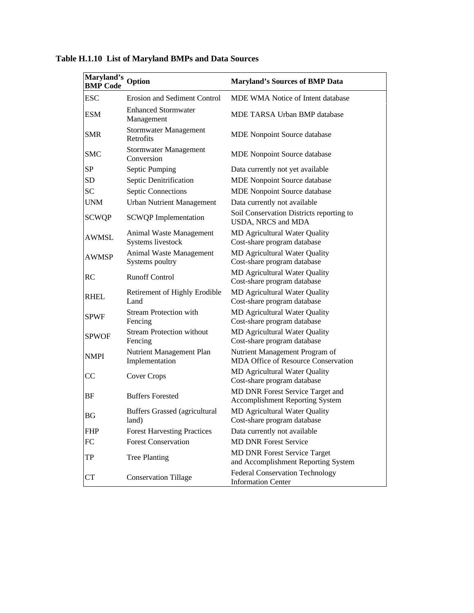| Maryland's Option<br><b>BMP Code</b> |                                               | <b>Maryland's Sources of BMP Data</b>                                      |
|--------------------------------------|-----------------------------------------------|----------------------------------------------------------------------------|
| <b>ESC</b>                           | <b>Erosion and Sediment Control</b>           | MDE WMA Notice of Intent database                                          |
| <b>ESM</b>                           | <b>Enhanced Stormwater</b><br>Management      | MDE TARSA Urban BMP database                                               |
| <b>SMR</b>                           | <b>Stormwater Management</b><br>Retrofits     | <b>MDE</b> Nonpoint Source database                                        |
| <b>SMC</b>                           | Stormwater Management<br>Conversion           | <b>MDE</b> Nonpoint Source database                                        |
| SP                                   | Septic Pumping                                | Data currently not yet available                                           |
| SD                                   | Septic Denitrification                        | <b>MDE</b> Nonpoint Source database                                        |
| <b>SC</b>                            | <b>Septic Connections</b>                     | MDE Nonpoint Source database                                               |
| <b>UNM</b>                           | <b>Urban Nutrient Management</b>              | Data currently not available                                               |
| <b>SCWQP</b>                         | <b>SCWQP</b> Implementation                   | Soil Conservation Districts reporting to<br>USDA, NRCS and MDA             |
| <b>AWMSL</b>                         | Animal Waste Management<br>Systems livestock  | MD Agricultural Water Quality<br>Cost-share program database               |
| <b>AWMSP</b>                         | Animal Waste Management<br>Systems poultry    | MD Agricultural Water Quality<br>Cost-share program database               |
| RC                                   | <b>Runoff Control</b>                         | MD Agricultural Water Quality<br>Cost-share program database               |
| <b>RHEL</b>                          | Retirement of Highly Erodible<br>Land         | MD Agricultural Water Quality<br>Cost-share program database               |
| <b>SPWF</b>                          | <b>Stream Protection with</b><br>Fencing      | MD Agricultural Water Quality<br>Cost-share program database               |
| <b>SPWOF</b>                         | <b>Stream Protection without</b><br>Fencing   | <b>MD Agricultural Water Quality</b><br>Cost-share program database        |
| <b>NMPI</b>                          | Nutrient Management Plan<br>Implementation    | Nutrient Management Program of<br>MDA Office of Resource Conservation      |
| CC                                   | Cover Crops                                   | MD Agricultural Water Quality<br>Cost-share program database               |
| BF                                   | <b>Buffers Forested</b>                       | MD DNR Forest Service Target and<br><b>Accomplishment Reporting System</b> |
| <b>BG</b>                            | <b>Buffers Grassed (agricultural</b><br>land) | MD Agricultural Water Quality<br>Cost-share program database               |
| <b>FHP</b>                           | <b>Forest Harvesting Practices</b>            | Data currently not available                                               |
| FC                                   | <b>Forest Conservation</b>                    | <b>MD DNR Forest Service</b>                                               |
| TP                                   | <b>Tree Planting</b>                          | MD DNR Forest Service Target<br>and Accomplishment Reporting System        |
| <b>CT</b>                            | <b>Conservation Tillage</b>                   | <b>Federal Conservation Technology</b><br><b>Information Center</b>        |

**Table H.1.10 List of Maryland BMPs and Data Sources**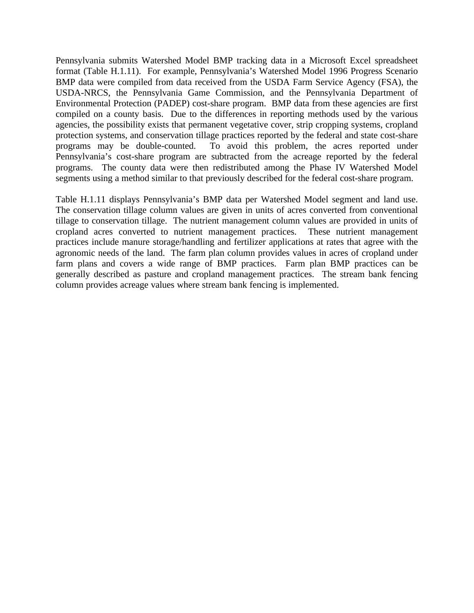Pennsylvania submits Watershed Model BMP tracking data in a Microsoft Excel spreadsheet format (Table H.1.11). For example, Pennsylvania's Watershed Model 1996 Progress Scenario BMP data were compiled from data received from the USDA Farm Service Agency (FSA), the USDA-NRCS, the Pennsylvania Game Commission, and the Pennsylvania Department of Environmental Protection (PADEP) cost-share program. BMP data from these agencies are first compiled on a county basis. Due to the differences in reporting methods used by the various agencies, the possibility exists that permanent vegetative cover, strip cropping systems, cropland protection systems, and conservation tillage practices reported by the federal and state cost-share programs may be double-counted. To avoid this problem, the acres reported under Pennsylvania's cost-share program are subtracted from the acreage reported by the federal programs. The county data were then redistributed among the Phase IV Watershed Model segments using a method similar to that previously described for the federal cost-share program.

Table H.1.11 displays Pennsylvania's BMP data per Watershed Model segment and land use. The conservation tillage column values are given in units of acres converted from conventional tillage to conservation tillage. The nutrient management column values are provided in units of cropland acres converted to nutrient management practices. These nutrient management practices include manure storage/handling and fertilizer applications at rates that agree with the agronomic needs of the land. The farm plan column provides values in acres of cropland under farm plans and covers a wide range of BMP practices. Farm plan BMP practices can be generally described as pasture and cropland management practices. The stream bank fencing column provides acreage values where stream bank fencing is implemented.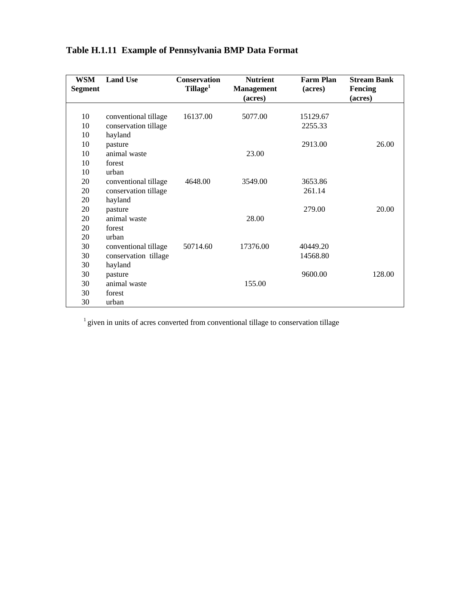| <b>WSM</b><br><b>Segment</b> | <b>Land Use</b>      | <b>Conservation</b><br>Tillage <sup>1</sup> | <b>Nutrient</b><br><b>Management</b> | <b>Farm Plan</b><br>(acres) | <b>Stream Bank</b><br><b>Fencing</b> |
|------------------------------|----------------------|---------------------------------------------|--------------------------------------|-----------------------------|--------------------------------------|
|                              |                      |                                             | (acres)                              |                             | (acres)                              |
|                              |                      |                                             |                                      |                             |                                      |
| 10                           | conventional tillage | 16137.00                                    | 5077.00                              | 15129.67                    |                                      |
| 10                           | conservation tillage |                                             |                                      | 2255.33                     |                                      |
| 10                           | hayland              |                                             |                                      |                             |                                      |
| 10                           | pasture              |                                             |                                      | 2913.00                     | 26.00                                |
| 10                           | animal waste         |                                             | 23.00                                |                             |                                      |
| 10                           | forest               |                                             |                                      |                             |                                      |
| 10                           | urban                |                                             |                                      |                             |                                      |
| 20                           | conventional tillage | 4648.00                                     | 3549.00                              | 3653.86                     |                                      |
| 20                           | conservation tillage |                                             |                                      | 261.14                      |                                      |
| 20                           | hayland              |                                             |                                      |                             |                                      |
| 20                           | pasture              |                                             |                                      | 279.00                      | 20.00                                |
| 20                           | animal waste         |                                             | 28.00                                |                             |                                      |
| 20                           | forest               |                                             |                                      |                             |                                      |
| 20                           | urban                |                                             |                                      |                             |                                      |
| 30                           | conventional tillage | 50714.60                                    | 17376.00                             | 40449.20                    |                                      |
| 30                           | conservation tillage |                                             |                                      | 14568.80                    |                                      |
| 30                           | hayland              |                                             |                                      |                             |                                      |
| 30                           | pasture              |                                             |                                      | 9600.00                     | 128.00                               |
| 30                           | animal waste         |                                             | 155.00                               |                             |                                      |
| 30                           | forest               |                                             |                                      |                             |                                      |
| 30                           | urban                |                                             |                                      |                             |                                      |

### **Table H.1.11 Example of Pennsylvania BMP Data Format**

 ${}^{1}$  given in units of acres converted from conventional tillage to conservation tillage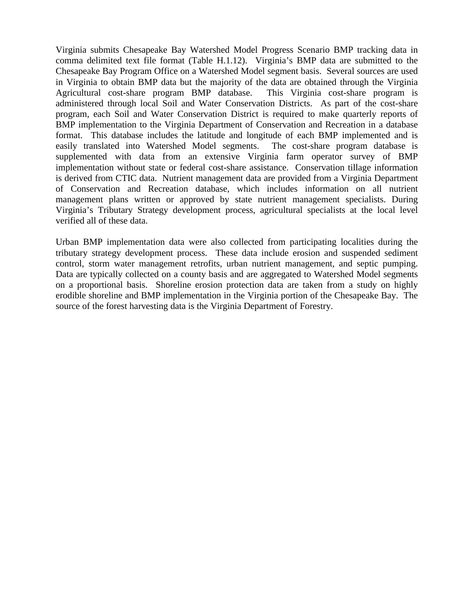Virginia submits Chesapeake Bay Watershed Model Progress Scenario BMP tracking data in comma delimited text file format (Table H.1.12). Virginia's BMP data are submitted to the Chesapeake Bay Program Office on a Watershed Model segment basis. Several sources are used in Virginia to obtain BMP data but the majority of the data are obtained through the Virginia Agricultural cost-share program BMP database. This Virginia cost-share program is administered through local Soil and Water Conservation Districts. As part of the cost-share program, each Soil and Water Conservation District is required to make quarterly reports of BMP implementation to the Virginia Department of Conservation and Recreation in a database format. This database includes the latitude and longitude of each BMP implemented and is easily translated into Watershed Model segments. The cost-share program database is supplemented with data from an extensive Virginia farm operator survey of BMP implementation without state or federal cost-share assistance. Conservation tillage information is derived from CTIC data. Nutrient management data are provided from a Virginia Department of Conservation and Recreation database, which includes information on all nutrient management plans written or approved by state nutrient management specialists. During Virginia's Tributary Strategy development process, agricultural specialists at the local level verified all of these data.

Urban BMP implementation data were also collected from participating localities during the tributary strategy development process. These data include erosion and suspended sediment control, storm water management retrofits, urban nutrient management, and septic pumping. Data are typically collected on a county basis and are aggregated to Watershed Model segments on a proportional basis. Shoreline erosion protection data are taken from a study on highly erodible shoreline and BMP implementation in the Virginia portion of the Chesapeake Bay. The source of the forest harvesting data is the Virginia Department of Forestry.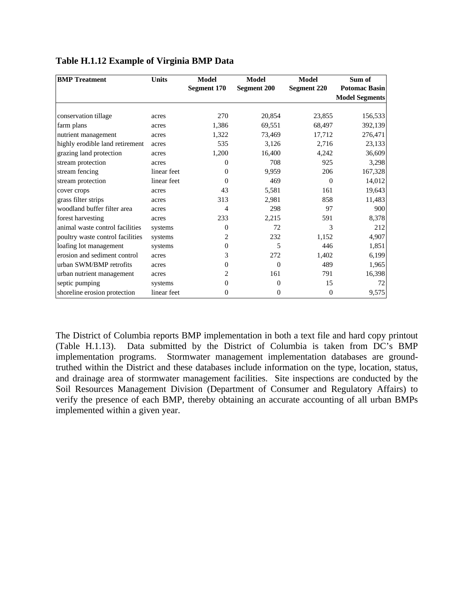| <b>BMP</b> Treatment             | <b>Units</b> | <b>Model</b>   | Model              | Model              | Sum of                |
|----------------------------------|--------------|----------------|--------------------|--------------------|-----------------------|
|                                  |              | Segment 170    | <b>Segment 200</b> | <b>Segment 220</b> | <b>Potomac Basin</b>  |
|                                  |              |                |                    |                    | <b>Model Segments</b> |
|                                  |              |                |                    |                    |                       |
| conservation tillage             | acres        | 270            | 20,854             | 23,855             | 156,533               |
| farm plans                       | acres        | 1,386          | 69,551             | 68,497             | 392,139               |
| nutrient management              | acres        | 1,322          | 73,469             | 17,712             | 276,471               |
| highly erodible land retirement  | acres        | 535            | 3,126              | 2,716              | 23,133                |
| grazing land protection          | acres        | 1,200          | 16,400             | 4,242              | 36,609                |
| stream protection                | acres        | $\Omega$       | 708                | 925                | 3,298                 |
| stream fencing                   | linear feet  | $\Omega$       | 9,959              | 206                | 167,328               |
| stream protection                | linear feet  | $\Omega$       | 469                | $\Omega$           | 14,012                |
| cover crops                      | acres        | 43             | 5,581              | 161                | 19,643                |
| grass filter strips              | acres        | 313            | 2,981              | 858                | 11,483                |
| woodland buffer filter area      | acres        | 4              | 298                | 97                 | 900                   |
| forest harvesting                | acres        | 233            | 2,215              | 591                | 8,378                 |
| animal waste control facilities  | systems      | $\Omega$       | 72                 | 3                  | 212                   |
| poultry waste control facilities | systems      | 2              | 232                | 1,152              | 4,907                 |
| loafing lot management           | systems      | 0              | 5                  | 446                | 1,851                 |
| erosion and sediment control     | acres        | 3              | 272                | 1,402              | 6,199                 |
| urban SWM/BMP retrofits          | acres        | 0              | $\theta$           | 489                | 1,965                 |
| urban nutrient management        | acres        | 2              | 161                | 791                | 16,398                |
| septic pumping                   | systems      | $\Omega$       | $\Omega$           | 15                 | 72                    |
| shoreline erosion protection     | linear feet  | $\overline{0}$ | 0                  | $\overline{0}$     | 9,575                 |

### **Table H.1.12 Example of Virginia BMP Data**

The District of Columbia reports BMP implementation in both a text file and hard copy printout (Table H.1.13). Data submitted by the District of Columbia is taken from DC's BMP implementation programs. Stormwater management implementation databases are groundtruthed within the District and these databases include information on the type, location, status, and drainage area of stormwater management facilities. Site inspections are conducted by the Soil Resources Management Division (Department of Consumer and Regulatory Affairs) to verify the presence of each BMP, thereby obtaining an accurate accounting of all urban BMPs implemented within a given year.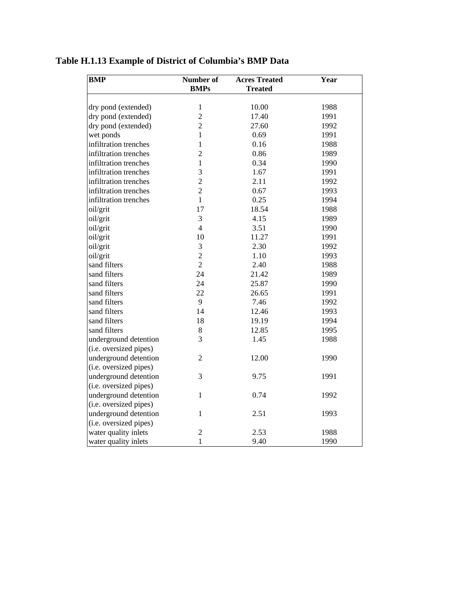## **Table H.1.13 Example of District of Columbia's BMP Data**

| <b>BMP</b>             | Number of      | <b>Acres Treated</b> | Year |
|------------------------|----------------|----------------------|------|
|                        | <b>BMPs</b>    | <b>Treated</b>       |      |
| dry pond (extended)    | $\mathbf{1}$   | 10.00                | 1988 |
| dry pond (extended)    | $\overline{2}$ | 17.40                | 1991 |
|                        | $\overline{2}$ | 27.60                | 1992 |
| dry pond (extended)    |                | 0.69                 | 1991 |
| wet ponds              | 1              |                      |      |
| infiltration trenches  | 1              | 0.16                 | 1988 |
| infiltration trenches  | $\overline{2}$ | 0.86                 | 1989 |
| infiltration trenches  | $\mathbf{1}$   | 0.34                 | 1990 |
| infiltration trenches  | 3              | 1.67                 | 1991 |
| infiltration trenches  | $\overline{2}$ | 2.11                 | 1992 |
| infiltration trenches  | $\overline{2}$ | 0.67                 | 1993 |
| infiltration trenches  | 1              | 0.25                 | 1994 |
| oil/grit               | 17             | 18.54                | 1988 |
| oil/grit               | 3              | 4.15                 | 1989 |
| oil/grit               | $\overline{4}$ | 3.51                 | 1990 |
| oil/grit               | 10             | 11.27                | 1991 |
| oil/grit               | 3              | 2.30                 | 1992 |
| oil/grit               | $\overline{c}$ | 1.10                 | 1993 |
| sand filters           | $\overline{2}$ | 2.40                 | 1988 |
| sand filters           | 24             | 21.42                | 1989 |
| sand filters           | 24             | 25.87                | 1990 |
| sand filters           | 22             | 26.65                | 1991 |
| sand filters           | 9              | 7.46                 | 1992 |
| sand filters           | 14             | 12.46                | 1993 |
| sand filters           | 18             | 19.19                | 1994 |
| sand filters           | $8\,$          | 12.85                | 1995 |
| underground detention  | 3              | 1.45                 | 1988 |
| (i.e. oversized pipes) |                |                      |      |
| underground detention  | $\overline{2}$ | 12.00                | 1990 |
| (i.e. oversized pipes) |                |                      |      |
| underground detention  | 3              | 9.75                 | 1991 |
| (i.e. oversized pipes) |                |                      |      |
| underground detention  | 1              | 0.74                 | 1992 |
| (i.e. oversized pipes) |                |                      |      |
| underground detention  | $\mathbf{1}$   | 2.51                 | 1993 |
| (i.e. oversized pipes) |                |                      |      |
| water quality inlets   | 2              | 2.53                 | 1988 |
| water quality inlets   | 1              | 9.40                 | 1990 |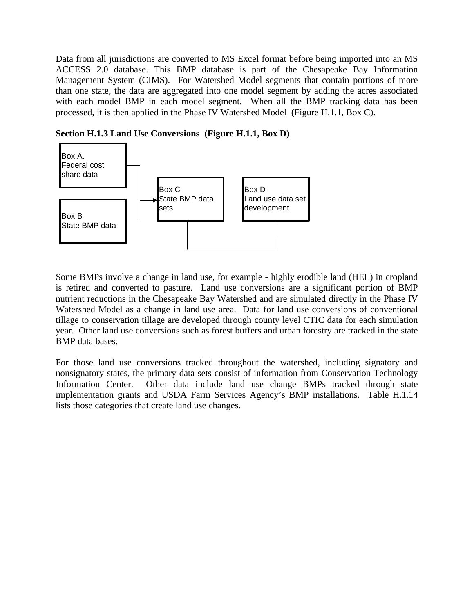Data from all jurisdictions are converted to MS Excel format before being imported into an MS ACCESS 2.0 database. This BMP database is part of the Chesapeake Bay Information Management System (CIMS). For Watershed Model segments that contain portions of more than one state, the data are aggregated into one model segment by adding the acres associated with each model BMP in each model segment. When all the BMP tracking data has been processed, it is then applied in the Phase IV Watershed Model (Figure H.1.1, Box C).

**Section H.1.3 Land Use Conversions (Figure H.1.1, Box D)**



Some BMPs involve a change in land use, for example - highly erodible land (HEL) in cropland is retired and converted to pasture. Land use conversions are a significant portion of BMP nutrient reductions in the Chesapeake Bay Watershed and are simulated directly in the Phase IV Watershed Model as a change in land use area. Data for land use conversions of conventional tillage to conservation tillage are developed through county level CTIC data for each simulation year. Other land use conversions such as forest buffers and urban forestry are tracked in the state BMP data bases.

For those land use conversions tracked throughout the watershed, including signatory and nonsignatory states, the primary data sets consist of information from Conservation Technology Information Center. Other data include land use change BMPs tracked through state implementation grants and USDA Farm Services Agency's BMP installations. Table H.1.14 lists those categories that create land use changes.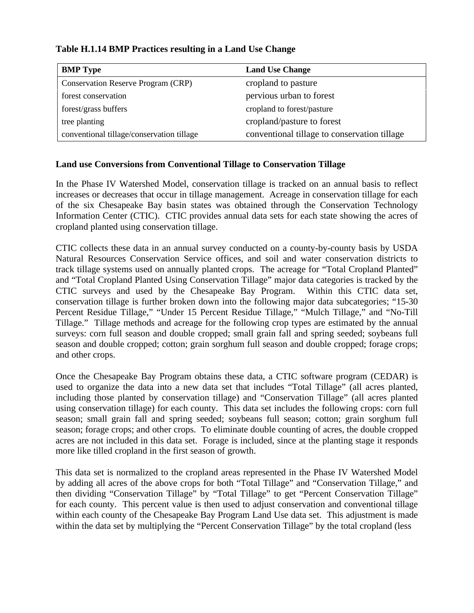| <b>BMP</b> Type                           | <b>Land Use Change</b>                       |
|-------------------------------------------|----------------------------------------------|
| <b>Conservation Reserve Program (CRP)</b> | cropland to pasture                          |
| forest conservation                       | pervious urban to forest                     |
| forest/grass buffers                      | cropland to forest/pasture                   |
| tree planting                             | cropland/pasture to forest                   |
| conventional tillage/conservation tillage | conventional tillage to conservation tillage |

### **Table H.1.14 BMP Practices resulting in a Land Use Change**

#### **Land use Conversions from Conventional Tillage to Conservation Tillage**

In the Phase IV Watershed Model, conservation tillage is tracked on an annual basis to reflect increases or decreases that occur in tillage management. Acreage in conservation tillage for each of the six Chesapeake Bay basin states was obtained through the Conservation Technology Information Center (CTIC). CTIC provides annual data sets for each state showing the acres of cropland planted using conservation tillage.

CTIC collects these data in an annual survey conducted on a county-by-county basis by USDA Natural Resources Conservation Service offices, and soil and water conservation districts to track tillage systems used on annually planted crops. The acreage for "Total Cropland Planted" and "Total Cropland Planted Using Conservation Tillage" major data categories is tracked by the CTIC surveys and used by the Chesapeake Bay Program. Within this CTIC data set, conservation tillage is further broken down into the following major data subcategories; "15-30 Percent Residue Tillage," "Under 15 Percent Residue Tillage," "Mulch Tillage," and "No-Till Tillage." Tillage methods and acreage for the following crop types are estimated by the annual surveys: corn full season and double cropped; small grain fall and spring seeded; soybeans full season and double cropped; cotton; grain sorghum full season and double cropped; forage crops; and other crops.

Once the Chesapeake Bay Program obtains these data, a CTIC software program (CEDAR) is used to organize the data into a new data set that includes "Total Tillage" (all acres planted, including those planted by conservation tillage) and "Conservation Tillage" (all acres planted using conservation tillage) for each county. This data set includes the following crops: corn full season; small grain fall and spring seeded; soybeans full season; cotton; grain sorghum full season; forage crops; and other crops. To eliminate double counting of acres, the double cropped acres are not included in this data set. Forage is included, since at the planting stage it responds more like tilled cropland in the first season of growth.

This data set is normalized to the cropland areas represented in the Phase IV Watershed Model by adding all acres of the above crops for both "Total Tillage" and "Conservation Tillage," and then dividing "Conservation Tillage" by "Total Tillage" to get "Percent Conservation Tillage" for each county. This percent value is then used to adjust conservation and conventional tillage within each county of the Chesapeake Bay Program Land Use data set. This adjustment is made within the data set by multiplying the "Percent Conservation Tillage" by the total cropland (less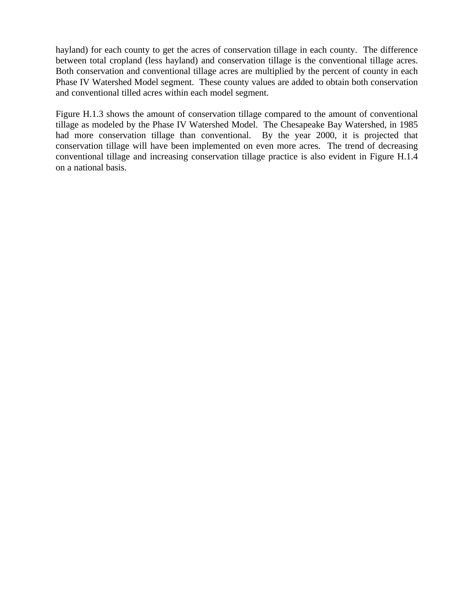hayland) for each county to get the acres of conservation tillage in each county. The difference between total cropland (less hayland) and conservation tillage is the conventional tillage acres. Both conservation and conventional tillage acres are multiplied by the percent of county in each Phase IV Watershed Model segment. These county values are added to obtain both conservation and conventional tilled acres within each model segment.

Figure H.1.3 shows the amount of conservation tillage compared to the amount of conventional tillage as modeled by the Phase IV Watershed Model. The Chesapeake Bay Watershed, in 1985 had more conservation tillage than conventional. By the year 2000, it is projected that conservation tillage will have been implemented on even more acres. The trend of decreasing conventional tillage and increasing conservation tillage practice is also evident in Figure H.1.4 on a national basis.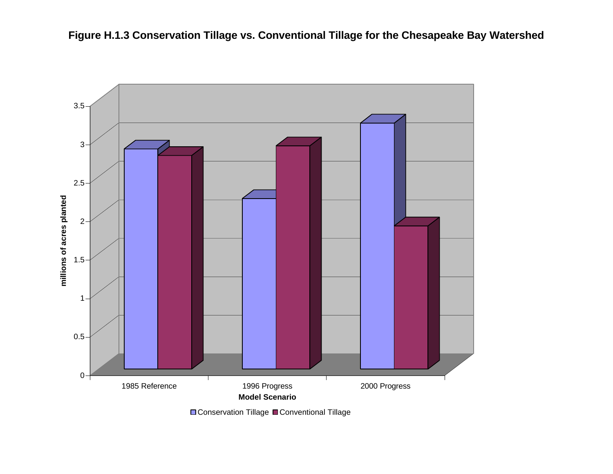



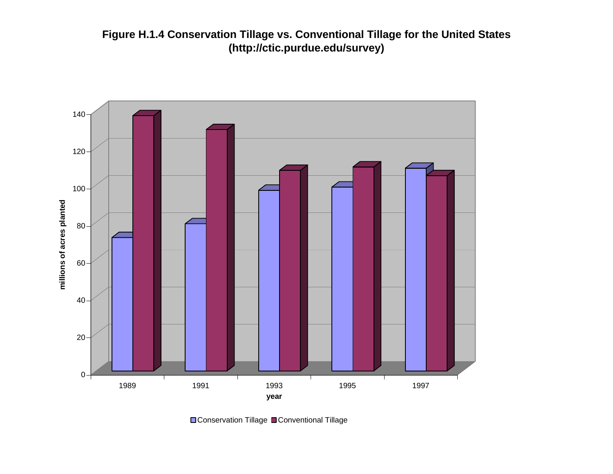**Figure H.1.4 Conservation Tillage vs. Conventional Tillage for the United States (http://ctic.purdue.edu/survey)**



**□ Conservation Tillage ■ Conventional Tillage**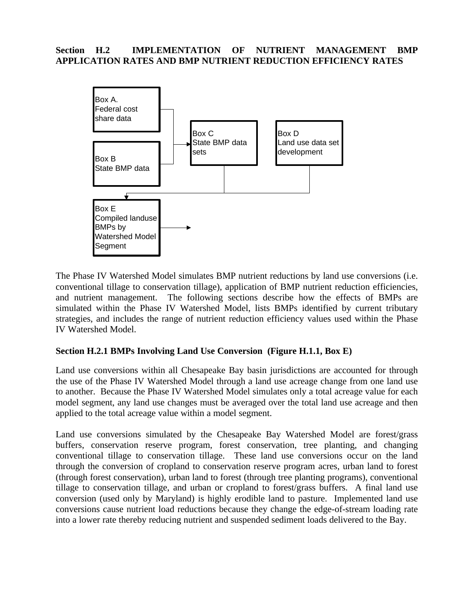### **Section H.2 IMPLEMENTATION OF NUTRIENT MANAGEMENT BMP APPLICATION RATES AND BMP NUTRIENT REDUCTION EFFICIENCY RATES**



The Phase IV Watershed Model simulates BMP nutrient reductions by land use conversions (i.e. conventional tillage to conservation tillage), application of BMP nutrient reduction efficiencies, and nutrient management. The following sections describe how the effects of BMPs are simulated within the Phase IV Watershed Model, lists BMPs identified by current tributary strategies, and includes the range of nutrient reduction efficiency values used within the Phase IV Watershed Model.

### **Section H.2.1 BMPs Involving Land Use Conversion (Figure H.1.1, Box E)**

Land use conversions within all Chesapeake Bay basin jurisdictions are accounted for through the use of the Phase IV Watershed Model through a land use acreage change from one land use to another. Because the Phase IV Watershed Model simulates only a total acreage value for each model segment, any land use changes must be averaged over the total land use acreage and then applied to the total acreage value within a model segment.

Land use conversions simulated by the Chesapeake Bay Watershed Model are forest/grass buffers, conservation reserve program, forest conservation, tree planting, and changing conventional tillage to conservation tillage. These land use conversions occur on the land through the conversion of cropland to conservation reserve program acres, urban land to forest (through forest conservation), urban land to forest (through tree planting programs), conventional tillage to conservation tillage, and urban or cropland to forest/grass buffers. A final land use conversion (used only by Maryland) is highly erodible land to pasture. Implemented land use conversions cause nutrient load reductions because they change the edge-of-stream loading rate into a lower rate thereby reducing nutrient and suspended sediment loads delivered to the Bay.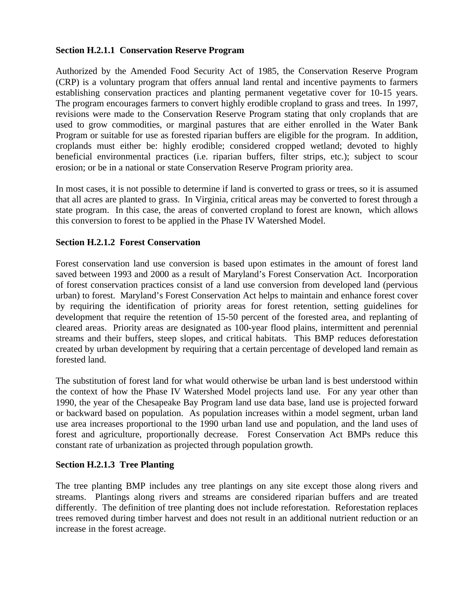### **Section H.2.1.1 Conservation Reserve Program**

Authorized by the Amended Food Security Act of 1985, the Conservation Reserve Program (CRP) is a voluntary program that offers annual land rental and incentive payments to farmers establishing conservation practices and planting permanent vegetative cover for 10-15 years. The program encourages farmers to convert highly erodible cropland to grass and trees. In 1997, revisions were made to the Conservation Reserve Program stating that only croplands that are used to grow commodities, or marginal pastures that are either enrolled in the Water Bank Program or suitable for use as forested riparian buffers are eligible for the program. In addition, croplands must either be: highly erodible; considered cropped wetland; devoted to highly beneficial environmental practices (i.e. riparian buffers, filter strips, etc.); subject to scour erosion; or be in a national or state Conservation Reserve Program priority area.

In most cases, it is not possible to determine if land is converted to grass or trees, so it is assumed that all acres are planted to grass. In Virginia, critical areas may be converted to forest through a state program. In this case, the areas of converted cropland to forest are known, which allows this conversion to forest to be applied in the Phase IV Watershed Model.

### **Section H.2.1.2 Forest Conservation**

Forest conservation land use conversion is based upon estimates in the amount of forest land saved between 1993 and 2000 as a result of Maryland's Forest Conservation Act. Incorporation of forest conservation practices consist of a land use conversion from developed land (pervious urban) to forest. Maryland's Forest Conservation Act helps to maintain and enhance forest cover by requiring the identification of priority areas for forest retention, setting guidelines for development that require the retention of 15-50 percent of the forested area, and replanting of cleared areas. Priority areas are designated as 100-year flood plains, intermittent and perennial streams and their buffers, steep slopes, and critical habitats. This BMP reduces deforestation created by urban development by requiring that a certain percentage of developed land remain as forested land.

The substitution of forest land for what would otherwise be urban land is best understood within the context of how the Phase IV Watershed Model projects land use. For any year other than 1990, the year of the Chesapeake Bay Program land use data base, land use is projected forward or backward based on population. As population increases within a model segment, urban land use area increases proportional to the 1990 urban land use and population, and the land uses of forest and agriculture, proportionally decrease. Forest Conservation Act BMPs reduce this constant rate of urbanization as projected through population growth.

### **Section H.2.1.3 Tree Planting**

The tree planting BMP includes any tree plantings on any site except those along rivers and streams. Plantings along rivers and streams are considered riparian buffers and are treated differently. The definition of tree planting does not include reforestation. Reforestation replaces trees removed during timber harvest and does not result in an additional nutrient reduction or an increase in the forest acreage.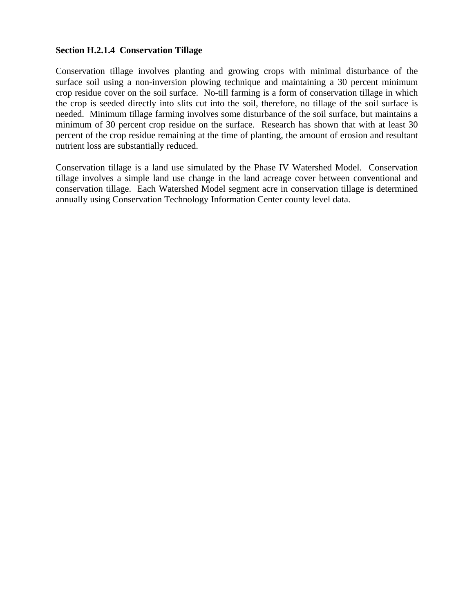#### **Section H.2.1.4 Conservation Tillage**

Conservation tillage involves planting and growing crops with minimal disturbance of the surface soil using a non-inversion plowing technique and maintaining a 30 percent minimum crop residue cover on the soil surface. No-till farming is a form of conservation tillage in which the crop is seeded directly into slits cut into the soil, therefore, no tillage of the soil surface is needed. Minimum tillage farming involves some disturbance of the soil surface, but maintains a minimum of 30 percent crop residue on the surface. Research has shown that with at least 30 percent of the crop residue remaining at the time of planting, the amount of erosion and resultant nutrient loss are substantially reduced.

Conservation tillage is a land use simulated by the Phase IV Watershed Model. Conservation tillage involves a simple land use change in the land acreage cover between conventional and conservation tillage. Each Watershed Model segment acre in conservation tillage is determined annually using Conservation Technology Information Center county level data.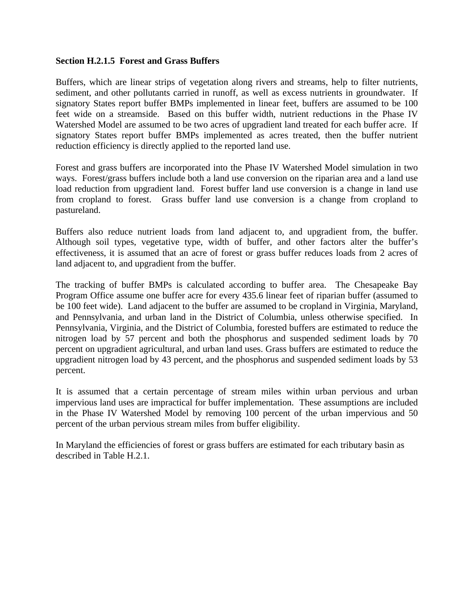#### **Section H.2.1.5 Forest and Grass Buffers**

Buffers, which are linear strips of vegetation along rivers and streams, help to filter nutrients, sediment, and other pollutants carried in runoff, as well as excess nutrients in groundwater. If signatory States report buffer BMPs implemented in linear feet, buffers are assumed to be 100 feet wide on a streamside. Based on this buffer width, nutrient reductions in the Phase IV Watershed Model are assumed to be two acres of upgradient land treated for each buffer acre. If signatory States report buffer BMPs implemented as acres treated, then the buffer nutrient reduction efficiency is directly applied to the reported land use.

Forest and grass buffers are incorporated into the Phase IV Watershed Model simulation in two ways. Forest/grass buffers include both a land use conversion on the riparian area and a land use load reduction from upgradient land. Forest buffer land use conversion is a change in land use from cropland to forest. Grass buffer land use conversion is a change from cropland to pastureland.

Buffers also reduce nutrient loads from land adjacent to, and upgradient from, the buffer. Although soil types, vegetative type, width of buffer, and other factors alter the buffer's effectiveness, it is assumed that an acre of forest or grass buffer reduces loads from 2 acres of land adjacent to, and upgradient from the buffer.

The tracking of buffer BMPs is calculated according to buffer area. The Chesapeake Bay Program Office assume one buffer acre for every 435.6 linear feet of riparian buffer (assumed to be 100 feet wide). Land adjacent to the buffer are assumed to be cropland in Virginia, Maryland, and Pennsylvania, and urban land in the District of Columbia, unless otherwise specified. In Pennsylvania, Virginia, and the District of Columbia, forested buffers are estimated to reduce the nitrogen load by 57 percent and both the phosphorus and suspended sediment loads by 70 percent on upgradient agricultural, and urban land uses. Grass buffers are estimated to reduce the upgradient nitrogen load by 43 percent, and the phosphorus and suspended sediment loads by 53 percent.

It is assumed that a certain percentage of stream miles within urban pervious and urban impervious land uses are impractical for buffer implementation. These assumptions are included in the Phase IV Watershed Model by removing 100 percent of the urban impervious and 50 percent of the urban pervious stream miles from buffer eligibility.

In Maryland the efficiencies of forest or grass buffers are estimated for each tributary basin as described in Table H.2.1.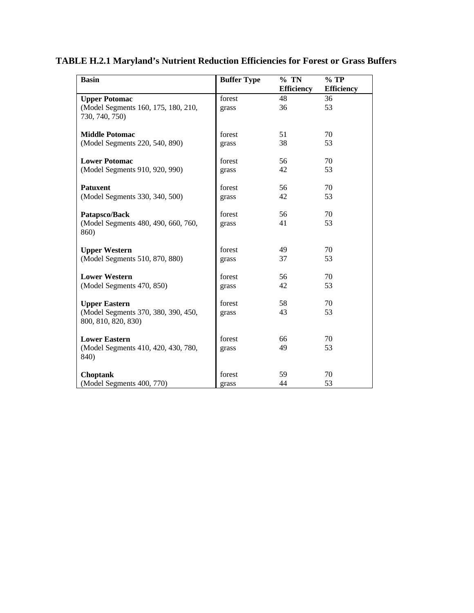| <b>Basin</b>                                               | <b>Buffer Type</b> | $%$ TN<br><b>Efficiency</b> | $%$ TP<br><b>Efficiency</b> |
|------------------------------------------------------------|--------------------|-----------------------------|-----------------------------|
| <b>Upper Potomac</b>                                       | forest             | 48                          | 36                          |
| (Model Segments 160, 175, 180, 210,<br>730, 740, 750)      | grass              | 36                          | 53                          |
| <b>Middle Potomac</b>                                      | forest             | 51                          | 70                          |
| (Model Segments 220, 540, 890)                             | grass              | 38                          | 53                          |
| <b>Lower Potomac</b>                                       | forest             | 56                          | 70                          |
| (Model Segments 910, 920, 990)                             | grass              | 42                          | 53                          |
| <b>Patuxent</b>                                            | forest             | 56                          | 70                          |
| (Model Segments 330, 340, 500)                             | grass              | 42                          | 53                          |
| Patapsco/Back                                              | forest             | 56                          | 70                          |
| (Model Segments 480, 490, 660, 760,<br>860)                | grass              | 41                          | 53                          |
| <b>Upper Western</b>                                       | forest             | 49                          | 70                          |
| (Model Segments 510, 870, 880)                             | grass              | 37                          | 53                          |
| <b>Lower Western</b>                                       | forest             | 56                          | 70                          |
| (Model Segments 470, 850)                                  | grass              | 42                          | 53                          |
| <b>Upper Eastern</b>                                       | forest             | 58                          | 70                          |
| (Model Segments 370, 380, 390, 450,<br>800, 810, 820, 830) | grass              | 43                          | 53                          |
| <b>Lower Eastern</b>                                       | forest             | 66                          | 70                          |
| (Model Segments 410, 420, 430, 780,<br>840)                | grass              | 49                          | 53                          |
| <b>Choptank</b>                                            | forest             | 59                          | 70                          |
| (Model Segments 400, 770)                                  | grass              | 44                          | 53                          |

### **TABLE H.2.1 Maryland's Nutrient Reduction Efficiencies for Forest or Grass Buffers**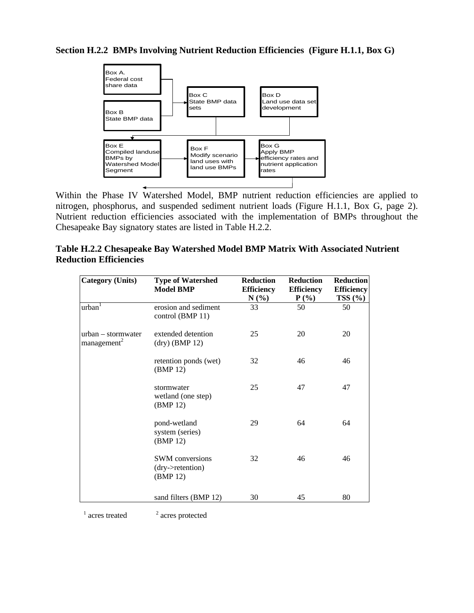### **Section H.2.2 BMPs Involving Nutrient Reduction Efficiencies (Figure H.1.1, Box G)**



Within the Phase IV Watershed Model, BMP nutrient reduction efficiencies are applied to nitrogen, phosphorus, and suspended sediment nutrient loads (Figure H.1.1, Box G, page 2). Nutrient reduction efficiencies associated with the implementation of BMPs throughout the Chesapeake Bay signatory states are listed in Table H.2.2.

| Table H.2.2 Chesapeake Bay Watershed Model BMP Matrix With Associated Nutrient |  |  |
|--------------------------------------------------------------------------------|--|--|
| <b>Reduction Efficiencies</b>                                                  |  |  |

| <b>Category (Units)</b>                       | <b>Type of Watershed</b><br><b>Model BMP</b>           | <b>Reduction</b><br><b>Efficiency</b><br>$N(\%)$ | <b>Reduction</b><br><b>Efficiency</b><br>$P(\%)$ | <b>Reduction</b><br><b>Efficiency</b><br>TSS(%) |
|-----------------------------------------------|--------------------------------------------------------|--------------------------------------------------|--------------------------------------------------|-------------------------------------------------|
| urban <sup>T</sup>                            | erosion and sediment<br>control (BMP 11)               | 33                                               | 50                                               | 50                                              |
| urban – stormwater<br>management <sup>2</sup> | extended detention<br>$dry)$ (BMP 12)                  | 25                                               | 20                                               | 20                                              |
|                                               | retention ponds (wet)<br>(BMP 12)                      | 32                                               | 46                                               | 46                                              |
|                                               | stormwater<br>wetland (one step)<br>(BMP 12)           | 25                                               | 47                                               | 47                                              |
|                                               | pond-wetland<br>system (series)<br>(BMP 12)            | 29                                               | 64                                               | 64                                              |
|                                               | <b>SWM</b> conversions<br>(dry->retention)<br>(BMP 12) | 32                                               | 46                                               | 46                                              |
|                                               | sand filters (BMP 12)                                  | 30                                               | 45                                               | 80                                              |

 $1$  acres treated  $2$ 

 $^{\rm 2}$  acres protected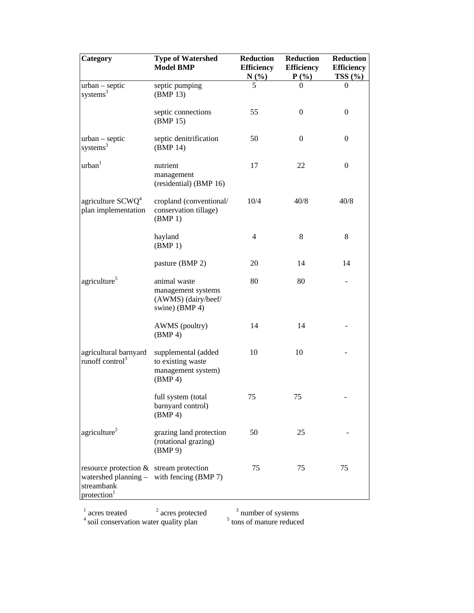| Category                                                                         | <b>Type of Watershed</b><br><b>Model BMP</b>                                | <b>Reduction</b><br><b>Efficiency</b><br>$N(\%)$ | <b>Reduction</b><br><b>Efficiency</b><br>$P(\%)$ | Reduction<br><b>Efficiency</b><br>TSS(%) |
|----------------------------------------------------------------------------------|-----------------------------------------------------------------------------|--------------------------------------------------|--------------------------------------------------|------------------------------------------|
| urban - septic<br>systems <sup>3</sup>                                           | septic pumping<br>(BMP 13)                                                  |                                                  |                                                  | 0                                        |
|                                                                                  | septic connections<br>(BMP 15)                                              | 55                                               | $\mathbf{0}$                                     | $\boldsymbol{0}$                         |
| $urban - septic$<br>systems <sup>3</sup>                                         | septic denitrification<br>(BMP 14)                                          | 50                                               | $\boldsymbol{0}$                                 | $\boldsymbol{0}$                         |
| urban <sup>1</sup>                                                               | nutrient<br>management<br>(residential) (BMP 16)                            | 17                                               | 22                                               | $\boldsymbol{0}$                         |
| agriculture $SCWQ4$<br>plan implementation                                       | cropland (conventional/<br>conservation tillage)<br>(BMP 1)                 | 10/4                                             | 40/8                                             | 40/8                                     |
|                                                                                  | hayland<br>(BMP 1)                                                          | $\overline{4}$                                   | 8                                                | 8                                        |
|                                                                                  | pasture (BMP 2)                                                             | 20                                               | 14                                               | 14                                       |
| agriculture <sup>5</sup>                                                         | animal waste<br>management systems<br>(AWMS) (dairy/beef/<br>swine) (BMP 4) | 80                                               | 80                                               |                                          |
|                                                                                  | AWMS (poultry)<br>(BMP 4)                                                   | 14                                               | 14                                               |                                          |
| agricultural barnyard<br>runoff control <sup>3</sup>                             | supplemental (added<br>to existing waste<br>management system)<br>(BMP 4)   | 10                                               | 10                                               |                                          |
|                                                                                  | full system (total<br>barnyard control)<br>(BMP 4)                          | 75                                               | 75                                               |                                          |
| agriculture <sup>2</sup>                                                         | grazing land protection<br>(rotational grazing)<br>(BMP 9)                  | 50                                               | 25                                               |                                          |
| resource protection & stream protection<br>streambank<br>protection <sup>1</sup> | watershed planning $-$ with fencing (BMP 7)                                 | 75                                               | 75                                               | 75                                       |

 $\frac{1}{2}$  acres protected  $\frac{3}{2}$  number of systems  $4$  soil conservation water quality plan  $5$ tons of manure reduced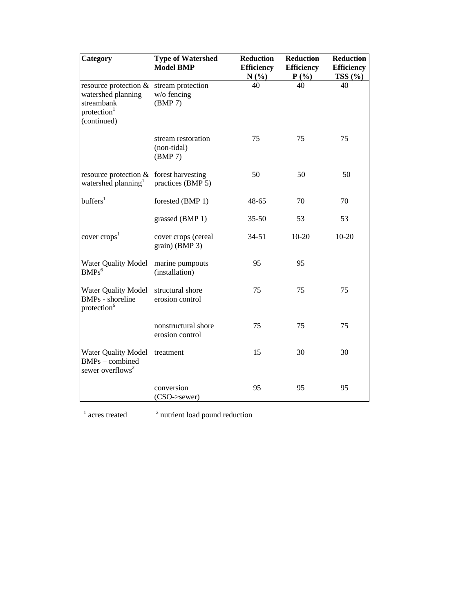| Category                                                                                              | <b>Type of Watershed</b><br><b>Model BMP</b> | <b>Reduction</b><br><b>Efficiency</b><br>N(%) | <b>Reduction</b><br><b>Efficiency</b><br>$P(\%)$ | <b>Reduction</b><br><b>Efficiency</b><br>TSS(%) |
|-------------------------------------------------------------------------------------------------------|----------------------------------------------|-----------------------------------------------|--------------------------------------------------|-------------------------------------------------|
| resource protection &<br>watershed planning -<br>streambank<br>protection <sup>1</sup><br>(continued) | stream protection<br>w/o fencing<br>(BMP 7)  | 40                                            | 40                                               | 40                                              |
|                                                                                                       | stream restoration<br>(non-tidal)<br>(BMP 7) | 75                                            | 75                                               | 75                                              |
| resource protection & forest harvesting<br>watershed planning <sup>1</sup>                            | practices (BMP 5)                            | 50                                            | 50                                               | 50                                              |
| buffer <sup>1</sup>                                                                                   | forested (BMP 1)                             | $48 - 65$                                     | 70                                               | 70                                              |
|                                                                                                       | grassed (BMP 1)                              | $35 - 50$                                     | 53                                               | 53                                              |
| cover crops <sup>1</sup>                                                                              | cover crops (cereal<br>grain) (BMP 3)        | $34 - 51$                                     | $10 - 20$                                        | $10 - 20$                                       |
| Water Quality Model<br>$BMPs^6$                                                                       | marine pumpouts<br>(installation)            | 95                                            | 95                                               |                                                 |
| <b>Water Quality Model</b><br><b>BMPs</b> - shoreline<br>protection <sup>6</sup>                      | structural shore<br>erosion control          | 75                                            | 75                                               | 75                                              |
|                                                                                                       | nonstructural shore<br>erosion control       | 75                                            | 75                                               | 75                                              |
| <b>Water Quality Model</b><br>BMPs - combined<br>sewer overflows <sup>2</sup>                         | treatment                                    | 15                                            | 30                                               | 30                                              |
|                                                                                                       | conversion<br>(CSO->sewer)                   | 95                                            | 95                                               | 95                                              |

 $1$  acres treated  $2$ 

<sup>2</sup> nutrient load pound reduction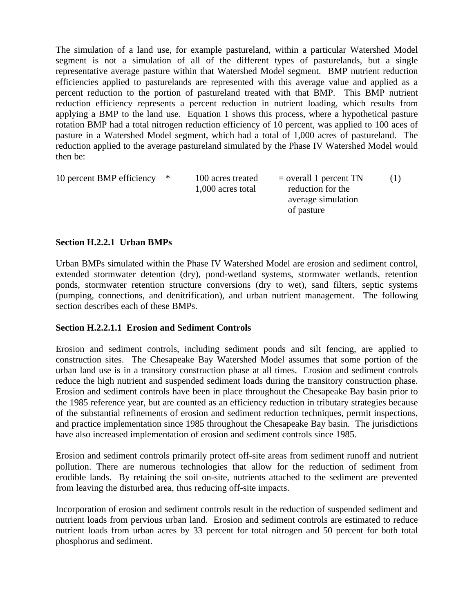The simulation of a land use, for example pastureland, within a particular Watershed Model segment is not a simulation of all of the different types of pasturelands, but a single representative average pasture within that Watershed Model segment. BMP nutrient reduction efficiencies applied to pasturelands are represented with this average value and applied as a percent reduction to the portion of pastureland treated with that BMP. This BMP nutrient reduction efficiency represents a percent reduction in nutrient loading, which results from applying a BMP to the land use. Equation 1 shows this process, where a hypothetical pasture rotation BMP had a total nitrogen reduction efficiency of 10 percent, was applied to 100 aces of pasture in a Watershed Model segment, which had a total of 1,000 acres of pastureland. The reduction applied to the average pastureland simulated by the Phase IV Watershed Model would then be:

| 10 percent BMP efficiency * | 100 acres treated | $=$ overall 1 percent TN |  |
|-----------------------------|-------------------|--------------------------|--|
|                             | 1,000 acres total | reduction for the        |  |
|                             |                   | average simulation       |  |
|                             |                   | of pasture               |  |

### **Section H.2.2.1 Urban BMPs**

Urban BMPs simulated within the Phase IV Watershed Model are erosion and sediment control, extended stormwater detention (dry), pond-wetland systems, stormwater wetlands, retention ponds, stormwater retention structure conversions (dry to wet), sand filters, septic systems (pumping, connections, and denitrification), and urban nutrient management. The following section describes each of these BMPs.

### **Section H.2.2.1.1 Erosion and Sediment Controls**

Erosion and sediment controls, including sediment ponds and silt fencing, are applied to construction sites. The Chesapeake Bay Watershed Model assumes that some portion of the urban land use is in a transitory construction phase at all times. Erosion and sediment controls reduce the high nutrient and suspended sediment loads during the transitory construction phase. Erosion and sediment controls have been in place throughout the Chesapeake Bay basin prior to the 1985 reference year, but are counted as an efficiency reduction in tributary strategies because of the substantial refinements of erosion and sediment reduction techniques, permit inspections, and practice implementation since 1985 throughout the Chesapeake Bay basin. The jurisdictions have also increased implementation of erosion and sediment controls since 1985.

Erosion and sediment controls primarily protect off-site areas from sediment runoff and nutrient pollution. There are numerous technologies that allow for the reduction of sediment from erodible lands. By retaining the soil on-site, nutrients attached to the sediment are prevented from leaving the disturbed area, thus reducing off-site impacts.

Incorporation of erosion and sediment controls result in the reduction of suspended sediment and nutrient loads from pervious urban land. Erosion and sediment controls are estimated to reduce nutrient loads from urban acres by 33 percent for total nitrogen and 50 percent for both total phosphorus and sediment.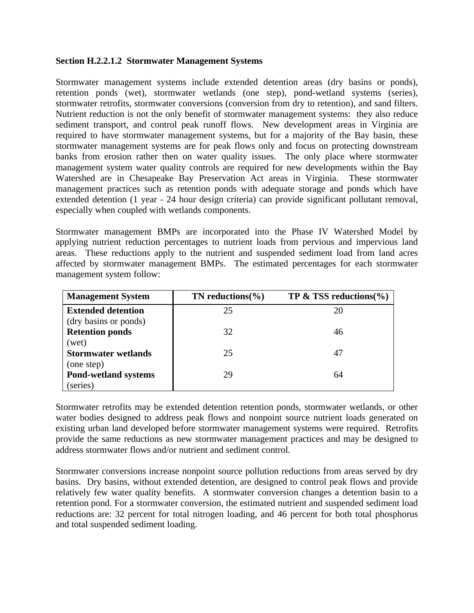#### **Section H.2.2.1.2 Stormwater Management Systems**

Stormwater management systems include extended detention areas (dry basins or ponds), retention ponds (wet), stormwater wetlands (one step), pond-wetland systems (series), stormwater retrofits, stormwater conversions (conversion from dry to retention), and sand filters. Nutrient reduction is not the only benefit of stormwater management systems: they also reduce sediment transport, and control peak runoff flows. New development areas in Virginia are required to have stormwater management systems, but for a majority of the Bay basin, these stormwater management systems are for peak flows only and focus on protecting downstream banks from erosion rather then on water quality issues. The only place where stormwater management system water quality controls are required for new developments within the Bay Watershed are in Chesapeake Bay Preservation Act areas in Virginia. These stormwater management practices such as retention ponds with adequate storage and ponds which have extended detention (1 year - 24 hour design criteria) can provide significant pollutant removal, especially when coupled with wetlands components.

Stormwater management BMPs are incorporated into the Phase IV Watershed Model by applying nutrient reduction percentages to nutrient loads from pervious and impervious land areas. These reductions apply to the nutrient and suspended sediment load from land acres affected by stormwater management BMPs. The estimated percentages for each stormwater management system follow:

| <b>Management System</b>    | TN reductions $\%$ | TP $\&$ TSS reductions(%) |
|-----------------------------|--------------------|---------------------------|
| <b>Extended detention</b>   | 25                 | 20                        |
| (dry basins or ponds)       |                    |                           |
| <b>Retention ponds</b>      | 32                 | 46                        |
| (wet)                       |                    |                           |
| <b>Stormwater wetlands</b>  | 25                 | 47                        |
| (one step)                  |                    |                           |
| <b>Pond-wetland systems</b> | 29                 | 64                        |
| (series)                    |                    |                           |

Stormwater retrofits may be extended detention retention ponds, stormwater wetlands, or other water bodies designed to address peak flows and nonpoint source nutrient loads generated on existing urban land developed before stormwater management systems were required. Retrofits provide the same reductions as new stormwater management practices and may be designed to address stormwater flows and/or nutrient and sediment control.

Stormwater conversions increase nonpoint source pollution reductions from areas served by dry basins. Dry basins, without extended detention, are designed to control peak flows and provide relatively few water quality benefits. A stormwater conversion changes a detention basin to a retention pond. For a stormwater conversion, the estimated nutrient and suspended sediment load reductions are: 32 percent for total nitrogen loading, and 46 percent for both total phosphorus and total suspended sediment loading.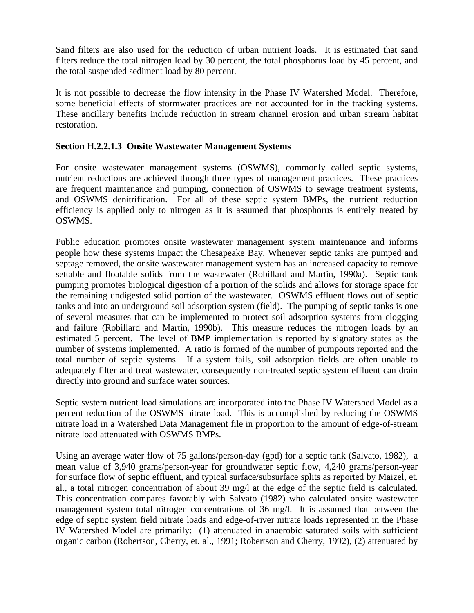Sand filters are also used for the reduction of urban nutrient loads. It is estimated that sand filters reduce the total nitrogen load by 30 percent, the total phosphorus load by 45 percent, and the total suspended sediment load by 80 percent.

It is not possible to decrease the flow intensity in the Phase IV Watershed Model. Therefore, some beneficial effects of stormwater practices are not accounted for in the tracking systems. These ancillary benefits include reduction in stream channel erosion and urban stream habitat restoration.

### **Section H.2.2.1.3 Onsite Wastewater Management Systems**

For onsite wastewater management systems (OSWMS), commonly called septic systems, nutrient reductions are achieved through three types of management practices. These practices are frequent maintenance and pumping, connection of OSWMS to sewage treatment systems, and OSWMS denitrification. For all of these septic system BMPs, the nutrient reduction efficiency is applied only to nitrogen as it is assumed that phosphorus is entirely treated by OSWMS.

Public education promotes onsite wastewater management system maintenance and informs people how these systems impact the Chesapeake Bay. Whenever septic tanks are pumped and septage removed, the onsite wastewater management system has an increased capacity to remove settable and floatable solids from the wastewater (Robillard and Martin, 1990a). Septic tank pumping promotes biological digestion of a portion of the solids and allows for storage space for the remaining undigested solid portion of the wastewater. OSWMS effluent flows out of septic tanks and into an underground soil adsorption system (field). The pumping of septic tanks is one of several measures that can be implemented to protect soil adsorption systems from clogging and failure (Robillard and Martin, 1990b). This measure reduces the nitrogen loads by an estimated 5 percent. The level of BMP implementation is reported by signatory states as the number of systems implemented. A ratio is formed of the number of pumpouts reported and the total number of septic systems. If a system fails, soil adsorption fields are often unable to adequately filter and treat wastewater, consequently non-treated septic system effluent can drain directly into ground and surface water sources.

Septic system nutrient load simulations are incorporated into the Phase IV Watershed Model as a percent reduction of the OSWMS nitrate load. This is accomplished by reducing the OSWMS nitrate load in a Watershed Data Management file in proportion to the amount of edge-of-stream nitrate load attenuated with OSWMS BMPs.

Using an average water flow of 75 gallons/person-day (gpd) for a septic tank (Salvato, 1982), a mean value of 3,940 grams/person-year for groundwater septic flow, 4,240 grams/person-year for surface flow of septic effluent, and typical surface/subsurface splits as reported by Maizel, et. al., a total nitrogen concentration of about 39 mg/l at the edge of the septic field is calculated. This concentration compares favorably with Salvato (1982) who calculated onsite wastewater management system total nitrogen concentrations of 36 mg/l. It is assumed that between the edge of septic system field nitrate loads and edge-of-river nitrate loads represented in the Phase IV Watershed Model are primarily: (1) attenuated in anaerobic saturated soils with sufficient organic carbon (Robertson, Cherry, et. al., 1991; Robertson and Cherry, 1992), (2) attenuated by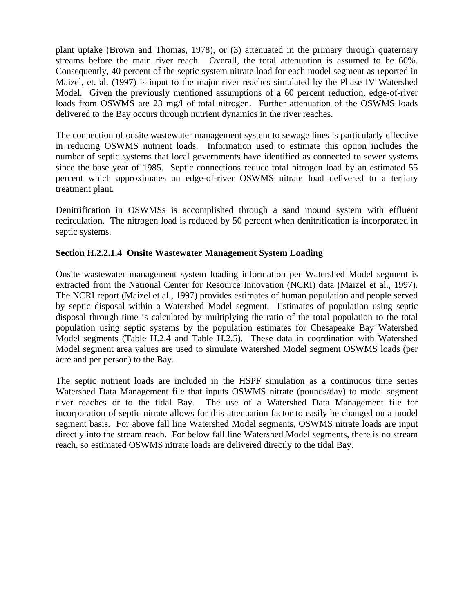plant uptake (Brown and Thomas, 1978), or (3) attenuated in the primary through quaternary streams before the main river reach. Overall, the total attenuation is assumed to be 60%. Consequently, 40 percent of the septic system nitrate load for each model segment as reported in Maizel, et. al. (1997) is input to the major river reaches simulated by the Phase IV Watershed Model. Given the previously mentioned assumptions of a 60 percent reduction, edge-of-river loads from OSWMS are 23 mg/l of total nitrogen. Further attenuation of the OSWMS loads delivered to the Bay occurs through nutrient dynamics in the river reaches.

The connection of onsite wastewater management system to sewage lines is particularly effective in reducing OSWMS nutrient loads. Information used to estimate this option includes the number of septic systems that local governments have identified as connected to sewer systems since the base year of 1985. Septic connections reduce total nitrogen load by an estimated 55 percent which approximates an edge-of-river OSWMS nitrate load delivered to a tertiary treatment plant.

Denitrification in OSWMSs is accomplished through a sand mound system with effluent recirculation. The nitrogen load is reduced by 50 percent when denitrification is incorporated in septic systems.

### **Section H.2.2.1.4 Onsite Wastewater Management System Loading**

Onsite wastewater management system loading information per Watershed Model segment is extracted from the National Center for Resource Innovation (NCRI) data (Maizel et al., 1997). The NCRI report (Maizel et al., 1997) provides estimates of human population and people served by septic disposal within a Watershed Model segment. Estimates of population using septic disposal through time is calculated by multiplying the ratio of the total population to the total population using septic systems by the population estimates for Chesapeake Bay Watershed Model segments (Table H.2.4 and Table H.2.5). These data in coordination with Watershed Model segment area values are used to simulate Watershed Model segment OSWMS loads (per acre and per person) to the Bay.

The septic nutrient loads are included in the HSPF simulation as a continuous time series Watershed Data Management file that inputs OSWMS nitrate (pounds/day) to model segment river reaches or to the tidal Bay. The use of a Watershed Data Management file for incorporation of septic nitrate allows for this attenuation factor to easily be changed on a model segment basis. For above fall line Watershed Model segments, OSWMS nitrate loads are input directly into the stream reach. For below fall line Watershed Model segments, there is no stream reach, so estimated OSWMS nitrate loads are delivered directly to the tidal Bay.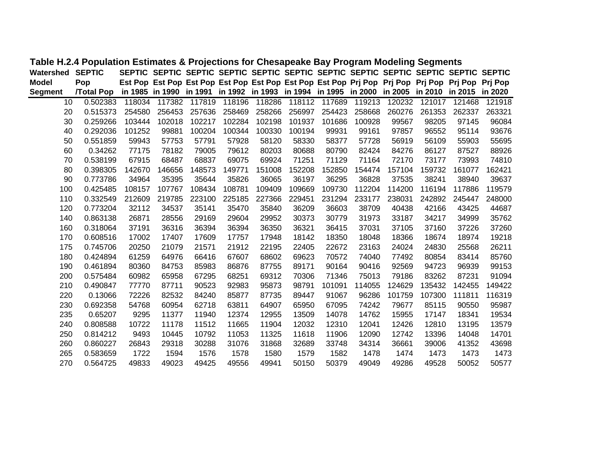| Watershed       | <b>SEPTIC</b>    |        |        |        |        |        |        | SEPTIC SEPTIC SEPTIC SEPTIC SEPTIC SEPTIC SEPTIC SEPTIC SEPTIC SEPTIC SEPTIC SEPTIC             |        |        |        |        |        |
|-----------------|------------------|--------|--------|--------|--------|--------|--------|-------------------------------------------------------------------------------------------------|--------|--------|--------|--------|--------|
| <b>Model</b>    | Pop              |        |        |        |        |        |        | Est Pop Est Pop Est Pop Est Pop Est Pop Est Pop Est Pop Prj Pop Prj Pop Prj Pop Prj Pop Prj Pop |        |        |        |        |        |
| <b>Segment</b>  | <b>Total Pop</b> |        |        |        |        |        |        | in 1985 in 1990 in 1991 in 1992 in 1993 in 1994 in 1995 in 2000 in 2005 in 2010 in 2015 in 2020 |        |        |        |        |        |
| 10 <sup>1</sup> | 0.502383         | 118034 | 117382 | 117819 | 118196 | 118286 |        | 118112 117689                                                                                   | 119213 | 120232 | 121017 | 121468 | 121918 |
| 20              | 0.515373         | 254580 | 256453 | 257636 | 258469 | 258266 | 256997 | 254423                                                                                          | 258668 | 260276 | 261353 | 262337 | 263321 |
| 30              | 0.259266         | 103444 | 102018 | 102217 | 102284 | 102198 | 101937 | 101686                                                                                          | 100928 | 99567  | 98205  | 97145  | 96084  |
| 40              | 0.292036         | 101252 | 99881  | 100204 | 100344 | 100330 | 100194 | 99931                                                                                           | 99161  | 97857  | 96552  | 95114  | 93676  |
| 50              | 0.551859         | 59943  | 57753  | 57791  | 57928  | 58120  | 58330  | 58377                                                                                           | 57728  | 56919  | 56109  | 55903  | 55695  |
| 60              | 0.34262          | 77175  | 78182  | 79005  | 79612  | 80203  | 80688  | 80790                                                                                           | 82424  | 84276  | 86127  | 87527  | 88926  |
| 70              | 0.538199         | 67915  | 68487  | 68837  | 69075  | 69924  | 71251  | 71129                                                                                           | 71164  | 72170  | 73177  | 73993  | 74810  |
| 80              | 0.398305         | 142670 | 146656 | 148573 | 149771 | 151008 | 152208 | 152850                                                                                          | 154474 | 157104 | 159732 | 161077 | 162421 |
| 90              | 0.773786         | 34964  | 35395  | 35644  | 35826  | 36065  | 36197  | 36295                                                                                           | 36828  | 37535  | 38241  | 38940  | 39637  |
| 100             | 0.425485         | 108157 | 107767 | 108434 | 108781 | 109409 | 109669 | 109730                                                                                          | 112204 | 114200 | 116194 | 117886 | 119579 |
| 110             | 0.332549         | 212609 | 219785 | 223100 | 225185 | 227366 | 229451 | 231294                                                                                          | 233177 | 238031 | 242892 | 245447 | 248000 |
| 120             | 0.773204         | 32112  | 34537  | 35141  | 35470  | 35840  | 36209  | 36603                                                                                           | 38709  | 40438  | 42166  | 43425  | 44687  |
| 140             | 0.863138         | 26871  | 28556  | 29169  | 29604  | 29952  | 30373  | 30779                                                                                           | 31973  | 33187  | 34217  | 34999  | 35762  |
| 160             | 0.318064         | 37191  | 36316  | 36394  | 36394  | 36350  | 36321  | 36415                                                                                           | 37031  | 37105  | 37160  | 37226  | 37260  |
| 170             | 0.608516         | 17002  | 17407  | 17609  | 17757  | 17948  | 18142  | 18350                                                                                           | 18048  | 18366  | 18674  | 18974  | 19218  |
| 175             | 0.745706         | 20250  | 21079  | 21571  | 21912  | 22195  | 22405  | 22672                                                                                           | 23163  | 24024  | 24830  | 25568  | 26211  |
| 180             | 0.424894         | 61259  | 64976  | 66416  | 67607  | 68602  | 69623  | 70572                                                                                           | 74040  | 77492  | 80854  | 83414  | 85760  |
| 190             | 0.461894         | 80360  | 84753  | 85983  | 86876  | 87755  | 89171  | 90164                                                                                           | 90416  | 92569  | 94723  | 96939  | 99153  |
| 200             | 0.575484         | 60982  | 65958  | 67295  | 68251  | 69312  | 70306  | 71346                                                                                           | 75013  | 79186  | 83262  | 87231  | 91094  |
| 210             | 0.490847         | 77770  | 87711  | 90523  | 92983  | 95873  | 98791  | 101091                                                                                          | 114055 | 124629 | 135432 | 142455 | 149422 |
| 220             | 0.13066          | 72226  | 82532  | 84240  | 85877  | 87735  | 89447  | 91067                                                                                           | 96286  | 101759 | 107300 | 111811 | 116319 |
| 230             | 0.692358         | 54768  | 60954  | 62718  | 63811  | 64907  | 65950  | 67095                                                                                           | 74242  | 79677  | 85115  | 90550  | 95987  |
| 235             | 0.65207          | 9295   | 11377  | 11940  | 12374  | 12955  | 13509  | 14078                                                                                           | 14762  | 15955  | 17147  | 18341  | 19534  |
| 240             | 0.808588         | 10722  | 11178  | 11512  | 11665  | 11904  | 12032  | 12310                                                                                           | 12041  | 12426  | 12810  | 13195  | 13579  |
| 250             | 0.814212         | 9493   | 10445  | 10792  | 11053  | 11325  | 11618  | 11906                                                                                           | 12090  | 12742  | 13396  | 14048  | 14701  |
| 260             | 0.860227         | 26843  | 29318  | 30288  | 31076  | 31868  | 32689  | 33748                                                                                           | 34314  | 36661  | 39006  | 41352  | 43698  |
| 265             | 0.583659         | 1722   | 1594   | 1576   | 1578   | 1580   | 1579   | 1582                                                                                            | 1478   | 1474   | 1473   | 1473   | 1473   |
| 270             | 0.564725         | 49833  | 49023  | 49425  | 49556  | 49941  | 50150  | 50379                                                                                           | 49049  | 49286  | 49528  | 50052  | 50577  |

## **Table H.2.4 Population Estimates & Projections for Chesapeake Bay Program Modeling Segments**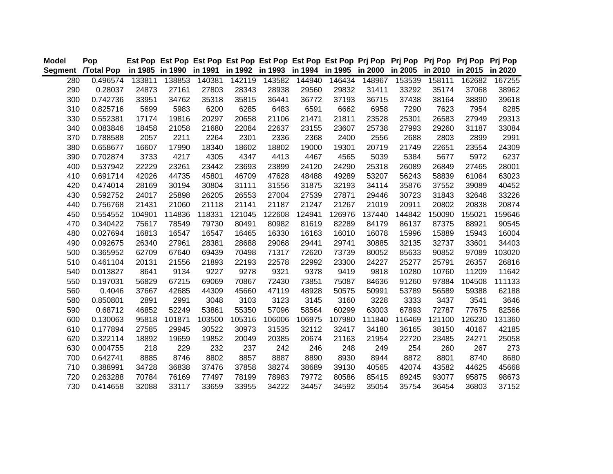| <b>Model</b> | Pop                                                                                                                |        | Est Pop Est Pop Est Pop Est Pop Est Pop Est Pop Est Pop Prj Pop Prj Pop Prj Pop Prj Pop |        |        |        |        |        |        |        |        |        | <b>Pri Pop</b> |
|--------------|--------------------------------------------------------------------------------------------------------------------|--------|-----------------------------------------------------------------------------------------|--------|--------|--------|--------|--------|--------|--------|--------|--------|----------------|
|              | Segment /Total Pop in 1985 in 1990 in 1991 in 1992 in 1993 in 1994 in 1995 in 2000 in 2005 in 2010 in 2015 in 2020 |        |                                                                                         |        |        |        |        |        |        |        |        |        |                |
| 280          | 0.496574                                                                                                           | 133811 | 138853                                                                                  | 140381 | 142119 | 143582 | 144940 | 146434 | 148967 | 153539 | 158111 | 162682 | 167255         |
| 290          | 0.28037                                                                                                            | 24873  | 27161                                                                                   | 27803  | 28343  | 28938  | 29560  | 29832  | 31411  | 33292  | 35174  | 37068  | 38962          |
| 300          | 0.742736                                                                                                           | 33951  | 34762                                                                                   | 35318  | 35815  | 36441  | 36772  | 37193  | 36715  | 37438  | 38164  | 38890  | 39618          |
| 310          | 0.825716                                                                                                           | 5699   | 5983                                                                                    | 6200   | 6285   | 6483   | 6591   | 6662   | 6958   | 7290   | 7623   | 7954   | 8285           |
| 330          | 0.552381                                                                                                           | 17174  | 19816                                                                                   | 20297  | 20658  | 21106  | 21471  | 21811  | 23528  | 25301  | 26583  | 27949  | 29313          |
| 340          | 0.083846                                                                                                           | 18458  | 21058                                                                                   | 21680  | 22084  | 22637  | 23155  | 23607  | 25738  | 27993  | 29260  | 31187  | 33084          |
| 370          | 0.788588                                                                                                           | 2057   | 2211                                                                                    | 2264   | 2301   | 2336   | 2368   | 2400   | 2556   | 2688   | 2803   | 2899   | 2991           |
| 380          | 0.658677                                                                                                           | 16607  | 17990                                                                                   | 18340  | 18602  | 18802  | 19000  | 19301  | 20719  | 21749  | 22651  | 23554  | 24309          |
| 390          | 0.702874                                                                                                           | 3733   | 4217                                                                                    | 4305   | 4347   | 4413   | 4467   | 4565   | 5039   | 5384   | 5677   | 5972   | 6237           |
| 400          | 0.537942                                                                                                           | 22229  | 23261                                                                                   | 23442  | 23693  | 23899  | 24120  | 24290  | 25318  | 26089  | 26849  | 27465  | 28001          |
| 410          | 0.691714                                                                                                           | 42026  | 44735                                                                                   | 45801  | 46709  | 47628  | 48488  | 49289  | 53207  | 56243  | 58839  | 61064  | 63023          |
| 420          | 0.474014                                                                                                           | 28169  | 30194                                                                                   | 30804  | 31111  | 31556  | 31875  | 32193  | 34114  | 35876  | 37552  | 39089  | 40452          |
| 430          | 0.592752                                                                                                           | 24017  | 25898                                                                                   | 26205  | 26553  | 27004  | 27539  | 27871  | 29446  | 30723  | 31843  | 32648  | 33226          |
| 440          | 0.756768                                                                                                           | 21431  | 21060                                                                                   | 21118  | 21141  | 21187  | 21247  | 21267  | 21019  | 20911  | 20802  | 20838  | 20874          |
| 450          | 0.554552                                                                                                           | 104901 | 114836                                                                                  | 118331 | 121045 | 122608 | 124941 | 126976 | 137440 | 144842 | 150090 | 155021 | 159646         |
| 470          | 0.340422                                                                                                           | 75617  | 78549                                                                                   | 79730  | 80491  | 80982  | 81619  | 82289  | 84179  | 86137  | 87375  | 88921  | 90545          |
| 480          | 0.027694                                                                                                           | 16813  | 16547                                                                                   | 16547  | 16465  | 16330  | 16163  | 16010  | 16078  | 15996  | 15889  | 15943  | 16004          |
| 490          | 0.092675                                                                                                           | 26340  | 27961                                                                                   | 28381  | 28688  | 29068  | 29441  | 29741  | 30885  | 32135  | 32737  | 33601  | 34403          |
| 500          | 0.365952                                                                                                           | 62709  | 67640                                                                                   | 69439  | 70498  | 71317  | 72620  | 73739  | 80052  | 85633  | 90852  | 97089  | 103020         |
| 510          | 0.461104                                                                                                           | 20131  | 21556                                                                                   | 21893  | 22193  | 22578  | 22992  | 23300  | 24227  | 25277  | 25791  | 26357  | 26816          |
| 540          | 0.013827                                                                                                           | 8641   | 9134                                                                                    | 9227   | 9278   | 9321   | 9378   | 9419   | 9818   | 10280  | 10760  | 11209  | 11642          |
| 550          | 0.197031                                                                                                           | 56829  | 67215                                                                                   | 69069  | 70867  | 72430  | 73851  | 75087  | 84636  | 91260  | 97884  | 104508 | 111133         |
| 560          | 0.4046                                                                                                             | 37667  | 42685                                                                                   | 44309  | 45660  | 47119  | 48928  | 50575  | 50991  | 53789  | 56589  | 59388  | 62188          |
| 580          | 0.850801                                                                                                           | 2891   | 2991                                                                                    | 3048   | 3103   | 3123   | 3145   | 3160   | 3228   | 3333   | 3437   | 3541   | 3646           |
| 590          | 0.68712                                                                                                            | 46852  | 52249                                                                                   | 53861  | 55350  | 57096  | 58564  | 60299  | 63003  | 67893  | 72787  | 77675  | 82566          |
| 600          | 0.130063                                                                                                           | 95818  | 101871                                                                                  | 103500 | 105316 | 106006 | 106975 | 107980 | 111840 | 116469 | 121100 | 126230 | 131360         |
| 610          | 0.177894                                                                                                           | 27585  | 29945                                                                                   | 30522  | 30973  | 31535  | 32112  | 32417  | 34180  | 36165  | 38150  | 40167  | 42185          |
| 620          | 0.322114                                                                                                           | 18892  | 19659                                                                                   | 19852  | 20049  | 20385  | 20674  | 21163  | 21954  | 22720  | 23485  | 24271  | 25058          |
| 630          | 0.004755                                                                                                           | 218    | 229                                                                                     | 232    | 237    | 242    | 246    | 248    | 249    | 254    | 260    | 267    | 273            |
| 700          | 0.642741                                                                                                           | 8885   | 8746                                                                                    | 8802   | 8857   | 8887   | 8890   | 8930   | 8944   | 8872   | 8801   | 8740   | 8680           |
| 710          | 0.388991                                                                                                           | 34728  | 36838                                                                                   | 37476  | 37858  | 38274  | 38689  | 39130  | 40565  | 42074  | 43582  | 44625  | 45668          |
| 720          | 0.263288                                                                                                           | 70784  | 76169                                                                                   | 77497  | 78199  | 78983  | 79772  | 80586  | 85415  | 89245  | 93077  | 95875  | 98673          |
| 730          | 0.414658                                                                                                           | 32088  | 33117                                                                                   | 33659  | 33955  | 34222  | 34457  | 34592  | 35054  | 35754  | 36454  | 36803  | 37152          |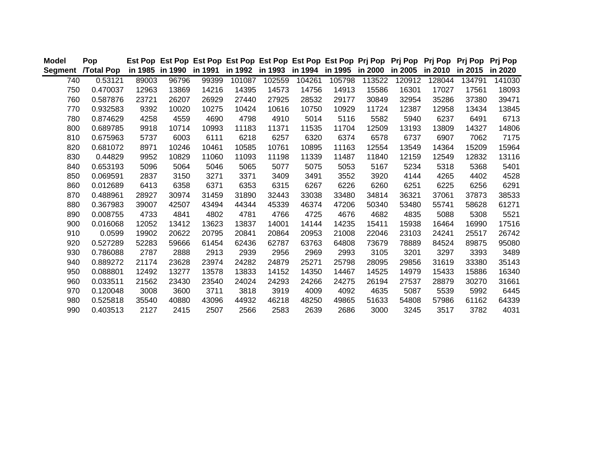| <b>Model</b> | Pop               |       |                         |       |        |                         |        | Est Pop Est Pop Est Pop Est Pop Est Pop Est Pop Est Pop Prj Pop Prj Pop Prj Pop Prj Pop Prj Pop |        |         |         |         |         |
|--------------|-------------------|-------|-------------------------|-------|--------|-------------------------|--------|-------------------------------------------------------------------------------------------------|--------|---------|---------|---------|---------|
| Segment      | <b>/Total Pop</b> |       | in 1985 in 1990 in 1991 |       |        | in 1992 in 1993 in 1994 |        | in 1995 in 2000                                                                                 |        | in 2005 | in 2010 | in 2015 | in 2020 |
| 740          | 0.53121           | 89003 | 96796                   | 99399 | 101087 | 102559                  | 104261 | 105798                                                                                          | 113522 | 120912  | 128044  | 134791  | 141030  |
| 750          | 0.470037          | 12963 | 13869                   | 14216 | 14395  | 14573                   | 14756  | 14913                                                                                           | 15586  | 16301   | 17027   | 17561   | 18093   |
| 760          | 0.587876          | 23721 | 26207                   | 26929 | 27440  | 27925                   | 28532  | 29177                                                                                           | 30849  | 32954   | 35286   | 37380   | 39471   |
| 770          | 0.932583          | 9392  | 10020                   | 10275 | 10424  | 10616                   | 10750  | 10929                                                                                           | 11724  | 12387   | 12958   | 13434   | 13845   |
| 780          | 0.874629          | 4258  | 4559                    | 4690  | 4798   | 4910                    | 5014   | 5116                                                                                            | 5582   | 5940    | 6237    | 6491    | 6713    |
| 800          | 0.689785          | 9918  | 10714                   | 10993 | 11183  | 11371                   | 11535  | 11704                                                                                           | 12509  | 13193   | 13809   | 14327   | 14806   |
| 810          | 0.675963          | 5737  | 6003                    | 6111  | 6218   | 6257                    | 6320   | 6374                                                                                            | 6578   | 6737    | 6907    | 7062    | 7175    |
| 820          | 0.681072          | 8971  | 10246                   | 10461 | 10585  | 10761                   | 10895  | 11163                                                                                           | 12554  | 13549   | 14364   | 15209   | 15964   |
| 830          | 0.44829           | 9952  | 10829                   | 11060 | 11093  | 11198                   | 11339  | 11487                                                                                           | 11840  | 12159   | 12549   | 12832   | 13116   |
| 840          | 0.653193          | 5096  | 5064                    | 5046  | 5065   | 5077                    | 5075   | 5053                                                                                            | 5167   | 5234    | 5318    | 5368    | 5401    |
| 850          | 0.069591          | 2837  | 3150                    | 3271  | 3371   | 3409                    | 3491   | 3552                                                                                            | 3920   | 4144    | 4265    | 4402    | 4528    |
| 860          | 0.012689          | 6413  | 6358                    | 6371  | 6353   | 6315                    | 6267   | 6226                                                                                            | 6260   | 6251    | 6225    | 6256    | 6291    |
| 870          | 0.488961          | 28927 | 30974                   | 31459 | 31890  | 32443                   | 33038  | 33480                                                                                           | 34814  | 36321   | 37061   | 37873   | 38533   |
| 880          | 0.367983          | 39007 | 42507                   | 43494 | 44344  | 45339                   | 46374  | 47206                                                                                           | 50340  | 53480   | 55741   | 58628   | 61271   |
| 890          | 0.008755          | 4733  | 4841                    | 4802  | 4781   | 4766                    | 4725   | 4676                                                                                            | 4682   | 4835    | 5088    | 5308    | 5521    |
| 900          | 0.016068          | 12052 | 13412                   | 13623 | 13837  | 14001                   | 14144  | 14235                                                                                           | 15411  | 15938   | 16464   | 16990   | 17516   |
| 910          | 0.0599            | 19902 | 20622                   | 20795 | 20841  | 20864                   | 20953  | 21008                                                                                           | 22046  | 23103   | 24241   | 25517   | 26742   |
| 920          | 0.527289          | 52283 | 59666                   | 61454 | 62436  | 62787                   | 63763  | 64808                                                                                           | 73679  | 78889   | 84524   | 89875   | 95080   |
| 930          | 0.786088          | 2787  | 2888                    | 2913  | 2939   | 2956                    | 2969   | 2993                                                                                            | 3105   | 3201    | 3297    | 3393    | 3489    |
| 940          | 0.889272          | 21174 | 23628                   | 23974 | 24282  | 24879                   | 25271  | 25798                                                                                           | 28095  | 29856   | 31619   | 33380   | 35143   |
| 950          | 0.088801          | 12492 | 13277                   | 13578 | 13833  | 14152                   | 14350  | 14467                                                                                           | 14525  | 14979   | 15433   | 15886   | 16340   |
| 960          | 0.033511          | 21562 | 23430                   | 23540 | 24024  | 24293                   | 24266  | 24275                                                                                           | 26194  | 27537   | 28879   | 30270   | 31661   |
| 970          | 0.120048          | 3008  | 3600                    | 3711  | 3818   | 3919                    | 4009   | 4092                                                                                            | 4635   | 5087    | 5539    | 5992    | 6445    |
| 980          | 0.525818          | 35540 | 40880                   | 43096 | 44932  | 46218                   | 48250  | 49865                                                                                           | 51633  | 54808   | 57986   | 61162   | 64339   |
| 990          | 0.403513          | 2127  | 2415                    | 2507  | 2566   | 2583                    | 2639   | 2686                                                                                            | 3000   | 3245    | 3517    | 3782    | 4031    |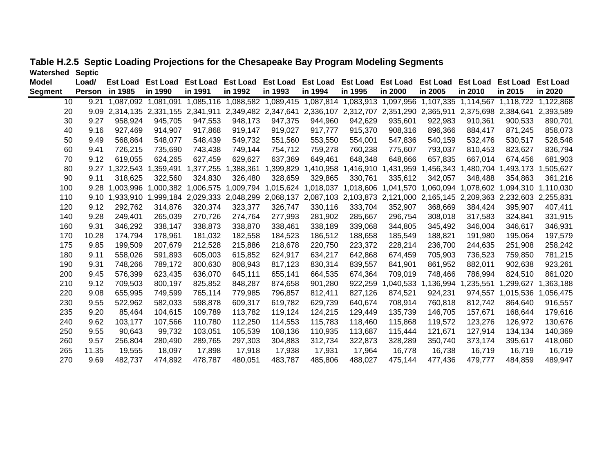| <b>Model</b>   | Load/         | <b>Est Load</b> | <b>Est Load</b>     | <b>Est Load</b>                                                                                                         | Est Load            | <b>Est Load</b> | Est Load                                                                                  | <b>Est Load</b>     | <b>Est Load</b> | <b>Est Load</b>     | <b>Est Load</b> | <b>Est Load</b>     | <b>Est Load</b> |
|----------------|---------------|-----------------|---------------------|-------------------------------------------------------------------------------------------------------------------------|---------------------|-----------------|-------------------------------------------------------------------------------------------|---------------------|-----------------|---------------------|-----------------|---------------------|-----------------|
| <b>Segment</b> | <b>Person</b> | in 1985         | in 1990             | in 1991                                                                                                                 | in 1992             | in 1993         | in 1994                                                                                   | in 1995             | in 2000         | in 2005             | in 2010         | in 2015             | in 2020         |
| 10             | 9.21          |                 | 1,087,092 1,081,091 |                                                                                                                         |                     |                 | 1,085,116 1,088,582 1,089,415 1,087,814 1,083,913 1,097,956 1,107,335 1,114,567 1,118,722 |                     |                 |                     |                 |                     | 1,122,868       |
| 20             | 9.09          |                 |                     | 2,314,135 2,331,155 2,341,911 2,349,482 2,347,641 2,336,107 2,312,707 2,351,290 2,365,911 2,375,698 2,384,641 2,393,589 |                     |                 |                                                                                           |                     |                 |                     |                 |                     |                 |
| 30             | 9.27          | 958,924         | 945,705             | 947,553                                                                                                                 | 948,173             | 947,375         | 944,960                                                                                   | 942,629             | 935,601         | 922,983             | 910,361         | 900,533             | 890,701         |
| 40             | 9.16          | 927,469         | 914,907             | 917,868                                                                                                                 | 919,147             | 919,027         | 917,777                                                                                   | 915,370             | 908,316         | 896,366             | 884,417         | 871,245             | 858,073         |
| 50             | 9.49          | 568,864         | 548,077             | 548,439                                                                                                                 | 549,732             | 551,560         | 553,550                                                                                   | 554,001             | 547,836         | 540,159             | 532,476         | 530,517             | 528,548         |
| 60             | 9.41          | 726,215         | 735,690             | 743,438                                                                                                                 | 749,144             | 754,712         | 759,278                                                                                   | 760,238             | 775,607         | 793,037             | 810,453         | 823,627             | 836,794         |
| 70             | 9.12          | 619,055         | 624,265             | 627,459                                                                                                                 | 629,627             | 637,369         | 649,461                                                                                   | 648,348             | 648,666         | 657,835             | 667,014         | 674,456             | 681,903         |
| 80             | 9.27          |                 |                     |                                                                                                                         | 1,377,255 1,388,361 | 1,399,829       |                                                                                           | 1,410,958 1,416,910 |                 | 1,431,959 1,456,343 |                 | 1,480,704 1,493,173 | 1,505,627       |
| 90             | 9.11          | 318,625         | 322,560             | 324,830                                                                                                                 | 326,480             | 328,659         | 329,865                                                                                   | 330,761             | 335,612         | 342,057             | 348,488         | 354,863             | 361,216         |
| 100            | 9.28          | 1,003,996       | 1,000,382           | 1,006,575                                                                                                               | 1,009,794           |                 | 1,015,624 1,018,037 1,018,606 1,041,570 1,060,094                                         |                     |                 |                     | 1,078,602       | 1,094,310           | 1,110,030       |
| 110            | 9.10          |                 |                     | 1,933,910 1,999,184 2,029,333 2,048,299                                                                                 |                     |                 | 2,068,137 2,087,103 2,103,873 2,121,000 2,165,145 2,209,363 2,232,603 2,255,831           |                     |                 |                     |                 |                     |                 |
| 120            | 9.12          | 292,762         | 314,876             | 320,374                                                                                                                 | 323,377             | 326,747         | 330,116                                                                                   | 333,704             | 352,907         | 368,669             | 384,424         | 395,907             | 407,411         |
| 140            | 9.28          | 249,401         | 265,039             | 270,726                                                                                                                 | 274,764             | 277,993         | 281,902                                                                                   | 285,667             | 296,754         | 308,018             | 317,583         | 324,841             | 331,915         |
| 160            | 9.31          | 346,292         | 338,147             | 338,873                                                                                                                 | 338,870             | 338,461         | 338,189                                                                                   | 339,068             | 344,805         | 345,492             | 346,004         | 346,617             | 346,931         |
| 170            | 10.28         | 174,794         | 178,961             | 181,032                                                                                                                 | 182,558             | 184,523         | 186,512                                                                                   | 188,658             | 185,549         | 188,821             | 191,980         | 195,064             | 197,579         |
| 175            | 9.85          | 199,509         | 207,679             | 212,528                                                                                                                 | 215,886             | 218,678         | 220,750                                                                                   | 223,372             | 228,214         | 236,700             | 244,635         | 251,908             | 258,242         |
| 180            | 9.11          | 558,026         | 591,893             | 605,003                                                                                                                 | 615,852             | 624,917         | 634,217                                                                                   | 642,868             | 674,459         | 705,903             | 736,523         | 759,850             | 781,215         |
| 190            | 9.31          | 748,266         | 789,172             | 800,630                                                                                                                 | 808,943             | 817,123         | 830,314                                                                                   | 839,557             | 841,901         | 861,952             | 882,011         | 902,638             | 923,261         |
| 200            | 9.45          | 576,399         | 623,435             | 636,070                                                                                                                 | 645,111             | 655,141         | 664,535                                                                                   | 674,364             | 709,019         | 748,466             | 786,994         | 824,510             | 861,020         |
| 210            | 9.12          | 709,503         | 800,197             | 825,852                                                                                                                 | 848,287             | 874,658         | 901,280                                                                                   | 922,259             | 1,040,533       | 1,136,994           | ,235,551        | 1,299,627           | 1,363,188       |
| 220            | 9.08          | 655,995         | 749,599             | 765,114                                                                                                                 | 779,985             | 796,857         | 812,411                                                                                   | 827,126             | 874,521         | 924,231             | 974,557         | 1,015,536           | 1,056,475       |
| 230            | 9.55          | 522,962         | 582,033             | 598,878                                                                                                                 | 609,317             | 619,782         | 629,739                                                                                   | 640,674             | 708,914         | 760,818             | 812,742         | 864,640             | 916,557         |
| 235            | 9.20          | 85,464          | 104,615             | 109,789                                                                                                                 | 113,782             | 119,124         | 124,215                                                                                   | 129,449             | 135,739         | 146,705             | 157,671         | 168,644             | 179,616         |
| 240            | 9.62          | 103,177         | 107,566             | 110,780                                                                                                                 | 112,250             | 114,553         | 115,783                                                                                   | 118,460             | 115,868         | 119,572             | 123,276         | 126,972             | 130,676         |
| 250            | 9.55          | 90,643          | 99,732              | 103,051                                                                                                                 | 105,539             | 108,136         | 110,935                                                                                   | 113,687             | 115,444         | 121,671             | 127,914         | 134,134             | 140,369         |
| 260            | 9.57          | 256,804         | 280,490             | 289,765                                                                                                                 | 297,303             | 304,883         | 312,734                                                                                   | 322,873             | 328,289         | 350,740             | 373,174         | 395,617             | 418,060         |
| 265            | 11.35         | 19,555          | 18,097              | 17,898                                                                                                                  | 17,918              | 17,938          | 17,931                                                                                    | 17,964              | 16,778          | 16,738              | 16,719          | 16,719              | 16,719          |
| 270            | 9.69          | 482,737         | 474,892             | 478,787                                                                                                                 | 480,051             | 483,787         | 485,806                                                                                   | 488,027             | 475,144         | 477,436             | 479,777         | 484,859             | 489,947         |

### **Table H.2.5 Septic Loading Projections for the Chesapeake Bay Program Modeling Segments Watershed Septic**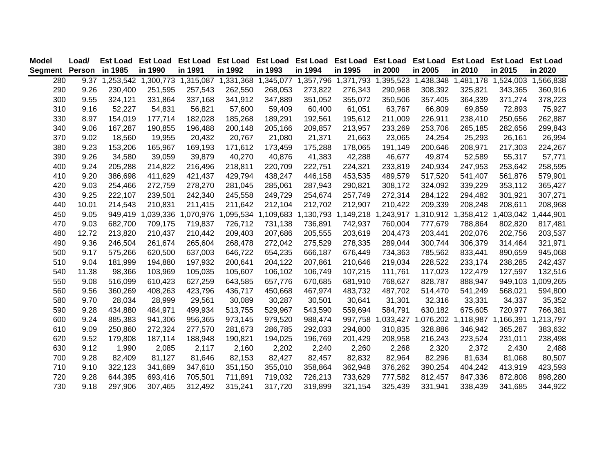| Model                  | Load/ | <b>Est Load</b> | <b>Est Load Est Load</b> |         | Est Load Est Load Est Load Est Load Est Load Est Load Est Load                       |         |         |         |                     |         |                     | <b>Est Load Est Load</b>                |                     |
|------------------------|-------|-----------------|--------------------------|---------|--------------------------------------------------------------------------------------|---------|---------|---------|---------------------|---------|---------------------|-----------------------------------------|---------------------|
| Segment Person in 1985 |       |                 | in 1990                  | in 1991 | in 1992                                                                              | in 1993 | in 1994 | in 1995 | in 2000             | in 2005 | in 2010             | in 2015                                 | in 2020             |
| 280                    |       |                 |                          |         | 9.37 1,253,542 1,300,773 1,315,087 1,331,368 1,345,077 1,357,796 1,371,793 1,395,523 |         |         |         |                     |         |                     | 1,438,348 1,481,178 1,524,003 1,566,838 |                     |
| 290                    | 9.26  | 230,400         | 251,595                  | 257,543 | 262,550                                                                              | 268,053 | 273,822 | 276,343 | 290,968             | 308,392 | 325,821             | 343,365                                 | 360,916             |
| 300                    | 9.55  | 324,121         | 331,864                  | 337,168 | 341,912                                                                              | 347,889 | 351,052 | 355,072 | 350,506             | 357,405 | 364,339             | 371,274                                 | 378,223             |
| 310                    | 9.16  | 52,227          | 54,831                   | 56,821  | 57,600                                                                               | 59,409  | 60,400  | 61,051  | 63,767              | 66,809  | 69,859              | 72,893                                  | 75,927              |
| 330                    | 8.97  | 154,019         | 177,714                  | 182,028 | 185,268                                                                              | 189,291 | 192,561 | 195,612 | 211,009             | 226,911 | 238,410             | 250,656                                 | 262,887             |
| 340                    | 9.06  | 167,287         | 190,855                  | 196,488 | 200,148                                                                              | 205,166 | 209,857 | 213,957 | 233,269             | 253,706 | 265,185             | 282,656                                 | 299,843             |
| 370                    | 9.02  | 18,560          | 19,955                   | 20,432  | 20,767                                                                               | 21,080  | 21,371  | 21,663  | 23,065              | 24,254  | 25,293              | 26,161                                  | 26,994              |
| 380                    | 9.23  | 153,206         | 165,967                  | 169,193 | 171,612                                                                              | 173,459 | 175,288 | 178,065 | 191,149             | 200,646 | 208,971             | 217,303                                 | 224,267             |
| 390                    | 9.26  | 34,580          | 39,059                   | 39,879  | 40,270                                                                               | 40,876  | 41,383  | 42,288  | 46,677              | 49,874  | 52,589              | 55,317                                  | 57,771              |
| 400                    | 9.24  | 205,288         | 214,822                  | 216,496 | 218,811                                                                              | 220,709 | 222,751 | 224,321 | 233,819             | 240,934 | 247,953             | 253,642                                 | 258,595             |
| 410                    | 9.20  | 386,698         | 411,629                  | 421,437 | 429,794                                                                              | 438,247 | 446,158 | 453,535 | 489,579             | 517,520 | 541,407             | 561,876                                 | 579,901             |
| 420                    | 9.03  | 254,466         | 272,759                  | 278,270 | 281,045                                                                              | 285,061 | 287,943 | 290,821 | 308,172             | 324,092 | 339,229             | 353,112                                 | 365,427             |
| 430                    | 9.25  | 222,107         | 239,501                  | 242,340 | 245,558                                                                              | 249,729 | 254,674 | 257,749 | 272,314             | 284,122 | 294,482             | 301,921                                 | 307,271             |
| 440                    | 10.01 | 214,543         | 210,831                  | 211,415 | 211,642                                                                              | 212,104 | 212,702 | 212,907 | 210,422             | 209,339 | 208,248             | 208,611                                 | 208,968             |
| 450                    | 9.05  | 949,419         |                          |         | 1,039,336 1,070,976 1,095,534 1,109,683 1,130,793                                    |         |         |         | 1,149,218 1,243,917 |         | 1,310,912 1,358,412 |                                         | 1,403,042 1,444,901 |
| 470                    | 9.03  | 682,700         | 709,175                  | 719,837 | 726,712                                                                              | 731,138 | 736,891 | 742,937 | 760,004             | 777,679 | 788,864             | 802,820                                 | 817,481             |
| 480                    | 12.72 | 213,820         | 210,437                  | 210,442 | 209,403                                                                              | 207,686 | 205,555 | 203,619 | 204,473             | 203,441 | 202,076             | 202,756                                 | 203,537             |
| 490                    | 9.36  | 246,504         | 261,674                  | 265,604 | 268,478                                                                              | 272,042 | 275,529 | 278,335 | 289,044             | 300,744 | 306,379             | 314,464                                 | 321,971             |
| 500                    | 9.17  | 575,266         | 620,500                  | 637,003 | 646,722                                                                              | 654,235 | 666,187 | 676,449 | 734,363             | 785,562 | 833,441             | 890,659                                 | 945,068             |
| 510                    | 9.04  | 181,999         | 194,880                  | 197,932 | 200,641                                                                              | 204,122 | 207,861 | 210,646 | 219,034             | 228,522 | 233,174             | 238,285                                 | 242,437             |
| 540                    | 11.38 | 98,366          | 103,969                  | 105,035 | 105,607                                                                              | 106,102 | 106,749 | 107,215 | 111,761             | 117,023 | 122,479             | 127,597                                 | 132,516             |
| 550                    | 9.08  | 516,099         | 610,423                  | 627,259 | 643,585                                                                              | 657,776 | 670,685 | 681,910 | 768,627             | 828,787 | 888,947             |                                         | 949,103 1,009,265   |
| 560                    | 9.56  | 360,269         | 408,263                  | 423,796 | 436,717                                                                              | 450,668 | 467,974 | 483,732 | 487,702             | 514,470 | 541,249             | 568,021                                 | 594,800             |
| 580                    | 9.70  | 28,034          | 28,999                   | 29,561  | 30,089                                                                               | 30,287  | 30,501  | 30,641  | 31,301              | 32,316  | 33,331              | 34,337                                  | 35,352              |
| 590                    | 9.28  | 434,880         | 484,971                  | 499,934 | 513,755                                                                              | 529,967 | 543,590 | 559,694 | 584,791             | 630,182 | 675,605             | 720,977                                 | 766,381             |
| 600                    | 9.24  | 885,383         | 941,306                  | 956,365 | 973,145                                                                              | 979,520 | 988,474 |         | 997,758 1,033,427   |         |                     | 1,076,202 1,118,987 1,166,391 1,213,797 |                     |
| 610                    | 9.09  | 250,860         | 272,324                  | 277,570 | 281,673                                                                              | 286,785 | 292,033 | 294,800 | 310,835             | 328,886 | 346,942             | 365,287                                 | 383,632             |
| 620                    | 9.52  | 179,808         | 187,114                  | 188,948 | 190,821                                                                              | 194,025 | 196,769 | 201,429 | 208,958             | 216,243 | 223,524             | 231,011                                 | 238,498             |
| 630                    | 9.12  | 1,990           | 2,085                    | 2,117   | 2,160                                                                                | 2,202   | 2,240   | 2,260   | 2,268               | 2,320   | 2,372               | 2,430                                   | 2,488               |
| 700                    | 9.28  | 82,409          | 81,127                   | 81,646  | 82,153                                                                               | 82,427  | 82,457  | 82,832  | 82,964              | 82,296  | 81,634              | 81,068                                  | 80,507              |
| 710                    | 9.10  | 322,123         | 341,689                  | 347,610 | 351,150                                                                              | 355,010 | 358,864 | 362,948 | 376,262             | 390,254 | 404,242             | 413,919                                 | 423,593             |
| 720                    | 9.28  | 644,395         | 693,416                  | 705,501 | 711,891                                                                              | 719,032 | 726,213 | 733,629 | 777,582             | 812,457 | 847,336             | 872,808                                 | 898,280             |
| 730                    | 9.18  | 297,906         | 307,465                  | 312,492 | 315,241                                                                              | 317,720 | 319,899 | 321,154 | 325,439             | 331,941 | 338,439             | 341,685                                 | 344,922             |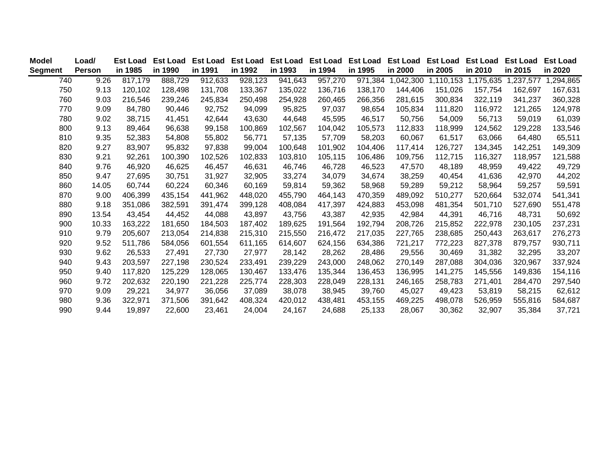| <b>Model</b>   | Load/  | <b>Est Load</b> | <b>Est Load</b> | <b>Est Load</b> | <b>Est Load</b> | <b>Est Load</b> | <b>Est Load</b> | <b>Est Load</b> | <b>Est Load</b> | <b>Est Load</b> | <b>Est Load</b> | <b>Est Load</b> | <b>Est Load</b> |
|----------------|--------|-----------------|-----------------|-----------------|-----------------|-----------------|-----------------|-----------------|-----------------|-----------------|-----------------|-----------------|-----------------|
| <b>Segment</b> | Person | in 1985         | in 1990         | in 1991         | in 1992         | in 1993         | in 1994         | in 1995         | in 2000         | in 2005         | in 2010         | in 2015         | in 2020         |
| 740            | 9.26   | 817,179         | 888,729         | 912,633         | 928,123         | 941,643         | 957,270         | 971,384         | 1,042,300       | 1,110,153       | 1,175,635       | 1,237,577       | 1,294,865       |
| 750            | 9.13   | 120,102         | 128,498         | 131.708         | 133,367         | 135,022         | 136,716         | 138,170         | 144,406         | 151,026         | 157,754         | 162,697         | 167,631         |
| 760            | 9.03   | 216,546         | 239,246         | 245,834         | 250,498         | 254,928         | 260,465         | 266,356         | 281,615         | 300,834         | 322,119         | 341,237         | 360,328         |
| 770            | 9.09   | 84,780          | 90,446          | 92,752          | 94,099          | 95,825          | 97,037          | 98,654          | 105,834         | 111,820         | 116,972         | 121,265         | 124,978         |
| 780            | 9.02   | 38,715          | 41,451          | 42,644          | 43,630          | 44,648          | 45,595          | 46,517          | 50,756          | 54,009          | 56,713          | 59,019          | 61,039          |
| 800            | 9.13   | 89,464          | 96,638          | 99,158          | 100,869         | 102,567         | 104,042         | 105,573         | 112,833         | 118,999         | 124,562         | 129,228         | 133,546         |
| 810            | 9.35   | 52,383          | 54,808          | 55,802          | 56,771          | 57,135          | 57,709          | 58,203          | 60,067          | 61,517          | 63,066          | 64,480          | 65,511          |
| 820            | 9.27   | 83,907          | 95,832          | 97,838          | 99,004          | 100,648         | 101,902         | 104,406         | 117,414         | 126,727         | 134,345         | 142,251         | 149,309         |
| 830            | 9.21   | 92,261          | 100,390         | 102,526         | 102,833         | 103,810         | 105,115         | 106,486         | 109,756         | 112,715         | 116,327         | 118,957         | 121,588         |
| 840            | 9.76   | 46,920          | 46,625          | 46,457          | 46,631          | 46,746          | 46,728          | 46,523          | 47,570          | 48,189          | 48,959          | 49,422          | 49,729          |
| 850            | 9.47   | 27,695          | 30,751          | 31,927          | 32,905          | 33,274          | 34,079          | 34,674          | 38,259          | 40,454          | 41,636          | 42,970          | 44,202          |
| 860            | 14.05  | 60,744          | 60,224          | 60,346          | 60,169          | 59,814          | 59,362          | 58,968          | 59,289          | 59,212          | 58,964          | 59,257          | 59,591          |
| 870            | 9.00   | 406,399         | 435,154         | 441,962         | 448,020         | 455,790         | 464,143         | 470,359         | 489,092         | 510,277         | 520,664         | 532,074         | 541,341         |
| 880            | 9.18   | 351,086         | 382,591         | 391,474         | 399,128         | 408,084         | 417,397         | 424,883         | 453,098         | 481,354         | 501,710         | 527,690         | 551,478         |
| 890            | 13.54  | 43,454          | 44,452          | 44,088          | 43,897          | 43,756          | 43,387          | 42,935          | 42,984          | 44,391          | 46,716          | 48,731          | 50,692          |
| 900            | 10.33  | 163,222         | 181,650         | 184,503         | 187,402         | 189,625         | 191,564         | 192,794         | 208,726         | 215,852         | 222,978         | 230,105         | 237,231         |
| 910            | 9.79   | 205,607         | 213,054         | 214,838         | 215,310         | 215,550         | 216,472         | 217,035         | 227,765         | 238,685         | 250,443         | 263,617         | 276,273         |
| 920            | 9.52   | 511,786         | 584,056         | 601,554         | 611,165         | 614,607         | 624,156         | 634,386         | 721,217         | 772,223         | 827,378         | 879,757         | 930,711         |
| 930            | 9.62   | 26,533          | 27,491          | 27,730          | 27,977          | 28,142          | 28,262          | 28,486          | 29,556          | 30,469          | 31,382          | 32,295          | 33,207          |
| 940            | 9.43   | 203,597         | 227,198         | 230,524         | 233,491         | 239,229         | 243,000         | 248,062         | 270,149         | 287,088         | 304,036         | 320,967         | 337,924         |
| 950            | 9.40   | 117,820         | 125,229         | 128,065         | 130,467         | 133,476         | 135,344         | 136,453         | 136,995         | 141,275         | 145,556         | 149,836         | 154,116         |
| 960            | 9.72   | 202,632         | 220,190         | 221,228         | 225,774         | 228,303         | 228,049         | 228,131         | 246,165         | 258,783         | 271,401         | 284,470         | 297,540         |
| 970            | 9.09   | 29,221          | 34,977          | 36,056          | 37,089          | 38,078          | 38,945          | 39,760          | 45,027          | 49,423          | 53,819          | 58,215          | 62,612          |
| 980            | 9.36   | 322,971         | 371,506         | 391,642         | 408,324         | 420,012         | 438,481         | 453,155         | 469,225         | 498,078         | 526,959         | 555,816         | 584,687         |
| 990            | 9.44   | 19,897          | 22,600          | 23,461          | 24,004          | 24,167          | 24,688          | 25,133          | 28,067          | 30,362          | 32,907          | 35,384          | 37,721          |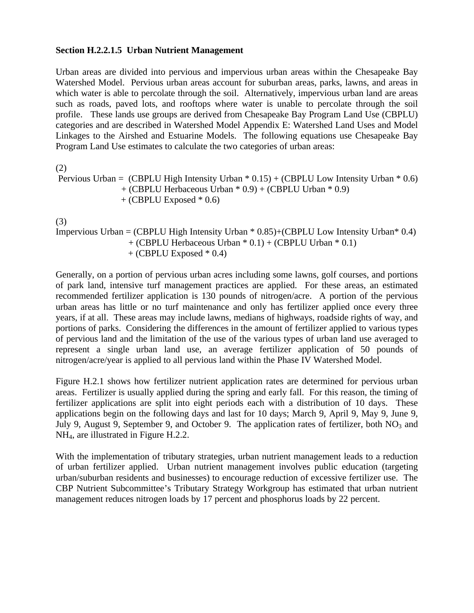### **Section H.2.2.1.5 Urban Nutrient Management**

Urban areas are divided into pervious and impervious urban areas within the Chesapeake Bay Watershed Model. Pervious urban areas account for suburban areas, parks, lawns, and areas in which water is able to percolate through the soil. Alternatively, impervious urban land are areas such as roads, paved lots, and rooftops where water is unable to percolate through the soil profile. These lands use groups are derived from Chesapeake Bay Program Land Use (CBPLU) categories and are described in Watershed Model Appendix E: Watershed Land Uses and Model Linkages to the Airshed and Estuarine Models. The following equations use Chesapeake Bay Program Land Use estimates to calculate the two categories of urban areas:

(2)

```
Pervious Urban = (CBPLU High Intensity Urban * 0.15) + (CBPLU Low Intensity Urban * 0.6)
    + (CBPLU Herbaceous Urban * 0.9) + (CBPLU Urban * 0.9)
   + (CBPLU Exposed * 0.6)
```
(3)

Impervious Urban = (CBPLU High Intensity Urban  $*$  0.85)+(CBPLU Low Intensity Urban $*$  0.4) + (CBPLU Herbaceous Urban \* 0.1) + (CBPLU Urban \* 0.1)  $+$  (CBPLU Exposed  $*$  0.4)

Generally, on a portion of pervious urban acres including some lawns, golf courses, and portions of park land, intensive turf management practices are applied. For these areas, an estimated recommended fertilizer application is 130 pounds of nitrogen/acre. A portion of the pervious urban areas has little or no turf maintenance and only has fertilizer applied once every three years, if at all. These areas may include lawns, medians of highways, roadside rights of way, and portions of parks. Considering the differences in the amount of fertilizer applied to various types of pervious land and the limitation of the use of the various types of urban land use averaged to represent a single urban land use, an average fertilizer application of 50 pounds of nitrogen/acre/year is applied to all pervious land within the Phase IV Watershed Model.

Figure H.2.1 shows how fertilizer nutrient application rates are determined for pervious urban areas. Fertilizer is usually applied during the spring and early fall. For this reason, the timing of fertilizer applications are split into eight periods each with a distribution of 10 days. These applications begin on the following days and last for 10 days; March 9, April 9, May 9, June 9, July 9, August 9, September 9, and October 9. The application rates of fertilizer, both  $NO<sub>3</sub>$  and NH4, are illustrated in Figure H.2.2.

With the implementation of tributary strategies, urban nutrient management leads to a reduction of urban fertilizer applied. Urban nutrient management involves public education (targeting urban/suburban residents and businesses) to encourage reduction of excessive fertilizer use. The CBP Nutrient Subcommittee's Tributary Strategy Workgroup has estimated that urban nutrient management reduces nitrogen loads by 17 percent and phosphorus loads by 22 percent.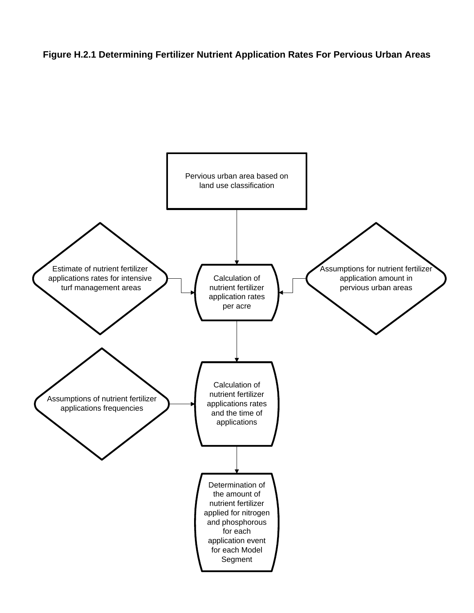### **Figure H.2.1 Determining Fertilizer Nutrient Application Rates For Pervious Urban Areas**

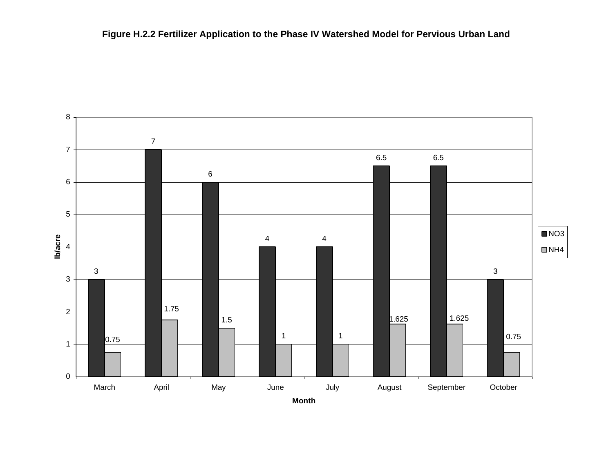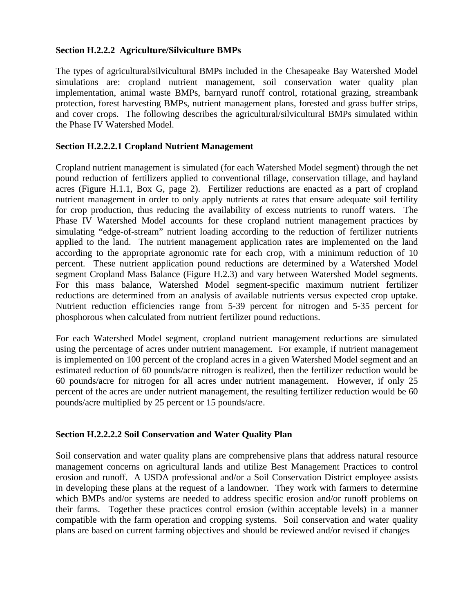### **Section H.2.2.2 Agriculture/Silviculture BMPs**

The types of agricultural/silvicultural BMPs included in the Chesapeake Bay Watershed Model simulations are: cropland nutrient management, soil conservation water quality plan implementation, animal waste BMPs, barnyard runoff control, rotational grazing, streambank protection, forest harvesting BMPs, nutrient management plans, forested and grass buffer strips, and cover crops. The following describes the agricultural/silvicultural BMPs simulated within the Phase IV Watershed Model.

### **Section H.2.2.2.1 Cropland Nutrient Management**

Cropland nutrient management is simulated (for each Watershed Model segment) through the net pound reduction of fertilizers applied to conventional tillage, conservation tillage, and hayland acres (Figure H.1.1, Box G, page 2). Fertilizer reductions are enacted as a part of cropland nutrient management in order to only apply nutrients at rates that ensure adequate soil fertility for crop production, thus reducing the availability of excess nutrients to runoff waters. The Phase IV Watershed Model accounts for these cropland nutrient management practices by simulating "edge-of-stream" nutrient loading according to the reduction of fertilizer nutrients applied to the land. The nutrient management application rates are implemented on the land according to the appropriate agronomic rate for each crop, with a minimum reduction of 10 percent. These nutrient application pound reductions are determined by a Watershed Model segment Cropland Mass Balance (Figure H.2.3) and vary between Watershed Model segments. For this mass balance, Watershed Model segment-specific maximum nutrient fertilizer reductions are determined from an analysis of available nutrients versus expected crop uptake. Nutrient reduction efficiencies range from 5-39 percent for nitrogen and 5-35 percent for phosphorous when calculated from nutrient fertilizer pound reductions.

For each Watershed Model segment, cropland nutrient management reductions are simulated using the percentage of acres under nutrient management. For example, if nutrient management is implemented on 100 percent of the cropland acres in a given Watershed Model segment and an estimated reduction of 60 pounds/acre nitrogen is realized, then the fertilizer reduction would be 60 pounds/acre for nitrogen for all acres under nutrient management. However, if only 25 percent of the acres are under nutrient management, the resulting fertilizer reduction would be 60 pounds/acre multiplied by 25 percent or 15 pounds/acre.

### **Section H.2.2.2.2 Soil Conservation and Water Quality Plan**

Soil conservation and water quality plans are comprehensive plans that address natural resource management concerns on agricultural lands and utilize Best Management Practices to control erosion and runoff. A USDA professional and/or a Soil Conservation District employee assists in developing these plans at the request of a landowner. They work with farmers to determine which BMPs and/or systems are needed to address specific erosion and/or runoff problems on their farms. Together these practices control erosion (within acceptable levels) in a manner compatible with the farm operation and cropping systems. Soil conservation and water quality plans are based on current farming objectives and should be reviewed and/or revised if changes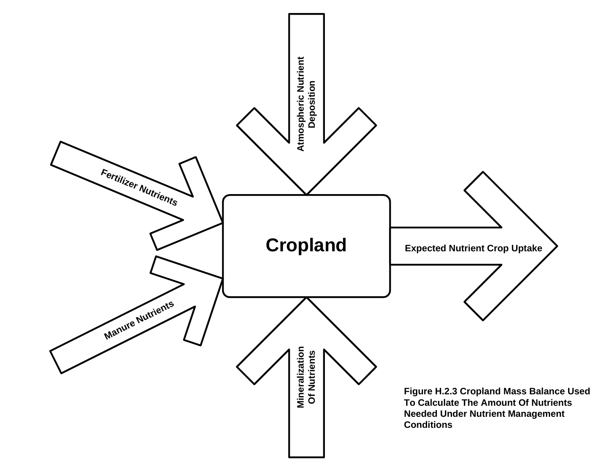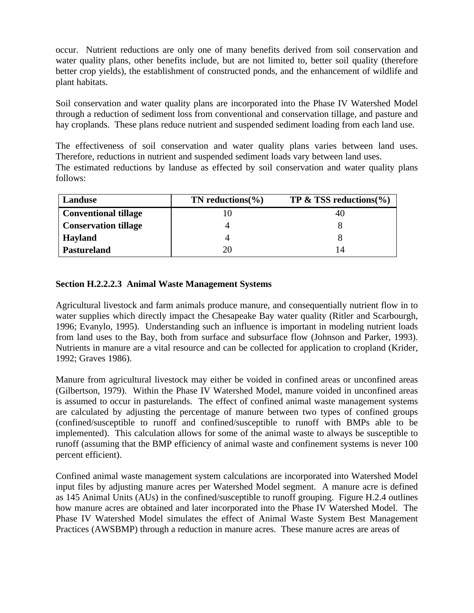occur. Nutrient reductions are only one of many benefits derived from soil conservation and water quality plans, other benefits include, but are not limited to, better soil quality (therefore better crop yields), the establishment of constructed ponds, and the enhancement of wildlife and plant habitats.

Soil conservation and water quality plans are incorporated into the Phase IV Watershed Model through a reduction of sediment loss from conventional and conservation tillage, and pasture and hay croplands. These plans reduce nutrient and suspended sediment loading from each land use.

The effectiveness of soil conservation and water quality plans varies between land uses. Therefore, reductions in nutrient and suspended sediment loads vary between land uses. The estimated reductions by landuse as effected by soil conservation and water quality plans follows:

| Landuse                     | TN reductions $\%$ ) | <b>TP &amp; TSS reductions</b> $(\% )$ |
|-----------------------------|----------------------|----------------------------------------|
| <b>Conventional tillage</b> |                      | 40                                     |
| <b>Conservation tillage</b> |                      |                                        |
| <b>Hayland</b>              |                      |                                        |
| <b>Pastureland</b>          |                      | 14                                     |

### **Section H.2.2.2.3 Animal Waste Management Systems**

Agricultural livestock and farm animals produce manure, and consequentially nutrient flow in to water supplies which directly impact the Chesapeake Bay water quality (Ritler and Scarbourgh, 1996; Evanylo, 1995). Understanding such an influence is important in modeling nutrient loads from land uses to the Bay, both from surface and subsurface flow (Johnson and Parker, 1993). Nutrients in manure are a vital resource and can be collected for application to cropland (Krider, 1992; Graves 1986).

Manure from agricultural livestock may either be voided in confined areas or unconfined areas (Gilbertson, 1979). Within the Phase IV Watershed Model, manure voided in unconfined areas is assumed to occur in pasturelands. The effect of confined animal waste management systems are calculated by adjusting the percentage of manure between two types of confined groups (confined/susceptible to runoff and confined/susceptible to runoff with BMPs able to be implemented). This calculation allows for some of the animal waste to always be susceptible to runoff (assuming that the BMP efficiency of animal waste and confinement systems is never 100 percent efficient).

Confined animal waste management system calculations are incorporated into Watershed Model input files by adjusting manure acres per Watershed Model segment. A manure acre is defined as 145 Animal Units (AUs) in the confined/susceptible to runoff grouping. Figure H.2.4 outlines how manure acres are obtained and later incorporated into the Phase IV Watershed Model. The Phase IV Watershed Model simulates the effect of Animal Waste System Best Management Practices (AWSBMP) through a reduction in manure acres. These manure acres are areas of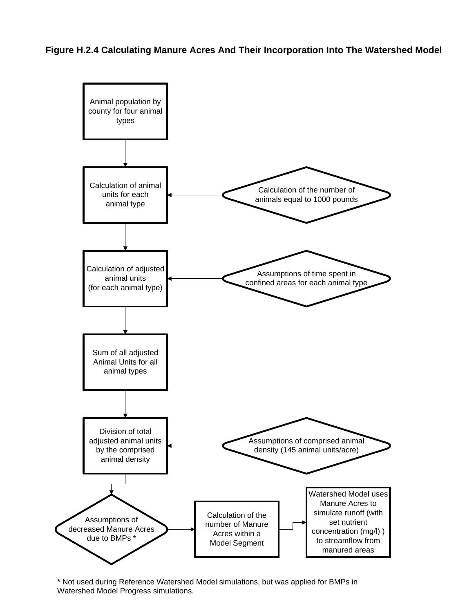**Figure H.2.4 Calculating Manure Acres And Their Incorporation Into The Watershed Model**



\* Not used during Reference Watershed Model simulations, but was applied for BMPs in Watershed Model Progress simulations.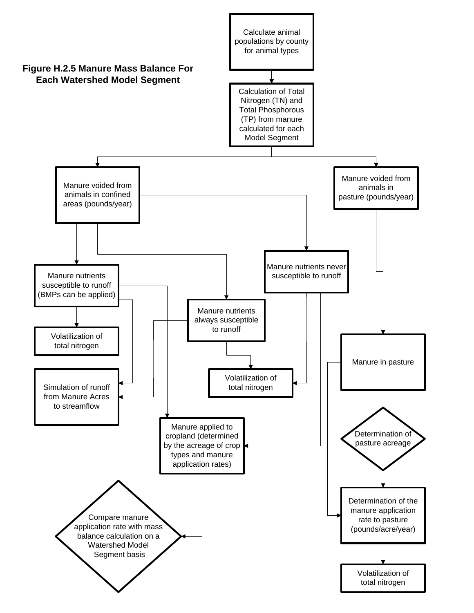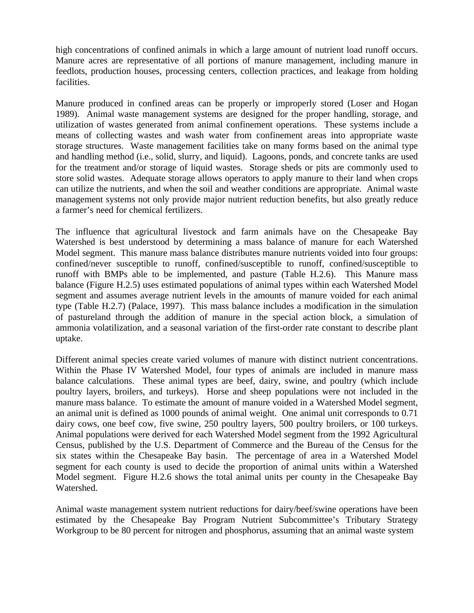high concentrations of confined animals in which a large amount of nutrient load runoff occurs. Manure acres are representative of all portions of manure management, including manure in feedlots, production houses, processing centers, collection practices, and leakage from holding facilities.

Manure produced in confined areas can be properly or improperly stored (Loser and Hogan 1989). Animal waste management systems are designed for the proper handling, storage, and utilization of wastes generated from animal confinement operations. These systems include a means of collecting wastes and wash water from confinement areas into appropriate waste storage structures. Waste management facilities take on many forms based on the animal type and handling method (i.e., solid, slurry, and liquid). Lagoons, ponds, and concrete tanks are used for the treatment and/or storage of liquid wastes. Storage sheds or pits are commonly used to store solid wastes. Adequate storage allows operators to apply manure to their land when crops can utilize the nutrients, and when the soil and weather conditions are appropriate. Animal waste management systems not only provide major nutrient reduction benefits, but also greatly reduce a farmer's need for chemical fertilizers.

The influence that agricultural livestock and farm animals have on the Chesapeake Bay Watershed is best understood by determining a mass balance of manure for each Watershed Model segment. This manure mass balance distributes manure nutrients voided into four groups: confined/never susceptible to runoff, confined/susceptible to runoff, confined/susceptible to runoff with BMPs able to be implemented, and pasture (Table H.2.6). This Manure mass balance (Figure H.2.5) uses estimated populations of animal types within each Watershed Model segment and assumes average nutrient levels in the amounts of manure voided for each animal type (Table H.2.7) (Palace, 1997). This mass balance includes a modification in the simulation of pastureland through the addition of manure in the special action block, a simulation of ammonia volatilization, and a seasonal variation of the first-order rate constant to describe plant uptake.

Different animal species create varied volumes of manure with distinct nutrient concentrations. Within the Phase IV Watershed Model, four types of animals are included in manure mass balance calculations. These animal types are beef, dairy, swine, and poultry (which include poultry layers, broilers, and turkeys). Horse and sheep populations were not included in the manure mass balance. To estimate the amount of manure voided in a Watershed Model segment, an animal unit is defined as 1000 pounds of animal weight. One animal unit corresponds to 0.71 dairy cows, one beef cow, five swine, 250 poultry layers, 500 poultry broilers, or 100 turkeys. Animal populations were derived for each Watershed Model segment from the 1992 Agricultural Census, published by the U.S. Department of Commerce and the Bureau of the Census for the six states within the Chesapeake Bay basin. The percentage of area in a Watershed Model segment for each county is used to decide the proportion of animal units within a Watershed Model segment. Figure H.2.6 shows the total animal units per county in the Chesapeake Bay Watershed.

Animal waste management system nutrient reductions for dairy/beef/swine operations have been estimated by the Chesapeake Bay Program Nutrient Subcommittee's Tributary Strategy Workgroup to be 80 percent for nitrogen and phosphorus, assuming that an animal waste system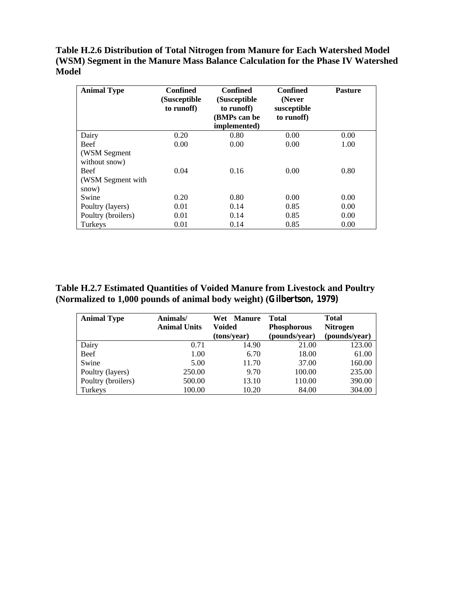**Table H.2.6 Distribution of Total Nitrogen from Manure for Each Watershed Model (WSM) Segment in the Manure Mass Balance Calculation for the Phase IV Watershed Model**

| <b>Animal Type</b>                        | <b>Confined</b><br>(Susceptible<br>to runoff) | <b>Confined</b><br>(Susceptible<br>to runoff)<br>(BMPs can be<br>implemented) | <b>Confined</b><br>(Never<br>susceptible<br>to runoff) | <b>Pasture</b> |
|-------------------------------------------|-----------------------------------------------|-------------------------------------------------------------------------------|--------------------------------------------------------|----------------|
| Dairy                                     | 0.20                                          | 0.80                                                                          | 0.00                                                   | 0.00           |
| <b>Beef</b>                               | 0.00                                          | 0.00                                                                          | 0.00                                                   | 1.00           |
| (WSM Segment)<br>without snow)            |                                               |                                                                               |                                                        |                |
| <b>Beef</b><br>(WSM Segment with<br>snow) | 0.04                                          | 0.16                                                                          | 0.00                                                   | 0.80           |
| Swine                                     | 0.20                                          | 0.80                                                                          | 0.00                                                   | 0.00           |
| Poultry (layers)                          | 0.01                                          | 0.14                                                                          | 0.85                                                   | 0.00           |
| Poultry (broilers)                        | 0.01                                          | 0.14                                                                          | 0.85                                                   | 0.00           |
| Turkeys                                   | 0.01                                          | 0.14                                                                          | 0.85                                                   | 0.00           |

**Table H.2.7 Estimated Quantities of Voided Manure from Livestock and Poultry (Normalized to 1,000 pounds of animal body weight) (Gilbertson, 1979)**

| <b>Animal Type</b> | Animals/            | Wet Manure    | <b>Total</b>       | <b>Total</b>    |
|--------------------|---------------------|---------------|--------------------|-----------------|
|                    | <b>Animal Units</b> | <b>Voided</b> | <b>Phosphorous</b> | <b>Nitrogen</b> |
|                    |                     | (tons/year)   | (pounds/year)      | (pounds/year)   |
| Dairy              | 0.71                | 14.90         | 21.00              | 123.00          |
| Beef               | 1.00                | 6.70          | 18.00              | 61.00           |
| Swine              | 5.00                | 11.70         | 37.00              | 160.00          |
| Poultry (layers)   | 250.00              | 9.70          | 100.00             | 235.00          |
| Poultry (broilers) | 500.00              | 13.10         | 110.00             | 390.00          |
| Turkeys            | 100.00              | 10.20         | 84.00              | 304.00          |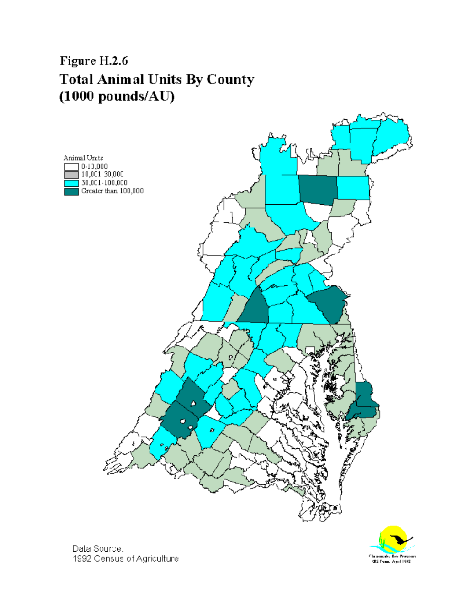# Figure H.2.6 **Total Animal Units By County**  $(1000$  pounds/AU)





Dala Source. 1992 Census of Agriculture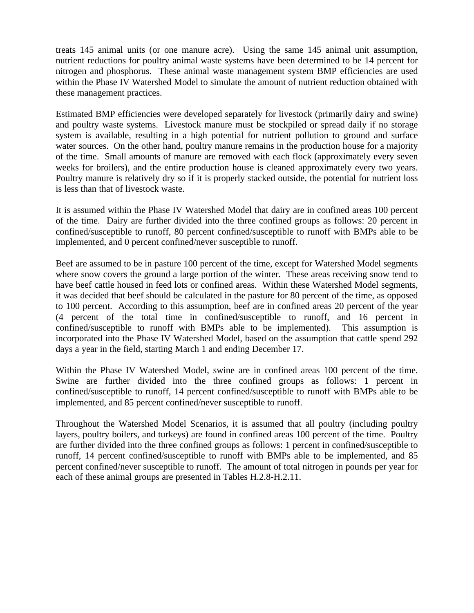treats 145 animal units (or one manure acre). Using the same 145 animal unit assumption, nutrient reductions for poultry animal waste systems have been determined to be 14 percent for nitrogen and phosphorus. These animal waste management system BMP efficiencies are used within the Phase IV Watershed Model to simulate the amount of nutrient reduction obtained with these management practices.

Estimated BMP efficiencies were developed separately for livestock (primarily dairy and swine) and poultry waste systems. Livestock manure must be stockpiled or spread daily if no storage system is available, resulting in a high potential for nutrient pollution to ground and surface water sources. On the other hand, poultry manure remains in the production house for a majority of the time. Small amounts of manure are removed with each flock (approximately every seven weeks for broilers), and the entire production house is cleaned approximately every two years. Poultry manure is relatively dry so if it is properly stacked outside, the potential for nutrient loss is less than that of livestock waste.

It is assumed within the Phase IV Watershed Model that dairy are in confined areas 100 percent of the time. Dairy are further divided into the three confined groups as follows: 20 percent in confined/susceptible to runoff, 80 percent confined/susceptible to runoff with BMPs able to be implemented, and 0 percent confined/never susceptible to runoff.

Beef are assumed to be in pasture 100 percent of the time, except for Watershed Model segments where snow covers the ground a large portion of the winter. These areas receiving snow tend to have beef cattle housed in feed lots or confined areas. Within these Watershed Model segments, it was decided that beef should be calculated in the pasture for 80 percent of the time, as opposed to 100 percent. According to this assumption, beef are in confined areas 20 percent of the year (4 percent of the total time in confined/susceptible to runoff, and 16 percent in confined/susceptible to runoff with BMPs able to be implemented). This assumption is incorporated into the Phase IV Watershed Model, based on the assumption that cattle spend 292 days a year in the field, starting March 1 and ending December 17.

Within the Phase IV Watershed Model, swine are in confined areas 100 percent of the time. Swine are further divided into the three confined groups as follows: 1 percent in confined/susceptible to runoff, 14 percent confined/susceptible to runoff with BMPs able to be implemented, and 85 percent confined/never susceptible to runoff.

Throughout the Watershed Model Scenarios, it is assumed that all poultry (including poultry layers, poultry boilers, and turkeys) are found in confined areas 100 percent of the time. Poultry are further divided into the three confined groups as follows: 1 percent in confined/susceptible to runoff, 14 percent confined/susceptible to runoff with BMPs able to be implemented, and 85 percent confined/never susceptible to runoff. The amount of total nitrogen in pounds per year for each of these animal groups are presented in Tables H.2.8-H.2.11.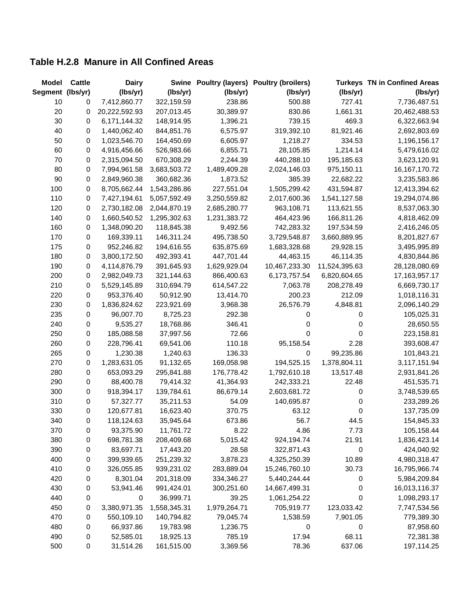### **Table H.2.8 Manure in All Confined Areas**

| <b>Model</b>     | <b>Cattle</b>    | <b>Dairy</b>  |              |              | Swine Poultry (layers) Poultry (broilers) |               | <b>Turkeys TN in Confined Areas</b> |
|------------------|------------------|---------------|--------------|--------------|-------------------------------------------|---------------|-------------------------------------|
| Segment (lbs/yr) |                  | (lbs/yr)      | (lbs/yr)     | (lbs/yr)     | (lbs/yr)                                  | (lbs/yr)      | (lbs/yr)                            |
| 10               | 0                | 7,412,860.77  | 322,159.59   | 238.86       | 500.88                                    | 727.41        | 7,736,487.51                        |
| 20               | 0                | 20,222,592.93 | 207,013.45   | 30,389.97    | 830.86                                    | 1,661.31      | 20,462,488.53                       |
| 30               | 0                | 6,171,144.32  | 148,914.95   | 1,396.21     | 739.15                                    | 469.3         | 6,322,663.94                        |
| 40               | 0                | 1,440,062.40  | 844,851.76   | 6,575.97     | 319,392.10                                | 81,921.46     | 2,692,803.69                        |
| 50               | 0                | 1,023,546.70  | 164,450.69   | 6,605.97     | 1,218.27                                  | 334.53        | 1,196,156.17                        |
| 60               | 0                | 4,916,456.66  | 526,983.66   | 6,855.71     | 28,105.85                                 | 1,214.14      | 5,479,616.02                        |
| 70               | 0                | 2,315,094.50  | 670,308.29   | 2,244.39     | 440,288.10                                | 195,185.63    | 3,623,120.91                        |
| 80               | 0                | 7,994,961.58  | 3,683,503.72 | 1,489,409.28 | 2,024,146.03                              | 975,150.11    | 16, 167, 170. 72                    |
| 90               | 0                | 2,849,960.38  | 360,682.36   | 1,873.52     | 385.39                                    | 22,682.22     | 3,235,583.86                        |
| 100              | 0                | 8,705,662.44  | 1,543,286.86 | 227,551.04   | 1,505,299.42                              | 431,594.87    | 12,413,394.62                       |
| 110              | 0                | 7,427,194.61  | 5,057,592.49 | 3,250,559.82 | 2,017,600.36                              | 1,541,127.58  | 19,294,074.86                       |
| 120              | 0                | 2,730,182.08  | 2,044,870.19 | 2,685,280.77 | 963,108.71                                | 113,621.55    | 8,537,063.30                        |
| 140              | 0                | 1,660,540.52  | 1,295,302.63 | 1,231,383.72 | 464,423.96                                | 166,811.26    | 4,818,462.09                        |
| 160              | 0                | 1,348,090.20  | 118,845.38   | 9,492.56     | 742,283.32                                | 197,534.59    | 2,416,246.05                        |
| 170              | 0                | 169,339.11    | 146,311.24   | 495,738.50   | 3,729,548.87                              | 3,660,889.95  | 8,201,827.67                        |
| 175              | $\pmb{0}$        | 952,246.82    | 194,616.55   | 635,875.69   | 1,683,328.68                              | 29,928.15     | 3,495,995.89                        |
| 180              | 0                | 3,800,172.50  | 492,393.41   | 447,701.44   | 44,463.15                                 | 46,114.35     | 4,830,844.86                        |
| 190              | 0                | 4,114,876.79  | 391,645.93   | 1,629,929.04 | 10,467,233.30                             | 11,524,395.63 | 28,128,080.69                       |
| 200              | 0                | 2,982,049.73  | 321,144.63   | 866,400.63   | 6,173,757.54                              | 6,820,604.65  | 17, 163, 957. 17                    |
| 210              | 0                | 5,529,145.89  | 310,694.79   | 614,547.22   | 7,063.78                                  | 208,278.49    | 6,669,730.17                        |
| 220              | 0                | 953,376.40    | 50,912.90    | 13,414.70    | 200.23                                    | 212.09        | 1,018,116.31                        |
| 230              | 0                | 1,836,824.62  | 223,921.69   | 3,968.38     | 26,576.79                                 | 4,848.81      | 2,096,140.29                        |
| 235              | 0                | 96,007.70     | 8,725.23     | 292.38       | 0                                         | 0             | 105,025.31                          |
| 240              | $\boldsymbol{0}$ | 9,535.27      | 18,768.86    | 346.41       | 0                                         | 0             | 28,650.55                           |
| 250              | 0                | 185,088.58    | 37,997.56    | 72.66        | 0                                         | 0             | 223,158.81                          |
| 260              | 0                | 228,796.41    | 69,541.06    | 110.18       | 95,158.54                                 | 2.28          | 393,608.47                          |
| 265              | 0                | 1,230.38      | 1,240.63     | 136.33       | 0                                         | 99,235.86     | 101,843.21                          |
| 270              | 0                | 1,283,631.05  | 91,132.65    | 169,058.98   | 194,525.15                                | 1,378,804.11  | 3,117,151.94                        |
| 280              | 0                | 653,093.29    | 295,841.88   | 176,778.42   | 1,792,610.18                              | 13,517.48     | 2,931,841.26                        |
| 290              | 0                | 88,400.78     | 79,414.32    | 41,364.93    | 242,333.21                                | 22.48         | 451,535.71                          |
| 300              | 0                | 918,394.17    | 139,784.61   | 86,679.14    | 2,603,681.72                              | 0             | 3,748,539.65                        |
| 310              | 0                | 57,327.77     | 35,211.53    | 54.09        | 140,695.87                                | 0             | 233,289.26                          |
| 330              | 0                | 120,677.81    | 16,623.40    | 370.75       | 63.12                                     | 0             | 137,735.09                          |
| 340              | $\mathbf 0$      | 118,124.63    | 35,945.64    | 673.86       | 56.7                                      | 44.5          | 154,845.33                          |
| 370              | 0                | 93,375.90     | 11,761.72    | 8.22         | 4.86                                      | 7.73          | 105,158.44                          |
| 380              | 0                | 698,781.38    | 208,409.68   | 5,015.42     | 924,194.74                                | 21.91         | 1,836,423.14                        |
| 390              | 0                | 83,697.71     | 17,443.20    | 28.58        | 322,871.43                                | 0             | 424,040.92                          |
| 400              | 0                | 399,939.65    | 251,239.32   | 3,878.23     | 4,325,250.39                              | 10.89         | 4,980,318.47                        |
| 410              | 0                | 326,055.85    | 939,231.02   | 283,889.04   | 15,246,760.10                             | 30.73         | 16,795,966.74                       |
| 420              | 0                | 8,301.04      | 201,318.09   | 334,346.27   | 5,440,244.44                              | 0             | 5,984,209.84                        |
| 430              | 0                | 53,941.46     | 991,424.01   | 300,251.60   | 14,667,499.31                             | 0             | 16,013,116.37                       |
| 440              | 0                | 0             | 36,999.71    | 39.25        | 1,061,254.22                              | 0             | 1,098,293.17                        |
| 450              | 0                | 3,380,971.35  | 1,558,345.31 | 1,979,264.71 | 705,919.77                                | 123,033.42    | 7,747,534.56                        |
| 470              | $\mathbf 0$      | 550,109.10    | 140,794.82   | 79,045.74    | 1,538.59                                  | 7,901.05      | 779,389.30                          |
| 480              | 0                | 66,937.86     | 19,783.98    | 1,236.75     | 0                                         | 0             | 87,958.60                           |
| 490              | 0                | 52,585.01     | 18,925.13    | 785.19       | 17.94                                     | 68.11         | 72,381.38                           |
| 500              | $\pmb{0}$        | 31,514.26     | 161,515.00   | 3,369.56     | 78.36                                     | 637.06        | 197,114.25                          |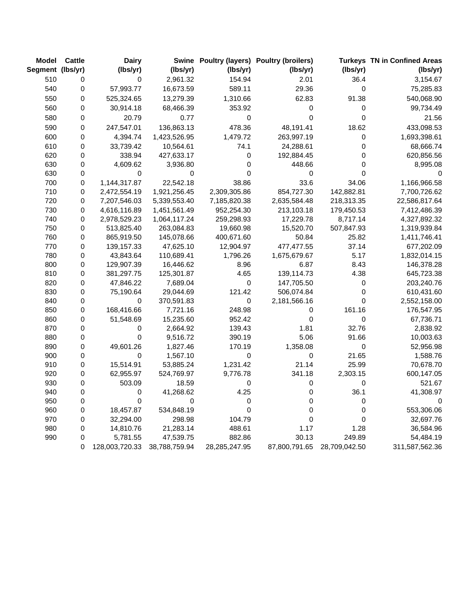| <b>Model</b>     | <b>Cattle</b> | <b>Dairy</b>   |               |               | Swine Poultry (layers) Poultry (broilers) |               | <b>Turkeys TN in Confined Areas</b> |
|------------------|---------------|----------------|---------------|---------------|-------------------------------------------|---------------|-------------------------------------|
| Segment (lbs/yr) |               | (lbs/yr)       | (lbs/yr)      | (lbs/yr)      | (lbs/yr)                                  | (lbs/yr)      | (lbs/yr)                            |
| 510              | 0             | 0              | 2,961.32      | 154.94        | 2.01                                      | 36.4          | 3,154.67                            |
| 540              | 0             | 57,993.77      | 16,673.59     | 589.11        | 29.36                                     | $\mathbf 0$   | 75,285.83                           |
| 550              | 0             | 525,324.65     | 13,279.39     | 1,310.66      | 62.83                                     | 91.38         | 540,068.90                          |
| 560              | 0             | 30,914.18      | 68,466.39     | 353.92        | 0                                         | 0             | 99,734.49                           |
| 580              | 0             | 20.79          | 0.77          | 0             | 0                                         | $\mathsf 0$   | 21.56                               |
| 590              | 0             | 247,547.01     | 136,863.13    | 478.36        | 48,191.41                                 | 18.62         | 433,098.53                          |
| 600              | 0             | 4,394.74       | 1,423,526.95  | 1,479.72      | 263,997.19                                | 0             | 1,693,398.61                        |
| 610              | 0             | 33,739.42      | 10,564.61     | 74.1          | 24,288.61                                 | $\mathbf 0$   | 68,666.74                           |
| 620              | 0             | 338.94         | 427,633.17    | 0             | 192,884.45                                | 0             | 620,856.56                          |
| 630              | 0             | 4,609.62       | 3,936.80      | $\mathbf 0$   | 448.66                                    | $\Omega$      | 8,995.08                            |
| 630              | 0             | 0              | 0             | 0             | 0                                         | $\Omega$      | 0                                   |
| 700              | 0             | 1,144,317.87   | 22,542.18     | 38.86         | 33.6                                      | 34.06         | 1,166,966.58                        |
| 710              | 0             | 2,472,554.19   | 1,921,256.45  | 2,309,305.86  | 854,727.30                                | 142,882.81    | 7,700,726.62                        |
| 720              | 0             | 7,207,546.03   | 5,339,553.40  | 7,185,820.38  | 2,635,584.48                              | 218,313.35    | 22,586,817.64                       |
| 730              | 0             | 4,616,116.89   | 1,451,561.49  | 952,254.30    | 213,103.18                                | 179,450.53    | 7,412,486.39                        |
| 740              | 0             | 2,978,529.23   | 1,064,117.24  | 259,298.93    | 17,229.78                                 | 8,717.14      | 4,327,892.32                        |
| 750              | 0             | 513,825.40     | 263,084.83    | 19,660.98     | 15,520.70                                 | 507,847.93    | 1,319,939.84                        |
| 760              | 0             | 865,919.50     | 145,078.66    | 400,671.60    | 50.84                                     | 25.82         | 1,411,746.41                        |
| 770              | 0             | 139,157.33     | 47,625.10     | 12,904.97     | 477,477.55                                | 37.14         | 677,202.09                          |
| 780              | 0             | 43,843.64      | 110,689.41    | 1,796.26      | 1,675,679.67                              | 5.17          | 1,832,014.15                        |
| 800              | 0             | 129,907.39     | 16,446.62     | 8.96          | 6.87                                      | 8.43          | 146,378.28                          |
| 810              | 0             | 381,297.75     | 125,301.87    | 4.65          | 139,114.73                                | 4.38          | 645,723.38                          |
| 820              | 0             | 47,846.22      | 7,689.04      | $\pmb{0}$     | 147,705.50                                | 0             | 203,240.76                          |
| 830              | 0             | 75,190.64      | 29,044.69     | 121.42        | 506,074.84                                | $\mathbf 0$   | 610,431.60                          |
| 840              | 0             | 0              | 370,591.83    | 0             | 2,181,566.16                              | $\mathbf 0$   | 2,552,158.00                        |
| 850              | 0             | 168,416.66     | 7,721.16      | 248.98        | 0                                         | 161.16        | 176,547.95                          |
| 860              | 0             | 51,548.69      | 15,235.60     | 952.42        | 0                                         | 0             | 67,736.71                           |
| 870              | 0             | 0              | 2,664.92      | 139.43        | 1.81                                      | 32.76         | 2,838.92                            |
| 880              | 0             | $\mathbf 0$    | 9,516.72      | 390.19        | 5.06                                      | 91.66         | 10,003.63                           |
| 890              | 0             | 49,601.26      | 1,827.46      | 170.19        | 1,358.08                                  | $\mathsf 0$   | 52,956.98                           |
| 900              | 0             | $\mathbf 0$    | 1,567.10      | 0             | 0                                         | 21.65         | 1,588.76                            |
| 910              | 0             | 15,514.91      | 53,885.24     | 1,231.42      | 21.14                                     | 25.99         | 70,678.70                           |
| 920              | 0             | 62,955.97      | 524,769.97    | 9,776.78      | 341.18                                    | 2,303.15      | 600,147.05                          |
| 930              | 0             | 503.09         | 18.59         | 0             | 0                                         | 0             | 521.67                              |
| 940              | 0             | 0              | 41,268.62     | 4.25          | 0                                         | 36.1          | 41,308.97                           |
| 950              | 0             | 0              | 0             | 0             | 0                                         | 0             | 0                                   |
| 960              | 0             | 18,457.87      | 534,848.19    | 0             | 0                                         | 0             | 553,306.06                          |
| 970              | 0             | 32,294.00      | 298.98        | 104.79        | 0                                         | $\mathbf 0$   | 32,697.76                           |
| 980              | 0             | 14,810.76      | 21,283.14     | 488.61        | 1.17                                      | 1.28          | 36,584.96                           |
| 990              | $\pmb{0}$     | 5,781.55       | 47,539.75     | 882.86        | 30.13                                     | 249.89        | 54,484.19                           |
|                  | 0             | 128,003,720.33 | 38,788,759.94 | 28,285,247.95 | 87,800,791.65                             | 28,709,042.50 | 311,587,562.36                      |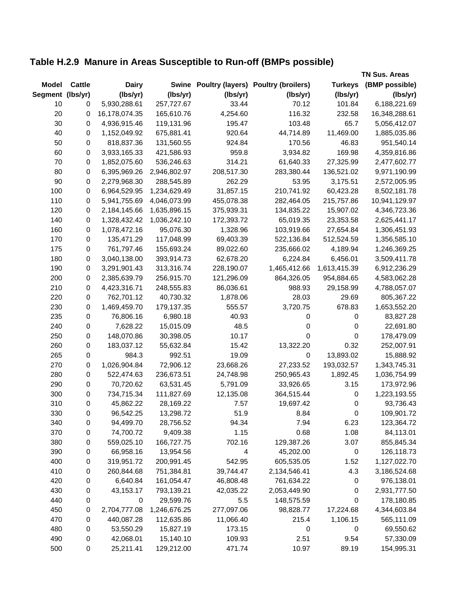## **Table H.2.9 Manure in Areas Susceptible to Run-off (BMPs possible)**

|                  |           |               |              |            |                                     |                  | <b>TN Sus. Areas</b> |
|------------------|-----------|---------------|--------------|------------|-------------------------------------|------------------|----------------------|
| <b>Model</b>     | Cattle    | <b>Dairy</b>  | <b>Swine</b> |            | Poultry (layers) Poultry (broilers) | <b>Turkeys</b>   | (BMP possible)       |
| Segment (lbs/yr) |           | (lbs/yr)      | (lbs/yr)     | (Ibs/yr)   | (lbs/yr)                            | (lbs/yr)         | (lbs/yr)             |
| 10               | 0         | 5,930,288.61  | 257,727.67   | 33.44      | 70.12                               | 101.84           | 6,188,221.69         |
| 20               | 0         | 16,178,074.35 | 165,610.76   | 4,254.60   | 116.32                              | 232.58           | 16,348,288.61        |
| 30               | 0         | 4,936,915.46  | 119,131.96   | 195.47     | 103.48                              | 65.7             | 5,056,412.07         |
| 40               | 0         | 1,152,049.92  | 675,881.41   | 920.64     | 44,714.89                           | 11,469.00        | 1,885,035.86         |
| 50               | 0         | 818,837.36    | 131,560.55   | 924.84     | 170.56                              | 46.83            | 951,540.14           |
| 60               | 0         | 3,933,165.33  | 421,586.93   | 959.8      | 3,934.82                            | 169.98           | 4,359,816.86         |
| 70               | 0         | 1,852,075.60  | 536,246.63   | 314.21     | 61,640.33                           | 27,325.99        | 2,477,602.77         |
| 80               | 0         | 6,395,969.26  | 2,946,802.97 | 208,517.30 | 283,380.44                          | 136,521.02       | 9,971,190.99         |
| 90               | 0         | 2,279,968.30  | 288,545.89   | 262.29     | 53.95                               | 3,175.51         | 2,572,005.95         |
| 100              | 0         | 6,964,529.95  | 1,234,629.49 | 31,857.15  | 210,741.92                          | 60,423.28        | 8,502,181.78         |
| 110              | 0         | 5,941,755.69  | 4,046,073.99 | 455,078.38 | 282,464.05                          | 215,757.86       | 10,941,129.97        |
| 120              | 0         | 2,184,145.66  | 1,635,896.15 | 375,939.31 | 134,835.22                          | 15,907.02        | 4,346,723.36         |
| 140              | 0         | 1,328,432.42  | 1,036,242.10 | 172,393.72 | 65,019.35                           | 23,353.58        | 2,625,441.17         |
| 160              | $\pmb{0}$ | 1,078,472.16  | 95,076.30    | 1,328.96   | 103,919.66                          | 27,654.84        | 1,306,451.93         |
| 170              | $\pmb{0}$ | 135,471.29    | 117,048.99   | 69,403.39  | 522,136.84                          | 512,524.59       | 1,356,585.10         |
| 175              | 0         | 761,797.46    | 155,693.24   | 89,022.60  | 235,666.02                          | 4,189.94         | 1,246,369.25         |
| 180              | 0         | 3,040,138.00  | 393,914.73   | 62,678.20  | 6,224.84                            | 6,456.01         | 3,509,411.78         |
| 190              | 0         | 3,291,901.43  | 313,316.74   | 228,190.07 | 1,465,412.66                        | 1,613,415.39     | 6,912,236.29         |
| 200              | 0         | 2,385,639.79  | 256,915.70   | 121,296.09 | 864,326.05                          | 954,884.65       | 4,583,062.28         |
| 210              | 0         | 4,423,316.71  | 248,555.83   | 86,036.61  | 988.93                              | 29,158.99        | 4,788,057.07         |
| 220              | 0         | 762,701.12    | 40,730.32    | 1,878.06   | 28.03                               | 29.69            | 805,367.22           |
| 230              | 0         | 1,469,459.70  | 179,137.35   | 555.57     | 3,720.75                            | 678.83           | 1,653,552.20         |
| 235              | $\pmb{0}$ | 76,806.16     | 6,980.18     | 40.93      | 0                                   | $\pmb{0}$        | 83,827.28            |
| 240              | $\pmb{0}$ | 7,628.22      | 15,015.09    | 48.5       | 0                                   | $\boldsymbol{0}$ | 22,691.80            |
| 250              | $\pmb{0}$ | 148,070.86    | 30,398.05    | 10.17      | 0                                   | $\pmb{0}$        | 178,479.09           |
| 260              | 0         | 183,037.12    | 55,632.84    | 15.42      | 13,322.20                           | 0.32             | 252,007.91           |
| 265              | 0         | 984.3         | 992.51       | 19.09      | $\pmb{0}$                           | 13,893.02        | 15,888.92            |
| 270              | 0         | 1,026,904.84  | 72,906.12    | 23,668.26  | 27,233.52                           | 193,032.57       | 1,343,745.31         |
| 280              | 0         | 522,474.63    | 236,673.51   | 24,748.98  | 250,965.43                          | 1,892.45         | 1,036,754.99         |
| 290              | 0         | 70,720.62     | 63,531.45    | 5,791.09   | 33,926.65                           | 3.15             | 173,972.96           |
| 300              | 0         | 734,715.34    | 111,827.69   | 12,135.08  | 364,515.44                          | $\boldsymbol{0}$ | 1,223,193.55         |
| 310              | 0         | 45,862.22     | 28,169.22    | 7.57       | 19,697.42                           | $\pmb{0}$        | 93,736.43            |
| 330              | 0         | 96,542.25     | 13,298.72    | 51.9       | 8.84                                | $\pmb{0}$        | 109,901.72           |
| 340              | 0         | 94,499.70     | 28,756.52    | 94.34      | 7.94                                | 6.23             | 123,364.72           |
| 370              | 0         | 74,700.72     | 9,409.38     | 1.15       | 0.68                                | 1.08             | 84,113.01            |
| 380              | 0         | 559,025.10    | 166,727.75   | 702.16     | 129,387.26                          | 3.07             | 855,845.34           |
| 390              | 0         | 66,958.16     | 13,954.56    | 4          | 45,202.00                           | $\boldsymbol{0}$ | 126,118.73           |
| 400              | $\pmb{0}$ | 319,951.72    | 200,991.45   | 542.95     | 605,535.05                          | 1.52             | 1,127,022.70         |
| 410              | $\pmb{0}$ | 260,844.68    | 751,384.81   | 39,744.47  | 2,134,546.41                        | 4.3              | 3,186,524.68         |
| 420              | $\pmb{0}$ | 6,640.84      | 161,054.47   | 46,808.48  | 761,634.22                          | $\boldsymbol{0}$ | 976,138.01           |
| 430              | 0         | 43,153.17     | 793,139.21   | 42,035.22  | 2,053,449.90                        | 0                | 2,931,777.50         |
| 440              | 0         | 0             | 29,599.76    | 5.5        | 148,575.59                          | 0                | 178,180.85           |
| 450              | 0         | 2,704,777.08  | 1,246,676.25 | 277,097.06 | 98,828.77                           | 17,224.68        | 4,344,603.84         |
| 470              | 0         | 440,087.28    | 112,635.86   | 11,066.40  | 215.4                               | 1,106.15         | 565,111.09           |
| 480              | 0         | 53,550.29     | 15,827.19    | 173.15     | $\pmb{0}$                           | $\pmb{0}$        | 69,550.62            |
| 490              | 0         | 42,068.01     | 15,140.10    | 109.93     | 2.51                                | 9.54             | 57,330.09            |
| 500              | 0         | 25,211.41     | 129,212.00   | 471.74     | 10.97                               | 89.19            | 154,995.31           |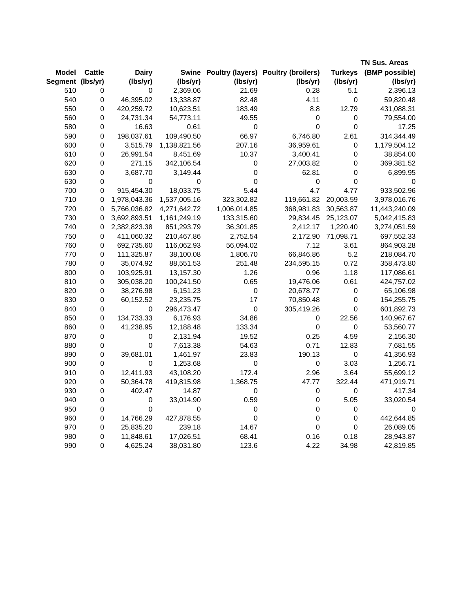|                  |               |              |              |                  |                                           |                | <b>TN Sus. Areas</b> |
|------------------|---------------|--------------|--------------|------------------|-------------------------------------------|----------------|----------------------|
| Model            | <b>Cattle</b> | <b>Dairy</b> |              |                  | Swine Poultry (layers) Poultry (broilers) | <b>Turkeys</b> | (BMP possible)       |
| Segment (lbs/yr) |               | (lbs/yr)     | (lbs/yr)     | (lbs/yr)         | (lbs/yr)                                  | (lbs/yr)       | (lbs/yr)             |
| 510              | 0             | 0            | 2,369.06     | 21.69            | 0.28                                      | 5.1            | 2,396.13             |
| 540              | $\mathsf 0$   | 46,395.02    | 13,338.87    | 82.48            | 4.11                                      | $\mathbf 0$    | 59,820.48            |
| 550              | 0             | 420,259.72   | 10,623.51    | 183.49           | 8.8                                       | 12.79          | 431,088.31           |
| 560              | 0             | 24,731.34    | 54,773.11    | 49.55            | $\pmb{0}$                                 | $\pmb{0}$      | 79,554.00            |
| 580              | 0             | 16.63        | 0.61         | $\boldsymbol{0}$ | $\mathbf 0$                               | 0              | 17.25                |
| 590              | $\mathbf 0$   | 198,037.61   | 109,490.50   | 66.97            | 6,746.80                                  | 2.61           | 314,344.49           |
| 600              | 0             | 3,515.79     | 1,138,821.56 | 207.16           | 36,959.61                                 | 0              | 1,179,504.12         |
| 610              | $\mathbf 0$   | 26,991.54    | 8,451.69     | 10.37            | 3,400.41                                  | 0              | 38,854.00            |
| 620              | 0             | 271.15       | 342,106.54   | $\pmb{0}$        | 27,003.82                                 | $\pmb{0}$      | 369,381.52           |
| 630              | 0             | 3,687.70     | 3,149.44     | $\pmb{0}$        | 62.81                                     | 0              | 6,899.95             |
| 630              | 0             | 0            | 0            | $\mathbf 0$      | 0                                         | 0              | 0                    |
| 700              | 0             | 915,454.30   | 18,033.75    | 5.44             | 4.7                                       | 4.77           | 933,502.96           |
| 710              | 0             | 1,978,043.36 | 1,537,005.16 | 323,302.82       | 119,661.82                                | 20,003.59      | 3,978,016.76         |
| 720              | 0             | 5,766,036.82 | 4,271,642.72 | 1,006,014.85     | 368,981.83                                | 30,563.87      | 11,443,240.09        |
| 730              | 0             | 3,692,893.51 | 1,161,249.19 | 133,315.60       | 29,834.45                                 | 25,123.07      | 5,042,415.83         |
| 740              | 0             | 2,382,823.38 | 851,293.79   | 36,301.85        | 2,412.17                                  | 1,220.40       | 3,274,051.59         |
| 750              | 0             | 411,060.32   | 210,467.86   | 2,752.54         | 2,172.90                                  | 71,098.71      | 697,552.33           |
| 760              | $\pmb{0}$     | 692,735.60   | 116,062.93   | 56,094.02        | 7.12                                      | 3.61           | 864,903.28           |
| 770              | 0             | 111,325.87   | 38,100.08    | 1,806.70         | 66,846.86                                 | 5.2            | 218,084.70           |
| 780              | $\mathsf 0$   | 35,074.92    | 88,551.53    | 251.48           | 234,595.15                                | 0.72           | 358,473.80           |
| 800              | 0             | 103,925.91   | 13,157.30    | 1.26             | 0.96                                      | 1.18           | 117,086.61           |
| 810              | 0             | 305,038.20   | 100,241.50   | 0.65             | 19,476.06                                 | 0.61           | 424,757.02           |
| 820              | 0             | 38,276.98    | 6,151.23     | 0                | 20,678.77                                 | 0              | 65,106.98            |
| 830              | $\pmb{0}$     | 60,152.52    | 23,235.75    | 17               | 70,850.48                                 | $\pmb{0}$      | 154,255.75           |
| 840              | 0             | 0            | 296,473.47   | $\pmb{0}$        | 305,419.26                                | $\pmb{0}$      | 601,892.73           |
| 850              | $\mathbf 0$   | 134,733.33   | 6,176.93     | 34.86            | 0                                         | 22.56          | 140,967.67           |
| 860              | $\pmb{0}$     | 41,238.95    | 12,188.48    | 133.34           | $\pmb{0}$                                 | 0              | 53,560.77            |
| 870              | $\pmb{0}$     | 0            | 2,131.94     | 19.52            | 0.25                                      | 4.59           | 2,156.30             |
| 880              | $\mathbf 0$   | $\mathbf 0$  | 7,613.38     | 54.63            | 0.71                                      | 12.83          | 7,681.55             |
| 890              | 0             | 39,681.01    | 1,461.97     | 23.83            | 190.13                                    | $\pmb{0}$      | 41,356.93            |
| 900              | 0             | 0            | 1,253.68     | $\pmb{0}$        | 0                                         | 3.03           | 1,256.71             |
| 910              | $\mathsf 0$   | 12,411.93    | 43,108.20    | 172.4            | 2.96                                      | 3.64           | 55,699.12            |
| 920              | $\mathbf 0$   | 50,364.78    | 419,815.98   | 1,368.75         | 47.77                                     | 322.44         | 471,919.71           |
| 930              | 0             | 402.47       | 14.87        | 0                | $\pmb{0}$                                 | 0              | 417.34               |
| 940              | $\pmb{0}$     | 0            | 33,014.90    | 0.59             | $\pmb{0}$                                 | 5.05           | 33,020.54            |
| 950              | $\mathsf 0$   | $\mathsf 0$  | 0            | $\pmb{0}$        | $\pmb{0}$                                 | 0              | 0                    |
| 960              | $\mathbf 0$   | 14,766.29    | 427,878.55   | $\mathbf 0$      | $\pmb{0}$                                 | $\pmb{0}$      | 442,644.85           |
| 970              | 0             | 25,835.20    | 239.18       | 14.67            | $\mathsf 0$                               | 0              | 26,089.05            |
| 980              | $\pmb{0}$     | 11,848.61    | 17,026.51    | 68.41            | 0.16                                      | 0.18           | 28,943.87            |
| 990              | $\mathbf 0$   | 4,625.24     | 38,031.80    | 123.6            | 4.22                                      | 34.98          | 42,819.85            |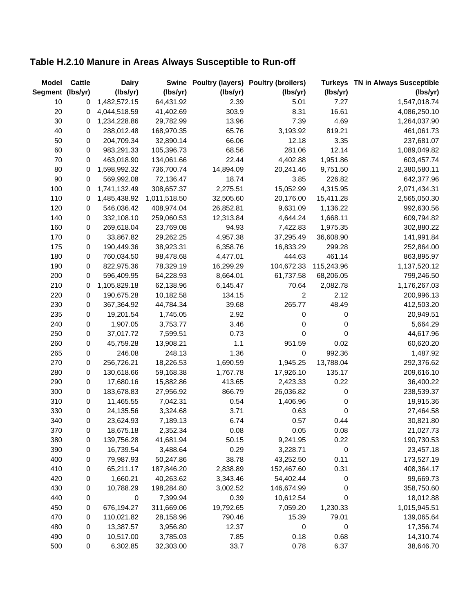## **Table H.2.10 Manure in Areas Always Susceptible to Run-off**

| <b>Model</b>     | <b>Cattle</b> | <b>Dairy</b> |              |           | Swine Poultry (layers) Poultry (broilers) | <b>Turkeys</b> | <b>TN in Always Susceptible</b> |
|------------------|---------------|--------------|--------------|-----------|-------------------------------------------|----------------|---------------------------------|
| Segment (lbs/yr) |               | (lbs/yr)     | (lbs/yr)     | (lbs/yr)  | (lbs/yr)                                  | (lbs/yr)       | (lbs/yr)                        |
| 10               | 0             | 1,482,572.15 | 64,431.92    | 2.39      | 5.01                                      | 7.27           | 1,547,018.74                    |
| 20               | 0             | 4,044,518.59 | 41,402.69    | 303.9     | 8.31                                      | 16.61          | 4,086,250.10                    |
| 30               | 0             | 1,234,228.86 | 29,782.99    | 13.96     | 7.39                                      | 4.69           | 1,264,037.90                    |
| 40               | 0             | 288,012.48   | 168,970.35   | 65.76     | 3,193.92                                  | 819.21         | 461,061.73                      |
| 50               | 0             | 204,709.34   | 32,890.14    | 66.06     | 12.18                                     | 3.35           | 237,681.07                      |
| 60               | 0             | 983,291.33   | 105,396.73   | 68.56     | 281.06                                    | 12.14          | 1,089,049.82                    |
| 70               | 0             | 463,018.90   | 134,061.66   | 22.44     | 4,402.88                                  | 1,951.86       | 603,457.74                      |
| 80               | 0             | 1,598,992.32 | 736,700.74   | 14,894.09 | 20,241.46                                 | 9,751.50       | 2,380,580.11                    |
| 90               | 0             | 569,992.08   | 72,136.47    | 18.74     | 3.85                                      | 226.82         | 642,377.96                      |
| 100              | 0             | 1,741,132.49 | 308,657.37   | 2,275.51  | 15,052.99                                 | 4,315.95       | 2,071,434.31                    |
| 110              | 0             | 1,485,438.92 | 1,011,518.50 | 32,505.60 | 20,176.00                                 | 15,411.28      | 2,565,050.30                    |
| 120              | 0             | 546,036.42   | 408,974.04   | 26,852.81 | 9,631.09                                  | 1,136.22       | 992,630.56                      |
| 140              | 0             | 332,108.10   | 259,060.53   | 12,313.84 | 4,644.24                                  | 1,668.11       | 609,794.82                      |
| 160              | 0             | 269,618.04   | 23,769.08    | 94.93     | 7,422.83                                  | 1,975.35       | 302,880.22                      |
| 170              | 0             | 33,867.82    | 29,262.25    | 4,957.38  | 37,295.49                                 | 36,608.90      | 141,991.84                      |
| 175              | 0             | 190,449.36   | 38,923.31    | 6,358.76  | 16,833.29                                 | 299.28         | 252,864.00                      |
| 180              | 0             | 760,034.50   | 98,478.68    | 4,477.01  | 444.63                                    | 461.14         | 863,895.97                      |
| 190              | 0             | 822,975.36   | 78,329.19    | 16,299.29 | 104,672.33                                | 115,243.96     | 1,137,520.12                    |
| 200              | 0             | 596,409.95   | 64,228.93    | 8,664.01  | 61,737.58                                 | 68,206.05      | 799,246.50                      |
| 210              | 0             | 1,105,829.18 | 62,138.96    | 6,145.47  | 70.64                                     | 2,082.78       | 1,176,267.03                    |
| 220              | 0             | 190,675.28   | 10,182.58    | 134.15    | 2                                         | 2.12           | 200,996.13                      |
| 230              | 0             | 367,364.92   | 44,784.34    | 39.68     | 265.77                                    | 48.49          | 412,503.20                      |
| 235              | 0             | 19,201.54    | 1,745.05     | 2.92      | 0                                         | 0              | 20,949.51                       |
| 240              | 0             | 1,907.05     | 3,753.77     | 3.46      | 0                                         | 0              | 5,664.29                        |
| 250              | 0             | 37,017.72    | 7,599.51     | 0.73      | 0                                         | 0              | 44,617.96                       |
| 260              | 0             | 45,759.28    | 13,908.21    | 1.1       | 951.59                                    | 0.02           | 60,620.20                       |
| 265              | 0             | 246.08       | 248.13       | 1.36      | 0                                         | 992.36         | 1,487.92                        |
| 270              | 0             | 256,726.21   | 18,226.53    | 1,690.59  | 1,945.25                                  | 13,788.04      | 292,376.62                      |
| 280              | 0             | 130,618.66   | 59,168.38    | 1,767.78  | 17,926.10                                 | 135.17         | 209,616.10                      |
| 290              | 0             | 17,680.16    | 15,882.86    | 413.65    | 2,423.33                                  | 0.22           | 36,400.22                       |
| 300              | 0             | 183,678.83   | 27,956.92    | 866.79    | 26,036.82                                 | 0              | 238,539.37                      |
| 310              | 0             | 11,465.55    | 7,042.31     | 0.54      | 1,406.96                                  | 0              | 19,915.36                       |
| 330              | 0             | 24,135.56    | 3,324.68     | 3.71      | 0.63                                      | 0              | 27,464.58                       |
| 340              | 0             | 23,624.93    | 7,189.13     | 6.74      | 0.57                                      | 0.44           | 30,821.80                       |
| 370              | 0             | 18,675.18    | 2,352.34     | 0.08      | 0.05                                      | 0.08           | 21,027.73                       |
| 380              | 0             | 139,756.28   | 41,681.94    | 50.15     | 9,241.95                                  | 0.22           | 190,730.53                      |
| 390              | 0             | 16,739.54    | 3,488.64     | 0.29      | 3,228.71                                  | $\pmb{0}$      | 23,457.18                       |
| 400              | 0             | 79,987.93    | 50,247.86    | 38.78     | 43,252.50                                 | 0.11           | 173,527.19                      |
| 410              | 0             | 65,211.17    | 187,846.20   | 2,838.89  | 152,467.60                                | 0.31           | 408,364.17                      |
| 420              | 0             | 1,660.21     | 40,263.62    | 3,343.46  | 54,402.44                                 | 0              | 99,669.73                       |
| 430              | 0             | 10,788.29    | 198,284.80   | 3,002.52  | 146,674.99                                | 0              | 358,750.60                      |
| 440              | 0             | 0            | 7,399.94     | 0.39      | 10,612.54                                 | $\mathbf 0$    | 18,012.88                       |
| 450              | 0             | 676,194.27   | 311,669.06   | 19,792.65 | 7,059.20                                  | 1,230.33       | 1,015,945.51                    |
| 470              | 0             | 110,021.82   | 28,158.96    | 790.46    | 15.39                                     | 79.01          | 139,065.64                      |
| 480              | 0             | 13,387.57    | 3,956.80     | 12.37     | 0                                         | $\pmb{0}$      | 17,356.74                       |
| 490              | 0             | 10,517.00    | 3,785.03     | 7.85      | 0.18                                      | 0.68           | 14,310.74                       |
| 500              | $\pmb{0}$     | 6,302.85     | 32,303.00    | 33.7      | 0.78                                      | 6.37           | 38,646.70                       |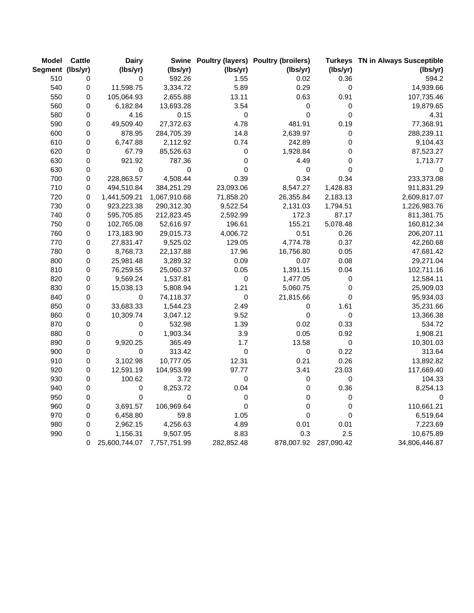| <b>Model</b>     | <b>Cattle</b> | <b>Dairy</b>  |                  |             | Swine Poultry (layers) Poultry (broilers) |             | Turkeys TN in Always Susceptible |
|------------------|---------------|---------------|------------------|-------------|-------------------------------------------|-------------|----------------------------------|
| Segment (lbs/yr) |               | (lbs/yr)      | (lbs/yr)         | (lbs/yr)    | (lbs/yr)                                  | (lbs/yr)    | (lbs/yr)                         |
| 510              | 0             | 0             | 592.26           | 1.55        | 0.02                                      | 0.36        | 594.2                            |
| 540              | 0             | 11,598.75     | 3,334.72         | 5.89        | 0.29                                      | 0           | 14,939.66                        |
| 550              | 0             | 105,064.93    | 2,655.88         | 13.11       | 0.63                                      | 0.91        | 107,735.46                       |
| 560              | 0             | 6,182.84      | 13,693.28        | 3.54        | 0                                         | $\pmb{0}$   | 19,879.65                        |
| 580              | 0             | 4.16          | 0.15             | $\mathsf 0$ | 0                                         | $\mathsf 0$ | 4.31                             |
| 590              | 0             | 49,509.40     | 27,372.63        | 4.78        | 481.91                                    | 0.19        | 77,368.91                        |
| 600              | $\pmb{0}$     | 878.95        | 284,705.39       | 14.8        | 2,639.97                                  | $\pmb{0}$   | 288,239.11                       |
| 610              | $\pmb{0}$     | 6,747.88      | 2,112.92         | 0.74        | 242.89                                    | 0           | 9,104.43                         |
| 620              | 0             | 67.79         | 85,526.63        | $\pmb{0}$   | 1,928.84                                  | 0           | 87,523.27                        |
| 630              | $\pmb{0}$     | 921.92        | 787.36           | 0           | 4.49                                      | 0           | 1,713.77                         |
| 630              | $\pmb{0}$     | $\mathbf 0$   | $\boldsymbol{0}$ | $\Omega$    | $\mathsf 0$                               | 0           | $\Omega$                         |
| 700              | 0             | 228,863.57    | 4,508.44         | 0.39        | 0.34                                      | 0.34        | 233,373.08                       |
| 710              | 0             | 494,510.84    | 384,251.29       | 23,093.06   | 8,547.27                                  | 1,428.83    | 911,831.29                       |
| 720              | 0             | 1,441,509.21  | 1,067,910.68     | 71,858.20   | 26,355.84                                 | 2,183.13    | 2,609,817.07                     |
| 730              | 0             | 923,223.38    | 290,312.30       | 9,522.54    | 2,131.03                                  | 1,794.51    | 1,226,983.76                     |
| 740              | 0             | 595,705.85    | 212,823.45       | 2,592.99    | 172.3                                     | 87.17       | 811,381.75                       |
| 750              | 0             | 102,765.08    | 52,616.97        | 196.61      | 155.21                                    | 5,078.48    | 160,812.34                       |
| 760              | 0             | 173,183.90    | 29,015.73        | 4,006.72    | 0.51                                      | 0.26        | 206,207.11                       |
| 770              | $\pmb{0}$     | 27,831.47     | 9,525.02         | 129.05      | 4,774.78                                  | 0.37        | 42,260.68                        |
| 780              | 0             | 8,768.73      | 22,137.88        | 17.96       | 16,756.80                                 | 0.05        | 47,681.42                        |
| 800              | 0             | 25,981.48     | 3,289.32         | 0.09        | 0.07                                      | 0.08        | 29,271.04                        |
| 810              | 0             | 76,259.55     | 25,060.37        | 0.05        | 1,391.15                                  | 0.04        | 102,711.16                       |
| 820              | 0             | 9,569.24      | 1,537.81         | $\pmb{0}$   | 1,477.05                                  | $\pmb{0}$   | 12,584.11                        |
| 830              | $\pmb{0}$     | 15,038.13     | 5,808.94         | 1.21        | 5,060.75                                  | $\mathsf 0$ | 25,909.03                        |
| 840              | 0             | 0             | 74,118.37        | $\pmb{0}$   | 21,815.66                                 | $\pmb{0}$   | 95,934.03                        |
| 850              | 0             | 33,683.33     | 1,544.23         | 2.49        | 0                                         | 1.61        | 35,231.66                        |
| 860              | 0             | 10,309.74     | 3,047.12         | 9.52        | 0                                         | $\mathbf 0$ | 13,366.38                        |
| 870              | 0             | 0             | 532.98           | 1.39        | 0.02                                      | 0.33        | 534.72                           |
| 880              | $\pmb{0}$     | $\mathsf 0$   | 1,903.34         | 3.9         | 0.05                                      | 0.92        | 1,908.21                         |
| 890              | $\pmb{0}$     | 9,920.25      | 365.49           | 1.7         | 13.58                                     | $\pmb{0}$   | 10,301.03                        |
| 900              | 0             | 0             | 313.42           | 0           | 0                                         | 0.22        | 313.64                           |
| 910              | 0             | 3,102.98      | 10,777.05        | 12.31       | 0.21                                      | 0.26        | 13,892.82                        |
| 920              | 0             | 12,591.19     | 104,953.99       | 97.77       | 3.41                                      | 23.03       | 117,669.40                       |
| 930              | 0             | 100.62        | 3.72             | $\mathbf 0$ | 0                                         | $\pmb{0}$   | 104.33                           |
| 940              | 0             | 0             | 8,253.72         | 0.04        | 0                                         | 0.36        | 8,254.13                         |
| 950              | $\pmb{0}$     | $\pmb{0}$     | 0                | 0           | 0                                         | 0           | 0                                |
| 960              | $\pmb{0}$     | 3,691.57      | 106,969.64       | $\mathsf 0$ | 0                                         | 0           | 110,661.21                       |
| 970              | $\pmb{0}$     | 6,458.80      | 59.8             | 1.05        | $\pmb{0}$                                 | 0           | 6,519.64                         |
| 980              | 0             | 2,962.15      | 4,256.63         | 4.89        | 0.01                                      | 0.01        | 7,223.69                         |
| 990              | 0             | 1,156.31      | 9,507.95         | 8.83        | 0.3                                       | 2.5         | 10,675.89                        |
|                  | 0             | 25,600,744.07 | 7,757,751.99     | 282,852.48  | 878,007.92                                | 287,090.42  | 34,806,446.87                    |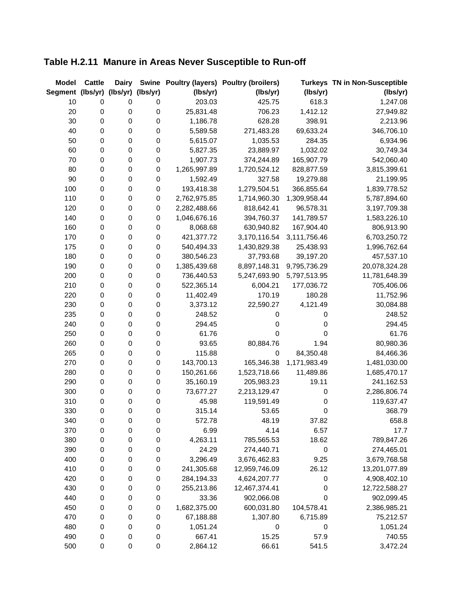# **Table H.2.11 Manure in Areas Never Susceptible to Run-off**

| <b>Model</b>     | <b>Cattle</b>    | <b>Dairy</b>      | <b>Swine</b>     |              | Poultry (layers) Poultry (broilers) |              | <b>Turkeys TN in Non-Susceptible</b> |
|------------------|------------------|-------------------|------------------|--------------|-------------------------------------|--------------|--------------------------------------|
| Segment (lbs/yr) |                  | (lbs/yr) (lbs/yr) |                  | (lbs/yr)     | (lbs/yr)                            | (lbs/yr)     | (lbs/yr)                             |
| 10               | $\pmb{0}$        | 0                 | 0                | 203.03       | 425.75                              | 618.3        | 1,247.08                             |
| 20               | 0                | 0                 | $\pmb{0}$        | 25,831.48    | 706.23                              | 1,412.12     | 27,949.82                            |
| 30               | $\mathbf 0$      | 0                 | $\pmb{0}$        | 1,186.78     | 628.28                              | 398.91       | 2,213.96                             |
| 40               | $\boldsymbol{0}$ | 0                 | $\pmb{0}$        | 5,589.58     | 271,483.28                          | 69,633.24    | 346,706.10                           |
| 50               | $\pmb{0}$        | 0                 | $\pmb{0}$        | 5,615.07     | 1,035.53                            | 284.35       | 6,934.96                             |
| 60               | $\boldsymbol{0}$ | $\pmb{0}$         | $\pmb{0}$        | 5,827.35     | 23,889.97                           | 1,032.02     | 30,749.34                            |
| 70               | $\boldsymbol{0}$ | $\pmb{0}$         | $\mathbf 0$      | 1,907.73     | 374,244.89                          | 165,907.79   | 542,060.40                           |
| 80               | $\pmb{0}$        | 0                 | $\mathbf 0$      | 1,265,997.89 | 1,720,524.12                        | 828,877.59   | 3,815,399.61                         |
| 90               | $\pmb{0}$        | 0                 | $\pmb{0}$        | 1,592.49     | 327.58                              | 19,279.88    | 21,199.95                            |
| 100              | $\pmb{0}$        | 0                 | $\pmb{0}$        | 193,418.38   | 1,279,504.51                        | 366,855.64   | 1,839,778.52                         |
| 110              | $\pmb{0}$        | $\pmb{0}$         | $\mathbf 0$      | 2,762,975.85 | 1,714,960.30                        | 1,309,958.44 | 5,787,894.60                         |
| 120              | $\pmb{0}$        | $\pmb{0}$         | $\mathbf 0$      | 2,282,488.66 | 818,642.41                          | 96,578.31    | 3,197,709.38                         |
| 140              | $\pmb{0}$        | $\pmb{0}$         | $\boldsymbol{0}$ | 1,046,676.16 | 394,760.37                          | 141,789.57   | 1,583,226.10                         |
| 160              | $\pmb{0}$        | $\pmb{0}$         | $\pmb{0}$        | 8,068.68     | 630,940.82                          | 167,904.40   | 806,913.90                           |
| 170              | $\pmb{0}$        | 0                 | $\pmb{0}$        | 421,377.72   | 3,170,116.54                        | 3,111,756.46 | 6,703,250.72                         |
| 175              | $\pmb{0}$        | $\pmb{0}$         | $\pmb{0}$        | 540,494.33   | 1,430,829.38                        | 25,438.93    | 1,996,762.64                         |
| 180              | $\pmb{0}$        | $\pmb{0}$         | $\pmb{0}$        | 380,546.23   | 37,793.68                           | 39,197.20    | 457,537.10                           |
| 190              | $\pmb{0}$        | $\pmb{0}$         | $\mathbf 0$      | 1,385,439.68 | 8,897,148.31                        | 9,795,736.29 | 20,078,324.28                        |
| 200              | $\pmb{0}$        | $\pmb{0}$         | $\mathbf 0$      | 736,440.53   | 5,247,693.90                        | 5,797,513.95 | 11,781,648.39                        |
| 210              | $\pmb{0}$        | 0                 | $\boldsymbol{0}$ | 522,365.14   | 6,004.21                            | 177,036.72   | 705,406.06                           |
| 220              | $\pmb{0}$        | 0                 | $\pmb{0}$        | 11,402.49    | 170.19                              | 180.28       | 11,752.96                            |
| 230              | $\pmb{0}$        | 0                 | $\pmb{0}$        | 3,373.12     | 22,590.27                           | 4,121.49     | 30,084.88                            |
| 235              | $\pmb{0}$        | 0                 | $\pmb{0}$        | 248.52       | 0                                   | 0            | 248.52                               |
| 240              | $\pmb{0}$        | $\pmb{0}$         | $\pmb{0}$        | 294.45       | 0                                   | 0            | 294.45                               |
| 250              | $\pmb{0}$        | $\pmb{0}$         | $\pmb{0}$        | 61.76        | $\mathbf 0$                         | $\mathbf 0$  | 61.76                                |
| 260              | $\mathbf 0$      | 0                 | $\mathbf 0$      | 93.65        | 80,884.76                           | 1.94         | 80,980.36                            |
| 265              | $\boldsymbol{0}$ | $\pmb{0}$         | $\mathbf 0$      | 115.88       | 0                                   | 84,350.48    | 84,466.36                            |
| 270              | $\mathbf 0$      | 0                 | $\mathbf 0$      | 143,700.13   | 165,346.38                          | 1,171,983.49 | 1,481,030.00                         |
| 280              | $\boldsymbol{0}$ | $\pmb{0}$         | $\pmb{0}$        | 150,261.66   | 1,523,718.66                        | 11,489.86    | 1,685,470.17                         |
| 290              | $\boldsymbol{0}$ | 0                 | $\pmb{0}$        | 35,160.19    | 205,983.23                          | 19.11        | 241,162.53                           |
| 300              | $\boldsymbol{0}$ | $\pmb{0}$         | $\pmb{0}$        | 73,677.27    | 2,213,129.47                        | $\pmb{0}$    | 2,286,806.74                         |
| 310              | $\pmb{0}$        | $\pmb{0}$         | $\mathbf 0$      | 45.98        | 119,591.49                          | $\pmb{0}$    | 119,637.47                           |
| 330              | $\pmb{0}$        | 0                 | $\mathbf 0$      | 315.14       | 53.65                               | 0            | 368.79                               |
| 340              | $\boldsymbol{0}$ | 0                 | $\mathbf 0$      | 572.78       | 48.19                               | 37.82        | 658.8                                |
| 370              | $\pmb{0}$        | 0                 | $\boldsymbol{0}$ | 6.99         | 4.14                                | 6.57         | 17.7                                 |
| 380              | 0                | 0                 | $\pmb{0}$        | 4,263.11     | 785,565.53                          | 18.62        | 789,847.26                           |
| 390              | $\pmb{0}$        | 0                 | $\pmb{0}$        | 24.29        | 274,440.71                          | $\pmb{0}$    | 274,465.01                           |
| 400              | $\pmb{0}$        | 0                 | $\pmb{0}$        | 3,296.49     | 3,676,462.83                        | 9.25         | 3,679,768.58                         |
| 410              | $\pmb{0}$        | 0                 | $\pmb{0}$        | 241,305.68   | 12,959,746.09                       | 26.12        | 13,201,077.89                        |
| 420              | $\mathbf 0$      | 0                 | $\pmb{0}$        | 284,194.33   | 4,624,207.77                        | $\pmb{0}$    | 4,908,402.10                         |
| 430              | $\mathbf 0$      | 0                 | $\pmb{0}$        | 255,213.86   | 12,467,374.41                       | 0            | 12,722,588.27                        |
| 440              | 0                | 0                 | $\pmb{0}$        | 33.36        | 902,066.08                          | 0            | 902,099.45                           |
| 450              | $\pmb{0}$        | 0                 | $\pmb{0}$        | 1,682,375.00 | 600,031.80                          | 104,578.41   | 2,386,985.21                         |
| 470              | $\pmb{0}$        | 0                 | $\pmb{0}$        | 67,188.88    | 1,307.80                            | 6,715.89     | 75,212.57                            |
| 480              | $\pmb{0}$        | 0                 | $\pmb{0}$        | 1,051.24     | $\pmb{0}$                           | $\pmb{0}$    | 1,051.24                             |
| 490              | $\pmb{0}$        | 0                 | $\pmb{0}$        | 667.41       | 15.25                               | 57.9         | 740.55                               |
| 500              | $\pmb{0}$        | 0                 | $\pmb{0}$        | 2,864.12     | 66.61                               | 541.5        | 3,472.24                             |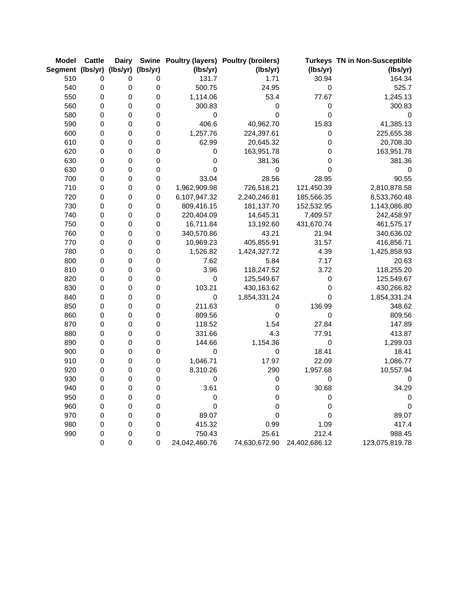| <b>Model</b>                       | <b>Cattle</b>    | <b>Dairy</b> |             |               | Swine Poultry (layers) Poultry (broilers) |               | <b>Turkeys TN in Non-Susceptible</b> |
|------------------------------------|------------------|--------------|-------------|---------------|-------------------------------------------|---------------|--------------------------------------|
| Segment (lbs/yr) (lbs/yr) (lbs/yr) |                  |              |             | (lbs/yr)      | (lbs/yr)                                  | (lbs/yr)      | (lbs/yr)                             |
| 510                                | 0                | 0            | 0           | 131.7         | 1.71                                      | 30.94         | 164.34                               |
| 540                                | $\boldsymbol{0}$ | $\pmb{0}$    | $\pmb{0}$   | 500.75        | 24.95                                     | $\pmb{0}$     | 525.7                                |
| 550                                | $\pmb{0}$        | $\mathbf 0$  | $\mathbf 0$ | 1,114.06      | 53.4                                      | 77.67         | 1,245.13                             |
| 560                                | $\pmb{0}$        | $\pmb{0}$    | $\mathsf 0$ | 300.83        | 0                                         | 0             | 300.83                               |
| 580                                | $\boldsymbol{0}$ | 0            | $\pmb{0}$   | 0             | 0                                         | 0             | 0                                    |
| 590                                | $\boldsymbol{0}$ | $\pmb{0}$    | $\pmb{0}$   | 406.6         | 40,962.70                                 | 15.83         | 41,385.13                            |
| 600                                | $\pmb{0}$        | $\pmb{0}$    | $\mathsf 0$ | 1,257.76      | 224,397.61                                | $\pmb{0}$     | 225,655.38                           |
| 610                                | $\mathbf 0$      | $\mathbf 0$  | $\mathsf 0$ | 62.99         | 20,645.32                                 | $\mathbf 0$   | 20,708.30                            |
| 620                                | $\boldsymbol{0}$ | 0            | $\mathsf 0$ | $\mathsf 0$   | 163,951.78                                | 0             | 163,951.78                           |
| 630                                | $\boldsymbol{0}$ | 0            | $\mathsf 0$ | 0             | 381.36                                    | $\mathbf 0$   | 381.36                               |
| 630                                | $\pmb{0}$        | 0            | $\mathsf 0$ | $\mathbf 0$   | $\pmb{0}$                                 | 0             | 0                                    |
| 700                                | $\mathbf 0$      | $\pmb{0}$    | $\mathsf 0$ | 33.04         | 28.56                                     | 28.95         | 90.55                                |
| 710                                | 0                | 0            | $\mathsf 0$ | 1,962,909.98  | 726,518.21                                | 121,450.39    | 2,810,878.58                         |
| 720                                | $\mathbf 0$      | 0            | $\pmb{0}$   | 6,107,947.32  | 2,240,246.81                              | 185,566.35    | 8,533,760.48                         |
| 730                                | $\pmb{0}$        | 0            | $\pmb{0}$   | 809,416.15    | 181,137.70                                | 152,532.95    | 1,143,086.80                         |
| 740                                | $\mathbf 0$      | 0            | $\mathsf 0$ | 220,404.09    | 14,645.31                                 | 7,409.57      | 242,458.97                           |
| 750                                | 0                | 0            | $\pmb{0}$   | 16,711.84     | 13,192.60                                 | 431,670.74    | 461,575.17                           |
| 760                                | $\pmb{0}$        | 0            | $\pmb{0}$   | 340,570.86    | 43.21                                     | 21.94         | 340,636.02                           |
| 770                                | 0                | 0            | $\mathsf 0$ | 10,969.23     | 405,855.91                                | 31.57         | 416,856.71                           |
| 780                                | $\boldsymbol{0}$ | 0            | $\mathsf 0$ | 1,526.82      | 1,424,327.72                              | 4.39          | 1,425,858.93                         |
| 800                                | 0                | 0            | $\pmb{0}$   | 7.62          | 5.84                                      | 7.17          | 20.63                                |
| 810                                | $\pmb{0}$        | $\pmb{0}$    | $\mathsf 0$ | 3.96          | 118,247.52                                | 3.72          | 118,255.20                           |
| 820                                | $\mathbf 0$      | 0            | $\mathsf 0$ | $\mathbf 0$   | 125,549.67                                | $\mathbf 0$   | 125,549.67                           |
| 830                                | $\pmb{0}$        | 0            | $\mathsf 0$ | 103.21        | 430,163.62                                | $\mathbf 0$   | 430,266.82                           |
| 840                                | 0                | 0            | 0           | 0             | 1,854,331.24                              | 0             | 1,854,331.24                         |
| 850                                | $\mathbf 0$      | $\pmb{0}$    | $\mathsf 0$ | 211.63        | 0                                         | 136.99        | 348.62                               |
| 860                                | 0                | 0            | $\pmb{0}$   | 809.56        | 0                                         | $\pmb{0}$     | 809.56                               |
| 870                                | $\pmb{0}$        | 0            | $\mathsf 0$ | 118.52        | 1.54                                      | 27.84         | 147.89                               |
| 880                                | $\boldsymbol{0}$ | 0            | $\pmb{0}$   | 331.66        | 4.3                                       | 77.91         | 413.87                               |
| 890                                | $\pmb{0}$        | $\mathbf 0$  | $\mathsf 0$ | 144.66        | 1,154.36                                  | $\mathbf 0$   | 1,299.03                             |
| 900                                | $\boldsymbol{0}$ | 0            | $\mathsf 0$ | 0             | $\pmb{0}$                                 | 18.41         | 18.41                                |
| 910                                | $\mathbf 0$      | 0            | $\mathsf 0$ | 1,046.71      | 17.97                                     | 22.09         | 1,086.77                             |
| 920                                | 0                | 0            | $\pmb{0}$   | 8,310.26      | 290                                       | 1,957.68      | 10,557.94                            |
| 930                                | $\pmb{0}$        | $\mathbf 0$  | $\mathsf 0$ | $\mathsf 0$   | $\pmb{0}$                                 | $\mathbf 0$   | 0                                    |
| 940                                | $\boldsymbol{0}$ | 0            | $\pmb{0}$   | 3.61          | 0                                         | 30.68         | 34.29                                |
| 950                                | $\pmb{0}$        | 0            | $\mathsf 0$ | 0             | 0                                         | $\pmb{0}$     | 0                                    |
| 960                                | 0                | 0            | $\pmb{0}$   | $\mathbf 0$   | 0                                         | 0             | 0                                    |
| 970                                | $\pmb{0}$        | $\mathbf 0$  | $\mathsf 0$ | 89.07         | $\mathbf 0$                               | $\mathbf 0$   | 89.07                                |
| 980                                | 0                | 0            | 0           | 415.32        | 0.99                                      | 1.09          | 417.4                                |
| 990                                | $\pmb{0}$        | 0            | 0           | 750.43        | 25.61                                     | 212.4         | 988.45                               |
|                                    | $\mathbf 0$      | $\mathbf 0$  | 0           | 24,042,460.76 | 74,630,672.90                             | 24,402,686.12 | 123,075,819.78                       |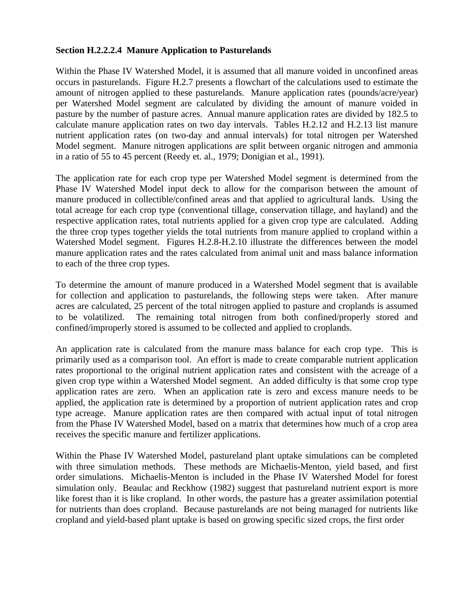#### **Section H.2.2.2.4 Manure Application to Pasturelands**

Within the Phase IV Watershed Model, it is assumed that all manure voided in unconfined areas occurs in pasturelands. Figure H.2.7 presents a flowchart of the calculations used to estimate the amount of nitrogen applied to these pasturelands. Manure application rates (pounds/acre/year) per Watershed Model segment are calculated by dividing the amount of manure voided in pasture by the number of pasture acres. Annual manure application rates are divided by 182.5 to calculate manure application rates on two day intervals. Tables H.2.12 and H.2.13 list manure nutrient application rates (on two-day and annual intervals) for total nitrogen per Watershed Model segment. Manure nitrogen applications are split between organic nitrogen and ammonia in a ratio of 55 to 45 percent (Reedy et. al., 1979; Donigian et al., 1991).

The application rate for each crop type per Watershed Model segment is determined from the Phase IV Watershed Model input deck to allow for the comparison between the amount of manure produced in collectible/confined areas and that applied to agricultural lands. Using the total acreage for each crop type (conventional tillage, conservation tillage, and hayland) and the respective application rates, total nutrients applied for a given crop type are calculated. Adding the three crop types together yields the total nutrients from manure applied to cropland within a Watershed Model segment. Figures H.2.8-H.2.10 illustrate the differences between the model manure application rates and the rates calculated from animal unit and mass balance information to each of the three crop types.

To determine the amount of manure produced in a Watershed Model segment that is available for collection and application to pasturelands, the following steps were taken. After manure acres are calculated, 25 percent of the total nitrogen applied to pasture and croplands is assumed to be volatilized. The remaining total nitrogen from both confined/properly stored and confined/improperly stored is assumed to be collected and applied to croplands.

An application rate is calculated from the manure mass balance for each crop type. This is primarily used as a comparison tool. An effort is made to create comparable nutrient application rates proportional to the original nutrient application rates and consistent with the acreage of a given crop type within a Watershed Model segment. An added difficulty is that some crop type application rates are zero. When an application rate is zero and excess manure needs to be applied, the application rate is determined by a proportion of nutrient application rates and crop type acreage. Manure application rates are then compared with actual input of total nitrogen from the Phase IV Watershed Model, based on a matrix that determines how much of a crop area receives the specific manure and fertilizer applications.

Within the Phase IV Watershed Model, pastureland plant uptake simulations can be completed with three simulation methods. These methods are Michaelis-Menton, yield based, and first order simulations. Michaelis-Menton is included in the Phase IV Watershed Model for forest simulation only. Beaulac and Reckhow (1982) suggest that pastureland nutrient export is more like forest than it is like cropland. In other words, the pasture has a greater assimilation potential for nutrients than does cropland. Because pasturelands are not being managed for nutrients like cropland and yield-based plant uptake is based on growing specific sized crops, the first order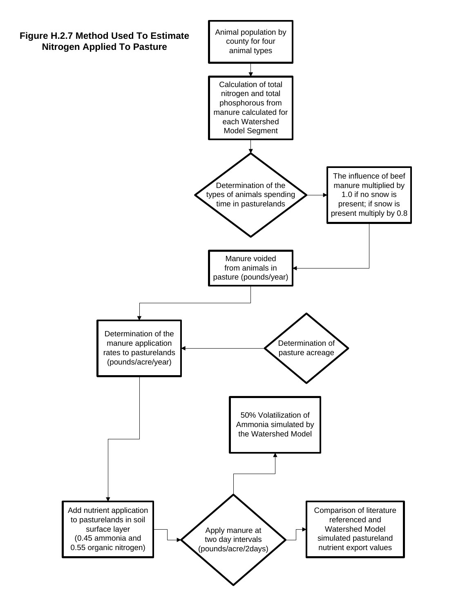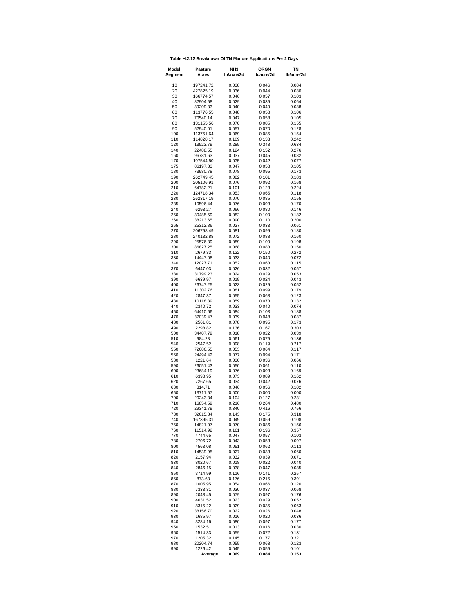| Table H.2.12 Breakdown Of TN Manure Applications Per 2 Days |  |
|-------------------------------------------------------------|--|
|                                                             |  |

| Model<br>Segment | Pasture<br>Acres       | NH3<br>Ib/acre/2d | <b>ORGN</b><br>lb/acre/2d | ΤN<br>lb/acre/2d |  |
|------------------|------------------------|-------------------|---------------------------|------------------|--|
| 10               | 197241.72              | 0.038             | 0.046                     | 0.084            |  |
| 20               | 427825.19              | 0.036             | 0.044                     | 0.080            |  |
| 30<br>40         | 166774.57<br>82904.58  | 0.046<br>0.029    | 0.057<br>0.035            | 0.103<br>0.064   |  |
| 50               | 39209.33               | 0.040             | 0.049                     | 0.088            |  |
| 60               | 113776.55              | 0.048             | 0.058                     | 0.106            |  |
| 70<br>80         | 70540.14<br>131155.56  | 0.047<br>0.070    | 0.058<br>0.085            | 0.105<br>0.155   |  |
| 90               | 52940.01               | 0.057             | 0.070                     | 0.128            |  |
| 100              | 113751.64              | 0.069             | 0.085                     | 0.154            |  |
| 110<br>120       | 114828.17<br>13523.79  | 0.109             | 0.133                     | 0.242            |  |
| 140              | 22488.55               | 0.285<br>0.124    | 0.348<br>0.152            | 0.634<br>0.276   |  |
| 160              | 96781.63               | 0.037             | 0.045                     | 0.082            |  |
| 170<br>175       | 197544.80<br>86197.83  | 0.035<br>0.047    | 0.042<br>0.058            | 0.077<br>0.105   |  |
| 180              | 73980.78               | 0.078             | 0.095                     | 0.173            |  |
| 190              | 262749.45              | 0.082             | 0.101                     | 0.183            |  |
| 200<br>210       | 205106.91<br>64782.21  | 0.076<br>0.101    | 0.092<br>0.123            | 0.168<br>0.224   |  |
| 220              | 124718.34              | 0.053             | 0.065                     | 0.118            |  |
| 230              | 262317.19              | 0.070             | 0.085                     | 0.155            |  |
| 235<br>240       | 10596.44<br>6293.27    | 0.076<br>0.066    | 0.093<br>0.080            | 0.170<br>0.146   |  |
| 250              | 30485.59               | 0.082             | 0.100                     | 0.182            |  |
| 260              | 38213.65               | 0.090             | 0.110                     | 0.200            |  |
| 265<br>270       | 25312.86               | 0.027             | 0.033<br>0.099            | 0.061<br>0.180   |  |
| 280              | 206758.49<br>240132.88 | 0.081<br>0.072    | 0.088                     | 0.160            |  |
| 290              | 25576.39               | 0.089             | 0.109                     | 0.198            |  |
| 300              | 86827.25               | 0.068             | 0.083                     | 0.150            |  |
| 310<br>330       | 2679.33<br>14447.08    | 0.122<br>0.033    | 0.150<br>0.040            | 0.272<br>0.072   |  |
| 340              | 12027.71               | 0.052             | 0.063                     | 0.115            |  |
| 370              | 6447.03                | 0.026             | 0.032                     | 0.057            |  |
| 380<br>390       | 31799.23<br>6639.97    | 0.024<br>0.019    | 0.029<br>0.024            | 0.053<br>0.043   |  |
| 400              | 26747.25               | 0.023             | 0.029                     | 0.052            |  |
| 410              | 11302.76               | 0.081             | 0.099                     | 0.179            |  |
| 420<br>430       | 2847.37<br>10118.39    | 0.055<br>0.059    | 0.068<br>0.073            | 0.123<br>0.132   |  |
| 440              | 2340.72                | 0.033             | 0.040                     | 0.074            |  |
| 450<br>470       | 64410.66               | 0.084             | 0.103                     | 0.188            |  |
| 480              | 37039.47<br>2561.81    | 0.039<br>0.078    | 0.048<br>0.095            | 0.087<br>0.173   |  |
| 490              | 2298.82                | 0.136             | 0.167                     | 0.303            |  |
| 500<br>510       | 34407.79<br>984.28     | 0.018             | 0.022                     | 0.039            |  |
| 540              | 2547.52                | 0.061<br>0.098    | 0.075<br>0.119            | 0.136<br>0.217   |  |
| 550              | 72686.55               | 0.053             | 0.064                     | 0.117            |  |
| 560<br>580       | 24494.42<br>1221.64    | 0.077<br>0.030    | 0.094<br>0.036            | 0.171<br>0.066   |  |
| 590              | 26051.43               | 0.050             | 0.061                     | 0.110            |  |
| 600              | 23684.19               | 0.076             | 0.093                     | 0.169            |  |
| 610<br>620       | 6398.95<br>7267.65     | 0.073<br>0.034    | 0.089<br>0.042            | 0.162<br>0.076   |  |
| 630              | 314.71                 | 0.046             | 0.056                     | 0.102            |  |
| 650              | 13711.57               | 0.000             | 0.000                     | 0.000            |  |
| 700<br>710       | 20243.34<br>16854.59   | 0.104<br>0.216    | 0.127<br>0.264            | 0.231<br>0.480   |  |
| 720              | 29341.79               | 0.340             | 0.416                     | 0.756            |  |
| 730              | 32615.84               | 0.143             | 0.175                     | 0.318            |  |
| 740<br>750       | 167395.31<br>14821.07  | 0.049<br>0.070    | 0.059<br>0.086            | 0.108<br>0.156   |  |
| 760              | 11514.92               | 0.161             | 0.196                     | 0.357            |  |
| 770              | 4744.65                | 0.047             | 0.057                     | 0.103            |  |
| 780<br>800       | 2706.72<br>4563.08     | 0.043<br>0.051    | 0.053<br>0.062            | 0.097<br>0.113   |  |
| 810              | 14539.95               | 0.027             | 0.033                     | 0.060            |  |
| 820              | 2157.94                | 0.032             | 0.039                     | 0.071            |  |
| 830<br>840       | 8020.67<br>2846.15     | 0.018<br>0.038    | 0.022<br>0.047            | 0.040<br>0.085   |  |
| 850              | 3714.99                | 0.116             | 0.141                     | 0.257            |  |
| 860              | 873.63<br>1005.95      | 0.176             | 0.215                     | 0.391            |  |
| 870<br>880       | 7333.31                | 0.054<br>0.030    | 0.066<br>0.037            | 0.120<br>0.068   |  |
| 890              | 2048.45                | 0.079             | 0.097                     | 0.176            |  |
| 900              | 4631.52                | 0.023             | 0.029                     | 0.052            |  |
| 910<br>920       | 8315.22<br>38156.70    | 0.029<br>0.022    | 0.035<br>0.026            | 0.063<br>0.048   |  |
| 930              | 1685.97                | 0.016             | 0.020                     | 0.036            |  |
| 940              | 3284.16                | 0.080             | 0.097                     | 0.177            |  |
| 950<br>960       | 1532.51<br>1514.33     | 0.013<br>0.059    | 0.016<br>0.072            | 0.030<br>0.131   |  |
| 970              | 1205.32                | 0.145             | 0.177                     | 0.321            |  |
| 980              | 20204.74               | 0.055             | 0.068                     | 0.123            |  |
| 990              | 1226.42<br>Average     | 0.045<br>0.069    | 0.055<br>0.084            | 0.101<br>0.153   |  |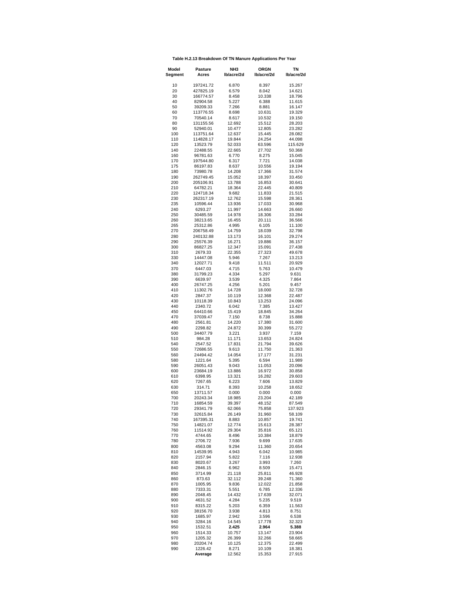| Table H.2.13 Breakdown Of TN Manure Applications Per Year |  |  |  |
|-----------------------------------------------------------|--|--|--|
|-----------------------------------------------------------|--|--|--|

| Model<br>Segment | <b>Pasture</b><br>Acres | NH3<br>lb/acre/2d | <b>ORGN</b><br>lb/acre/2d | <b>TN</b><br>Ib/acre/2d |  |
|------------------|-------------------------|-------------------|---------------------------|-------------------------|--|
| 10               | 197241.72               | 6.870             | 8.397                     | 15.267                  |  |
| 20               | 427825.19               | 6.579             | 8.042                     | 14.621                  |  |
| 30               | 166774.57               | 8.458             | 10.338                    | 18.796                  |  |
| 40<br>50         | 82904.58<br>39209.33    | 5.227<br>7.266    | 6.388<br>8.881            | 11.615<br>16.147        |  |
| 60               | 113776.55               | 8.698             | 10.631                    | 19.329                  |  |
| 70               | 70540.14                | 8.617             | 10.532                    | 19.150                  |  |
| 80               | 131155.56               | 12.692            | 15.512                    | 28.203                  |  |
| 90               | 52940.01                | 10.477            | 12.805                    | 23.282                  |  |
| 100              | 113751.64               | 12.637            | 15.445                    | 28.082                  |  |
| 110<br>120       | 114828.17<br>13523.79   | 19.844<br>52.033  | 24.254<br>63.596          | 44.098<br>115.629       |  |
| 140              | 22488.55                | 22.665            | 27.702                    | 50.368                  |  |
| 160              | 96781.63                | 6.770             | 8.275                     | 15.045                  |  |
| 170              | 197544.80               | 6.317             | 7.721                     | 14.038                  |  |
| 175              | 86197.83                | 8.637             | 10.556                    | 19.194                  |  |
| 180<br>190       | 73980.78<br>262749.45   | 14.208<br>15.052  | 17.366<br>18.397          | 31.574<br>33.450        |  |
| 200              | 205106.91               | 13.788            | 16.853                    | 30.641                  |  |
| 210              | 64782.21                | 18.364            | 22.445                    | 40.809                  |  |
| 220              | 124718.34               | 9.682             | 11.833                    | 21.515                  |  |
| 230<br>235       | 262317.19               | 12.762            | 15.598<br>17.033          | 28.361                  |  |
| 240              | 10596.44<br>6293.27     | 13.936<br>11.997  | 14.663                    | 30.968<br>26.660        |  |
| 250              | 30485.59                | 14.978            | 18.306                    | 33.284                  |  |
| 260              | 38213.65                | 16.455            | 20.111                    | 36.566                  |  |
| 265              | 25312.86                | 4.995             | 6.105                     | 11.100                  |  |
| 270              | 206758.49               | 14.759            | 18.039                    | 32.798                  |  |
| 280<br>290       | 240132.88<br>25576.39   | 13.173<br>16.271  | 16.101<br>19.886          | 29.274<br>36.157        |  |
| 300              | 86827.25                | 12.347            | 15.091                    | 27.438                  |  |
| 310              | 2679.33                 | 22.355            | 27.323                    | 49.678                  |  |
| 330              | 14447.08                | 5.946             | 7.267                     | 13.213                  |  |
| 340              | 12027.71                | 9.418             | 11.511                    | 20.929                  |  |
| 370<br>380       | 6447.03<br>31799.23     | 4.715<br>4.334    | 5.763<br>5.297            | 10.479<br>9.631         |  |
| 390              | 6639.97                 | 3.539             | 4.325                     | 7.864                   |  |
| 400              | 26747.25                | 4.256             | 5.201                     | 9.457                   |  |
| 410              | 11302.76                | 14.728            | 18.000                    | 32.728                  |  |
| 420              | 2847.37                 | 10.119            | 12.368                    | 22.487                  |  |
| 430<br>440       | 10118.39<br>2340.72     | 10.843<br>6.042   | 13.253<br>7.385           | 24.096<br>13.427        |  |
| 450              | 64410.66                | 15.419            | 18.845                    | 34.264                  |  |
| 470              | 37039.47                | 7.150             | 8.738                     | 15.888                  |  |
| 480              | 2561.81                 | 14.220            | 17.380                    | 31.600                  |  |
| 490              | 2298.82                 | 24.872            | 30.399                    | 55.272                  |  |
| 500<br>510       | 34407.79<br>984.28      | 3.221<br>11.171   | 3.937<br>13.653           | 7.159<br>24.824         |  |
| 540              | 2547.52                 | 17.831            | 21.794                    | 39.626                  |  |
| 550              | 72686.55                | 9.613             | 11.750                    | 21.363                  |  |
| 560              | 24494.42                | 14.054            | 17.177                    | 31.231                  |  |
| 580              | 1221.64                 | 5.395             | 6.594                     | 11.989                  |  |
| 590<br>600       | 26051.43<br>23684.19    | 9.043<br>13.886   | 11.053<br>16.972          | 20.096<br>30.858        |  |
| 610              | 6398.95                 | 13.321            | 16.282                    | 29.603                  |  |
| 620              | 7267.65                 | 6.223             | 7.606                     | 13.829                  |  |
| 630              | 314.71                  | 8.393             | 10.258                    | 18.652                  |  |
| 650              | 13711.57                | 0.000             | 0.000                     | 0.000                   |  |
| 700<br>710       | 20243.34<br>16854.59    | 18.985<br>39.397  | 23.204<br>48.152          | 42.189<br>87.549        |  |
| 720              | 29341.79                | 62.066            | 75.858                    | 137.923                 |  |
| 730              | 32615.84                | 26.149            | 31.960                    | 58.109                  |  |
| 740              | 167395.31               | 8.883             | 10.857                    | 19.741                  |  |
| 750              | 14821.07                | 12.774            | 15.613                    | 28.387                  |  |
| 760<br>770       | 11514.92<br>4744.65     | 29.304<br>8.496   | 35.816<br>10.384          | 65.121<br>18.879        |  |
| 780              | 2706.72                 | 7.936             | 9.699                     | 17.635                  |  |
| 800              | 4563.08                 | 9.294             | 11.360                    | 20.654                  |  |
| 810              | 14539.95                | 4.943             | 6.042                     | 10.985                  |  |
| 820<br>830       | 2157.94                 | 5.822             | 7.116                     | 12.938                  |  |
| 840              | 8020.67<br>2846.15      | 3.267<br>6.962    | 3.993<br>8.509            | 7.260<br>15.471         |  |
| 850              | 3714.99                 | 21.118            | 25.811                    | 46.928                  |  |
| 860              | 873.63                  | 32.112            | 39.248                    | 71.360                  |  |
| 870              | 1005.95                 | 9.836             | 12.022                    | 21.858                  |  |
| 880              | 7333.31                 | 5.551             | 6.785                     | 12.336                  |  |
| 890<br>900       | 2048.45<br>4631.52      | 14.432<br>4.284   | 17.639<br>5.235           | 32.071<br>9.519         |  |
| 910              | 8315.22                 | 5.203             | 6.359                     | 11.563                  |  |
| 920              | 38156.70                | 3.938             | 4.813                     | 8.751                   |  |
| 930              | 1685.97                 | 2.942             | 3.596                     | 6.538                   |  |
| 940              | 3284.16                 | 14.545            | 17.778                    | 32.323                  |  |
| 950<br>960       | 1532.51<br>1514.33      | 2.425<br>10.757   | 2.964<br>13.147           | 5.388<br>23.904         |  |
| 970              | 1205.32                 | 26.399            | 32.266                    | 58.665                  |  |
| 980              | 20204.74                | 10.125            | 12.375                    | 22.499                  |  |
| 990              | 1226.42                 | 8.271             | 10.109                    | 18.381                  |  |
|                  | Average                 | 12.562            | 15.353                    | 27.915                  |  |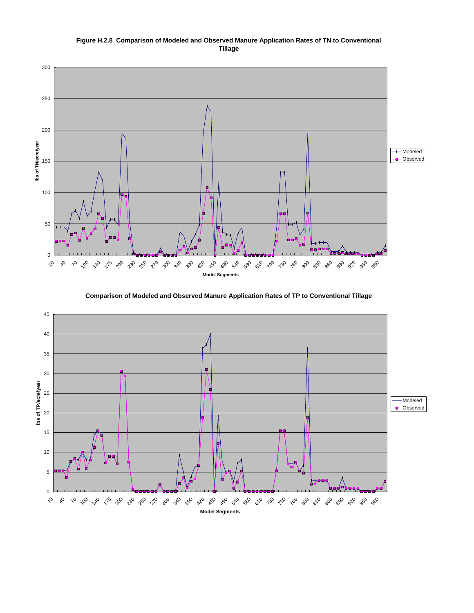



 3.5 3.5 370 1 1 **Comparison of Modeled and Observed Manure Application Rates of TP to Conventional Tillage** 

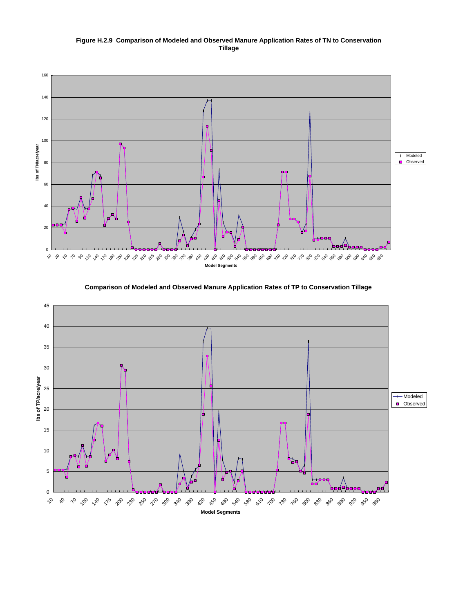#### **Figure H.2.9 Comparison of Modeled and Observed Manure Application Rates of TN to Conservation Tillage**





**Comparison of Modeled and Observed Manure Application Rates of TP to Conservation Tillage**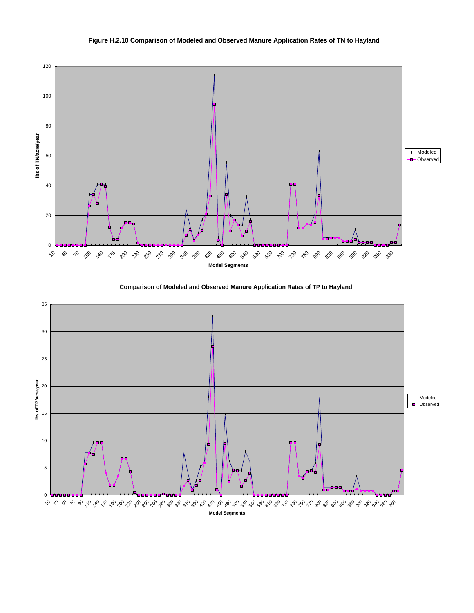

#### **Figure H.2.10 Comparison of Modeled and Observed Manure Application Rates of TN to Hayland**



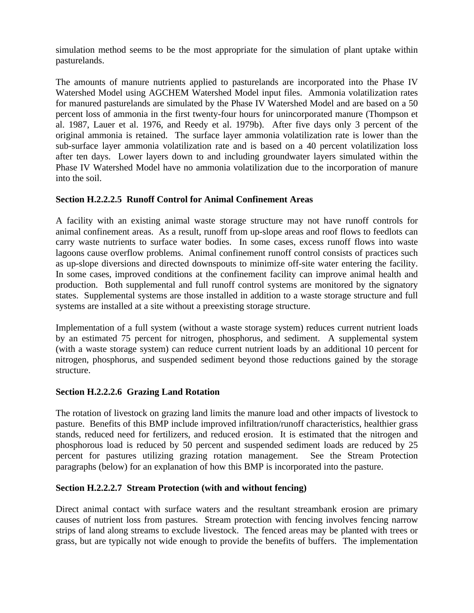simulation method seems to be the most appropriate for the simulation of plant uptake within pasturelands.

The amounts of manure nutrients applied to pasturelands are incorporated into the Phase IV Watershed Model using AGCHEM Watershed Model input files. Ammonia volatilization rates for manured pasturelands are simulated by the Phase IV Watershed Model and are based on a 50 percent loss of ammonia in the first twenty-four hours for unincorporated manure (Thompson et al. 1987, Lauer et al. 1976, and Reedy et al. 1979b). After five days only 3 percent of the original ammonia is retained. The surface layer ammonia volatilization rate is lower than the sub-surface layer ammonia volatilization rate and is based on a 40 percent volatilization loss after ten days. Lower layers down to and including groundwater layers simulated within the Phase IV Watershed Model have no ammonia volatilization due to the incorporation of manure into the soil.

# **Section H.2.2.2.5 Runoff Control for Animal Confinement Areas**

A facility with an existing animal waste storage structure may not have runoff controls for animal confinement areas. As a result, runoff from up-slope areas and roof flows to feedlots can carry waste nutrients to surface water bodies. In some cases, excess runoff flows into waste lagoons cause overflow problems. Animal confinement runoff control consists of practices such as up-slope diversions and directed downspouts to minimize off-site water entering the facility. In some cases, improved conditions at the confinement facility can improve animal health and production. Both supplemental and full runoff control systems are monitored by the signatory states. Supplemental systems are those installed in addition to a waste storage structure and full systems are installed at a site without a preexisting storage structure.

Implementation of a full system (without a waste storage system) reduces current nutrient loads by an estimated 75 percent for nitrogen, phosphorus, and sediment. A supplemental system (with a waste storage system) can reduce current nutrient loads by an additional 10 percent for nitrogen, phosphorus, and suspended sediment beyond those reductions gained by the storage structure.

## **Section H.2.2.2.6 Grazing Land Rotation**

The rotation of livestock on grazing land limits the manure load and other impacts of livestock to pasture. Benefits of this BMP include improved infiltration/runoff characteristics, healthier grass stands, reduced need for fertilizers, and reduced erosion. It is estimated that the nitrogen and phosphorous load is reduced by 50 percent and suspended sediment loads are reduced by 25 percent for pastures utilizing grazing rotation management. See the Stream Protection paragraphs (below) for an explanation of how this BMP is incorporated into the pasture.

#### **Section H.2.2.2.7 Stream Protection (with and without fencing)**

Direct animal contact with surface waters and the resultant streambank erosion are primary causes of nutrient loss from pastures. Stream protection with fencing involves fencing narrow strips of land along streams to exclude livestock. The fenced areas may be planted with trees or grass, but are typically not wide enough to provide the benefits of buffers. The implementation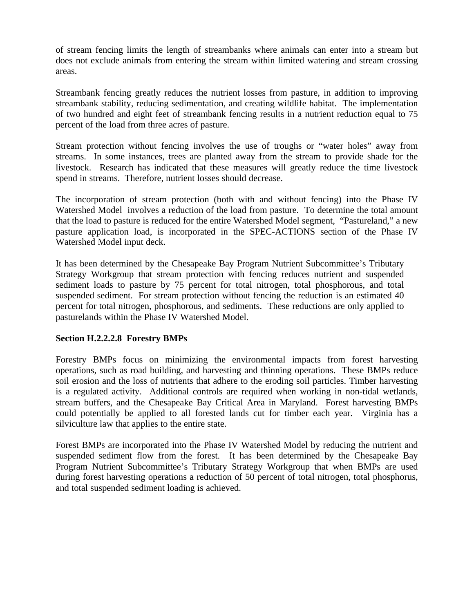of stream fencing limits the length of streambanks where animals can enter into a stream but does not exclude animals from entering the stream within limited watering and stream crossing areas.

Streambank fencing greatly reduces the nutrient losses from pasture, in addition to improving streambank stability, reducing sedimentation, and creating wildlife habitat. The implementation of two hundred and eight feet of streambank fencing results in a nutrient reduction equal to 75 percent of the load from three acres of pasture.

Stream protection without fencing involves the use of troughs or "water holes" away from streams. In some instances, trees are planted away from the stream to provide shade for the livestock. Research has indicated that these measures will greatly reduce the time livestock spend in streams. Therefore, nutrient losses should decrease.

The incorporation of stream protection (both with and without fencing) into the Phase IV Watershed Model involves a reduction of the load from pasture. To determine the total amount that the load to pasture is reduced for the entire Watershed Model segment, "Pastureland," a new pasture application load, is incorporated in the SPEC-ACTIONS section of the Phase IV Watershed Model input deck.

It has been determined by the Chesapeake Bay Program Nutrient Subcommittee's Tributary Strategy Workgroup that stream protection with fencing reduces nutrient and suspended sediment loads to pasture by 75 percent for total nitrogen, total phosphorous, and total suspended sediment. For stream protection without fencing the reduction is an estimated 40 percent for total nitrogen, phosphorous, and sediments. These reductions are only applied to pasturelands within the Phase IV Watershed Model.

# **Section H.2.2.2.8 Forestry BMPs**

Forestry BMPs focus on minimizing the environmental impacts from forest harvesting operations, such as road building, and harvesting and thinning operations. These BMPs reduce soil erosion and the loss of nutrients that adhere to the eroding soil particles. Timber harvesting is a regulated activity. Additional controls are required when working in non-tidal wetlands, stream buffers, and the Chesapeake Bay Critical Area in Maryland. Forest harvesting BMPs could potentially be applied to all forested lands cut for timber each year. Virginia has a silviculture law that applies to the entire state.

Forest BMPs are incorporated into the Phase IV Watershed Model by reducing the nutrient and suspended sediment flow from the forest. It has been determined by the Chesapeake Bay Program Nutrient Subcommittee's Tributary Strategy Workgroup that when BMPs are used during forest harvesting operations a reduction of 50 percent of total nitrogen, total phosphorus, and total suspended sediment loading is achieved.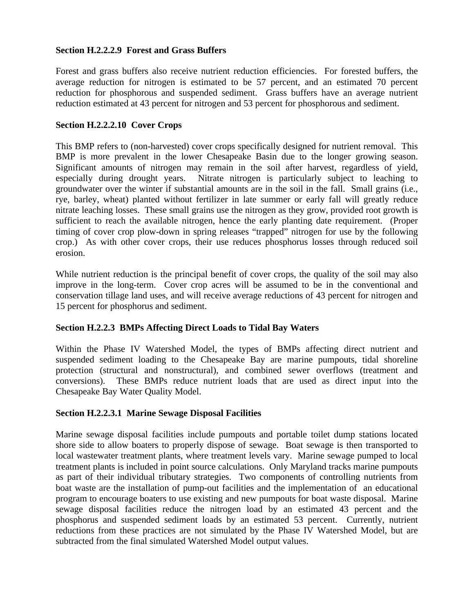#### **Section H.2.2.2.9 Forest and Grass Buffers**

Forest and grass buffers also receive nutrient reduction efficiencies. For forested buffers, the average reduction for nitrogen is estimated to be 57 percent, and an estimated 70 percent reduction for phosphorous and suspended sediment. Grass buffers have an average nutrient reduction estimated at 43 percent for nitrogen and 53 percent for phosphorous and sediment.

#### **Section H.2.2.2.10 Cover Crops**

This BMP refers to (non-harvested) cover crops specifically designed for nutrient removal. This BMP is more prevalent in the lower Chesapeake Basin due to the longer growing season. Significant amounts of nitrogen may remain in the soil after harvest, regardless of yield, especially during drought years. Nitrate nitrogen is particularly subject to leaching to groundwater over the winter if substantial amounts are in the soil in the fall. Small grains (i.e., rye, barley, wheat) planted without fertilizer in late summer or early fall will greatly reduce nitrate leaching losses. These small grains use the nitrogen as they grow, provided root growth is sufficient to reach the available nitrogen, hence the early planting date requirement. (Proper timing of cover crop plow-down in spring releases "trapped" nitrogen for use by the following crop.) As with other cover crops, their use reduces phosphorus losses through reduced soil erosion.

While nutrient reduction is the principal benefit of cover crops, the quality of the soil may also improve in the long-term. Cover crop acres will be assumed to be in the conventional and conservation tillage land uses, and will receive average reductions of 43 percent for nitrogen and 15 percent for phosphorus and sediment.

#### **Section H.2.2.3 BMPs Affecting Direct Loads to Tidal Bay Waters**

Within the Phase IV Watershed Model, the types of BMPs affecting direct nutrient and suspended sediment loading to the Chesapeake Bay are marine pumpouts, tidal shoreline protection (structural and nonstructural), and combined sewer overflows (treatment and conversions). These BMPs reduce nutrient loads that are used as direct input into the Chesapeake Bay Water Quality Model.

#### **Section H.2.2.3.1 Marine Sewage Disposal Facilities**

Marine sewage disposal facilities include pumpouts and portable toilet dump stations located shore side to allow boaters to properly dispose of sewage. Boat sewage is then transported to local wastewater treatment plants, where treatment levels vary. Marine sewage pumped to local treatment plants is included in point source calculations. Only Maryland tracks marine pumpouts as part of their individual tributary strategies. Two components of controlling nutrients from boat waste are the installation of pump-out facilities and the implementation of an educational program to encourage boaters to use existing and new pumpouts for boat waste disposal. Marine sewage disposal facilities reduce the nitrogen load by an estimated 43 percent and the phosphorus and suspended sediment loads by an estimated 53 percent. Currently, nutrient reductions from these practices are not simulated by the Phase IV Watershed Model, but are subtracted from the final simulated Watershed Model output values.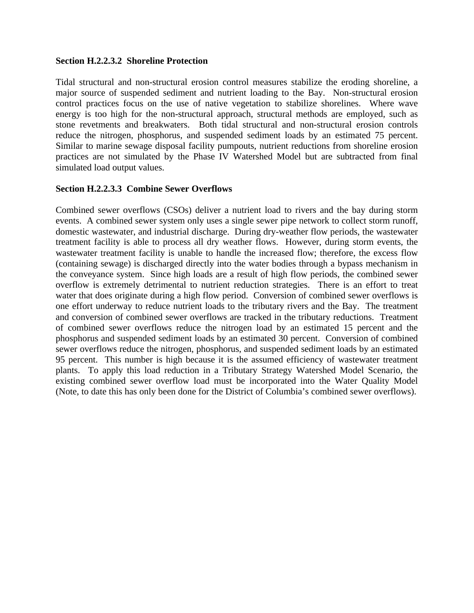#### **Section H.2.2.3.2 Shoreline Protection**

Tidal structural and non-structural erosion control measures stabilize the eroding shoreline, a major source of suspended sediment and nutrient loading to the Bay. Non-structural erosion control practices focus on the use of native vegetation to stabilize shorelines. Where wave energy is too high for the non-structural approach, structural methods are employed, such as stone revetments and breakwaters. Both tidal structural and non-structural erosion controls reduce the nitrogen, phosphorus, and suspended sediment loads by an estimated 75 percent. Similar to marine sewage disposal facility pumpouts, nutrient reductions from shoreline erosion practices are not simulated by the Phase IV Watershed Model but are subtracted from final simulated load output values.

#### **Section H.2.2.3.3 Combine Sewer Overflows**

Combined sewer overflows (CSOs) deliver a nutrient load to rivers and the bay during storm events. A combined sewer system only uses a single sewer pipe network to collect storm runoff, domestic wastewater, and industrial discharge. During dry-weather flow periods, the wastewater treatment facility is able to process all dry weather flows. However, during storm events, the wastewater treatment facility is unable to handle the increased flow; therefore, the excess flow (containing sewage) is discharged directly into the water bodies through a bypass mechanism in the conveyance system. Since high loads are a result of high flow periods, the combined sewer overflow is extremely detrimental to nutrient reduction strategies. There is an effort to treat water that does originate during a high flow period. Conversion of combined sewer overflows is one effort underway to reduce nutrient loads to the tributary rivers and the Bay. The treatment and conversion of combined sewer overflows are tracked in the tributary reductions. Treatment of combined sewer overflows reduce the nitrogen load by an estimated 15 percent and the phosphorus and suspended sediment loads by an estimated 30 percent. Conversion of combined sewer overflows reduce the nitrogen, phosphorus, and suspended sediment loads by an estimated 95 percent. This number is high because it is the assumed efficiency of wastewater treatment plants. To apply this load reduction in a Tributary Strategy Watershed Model Scenario, the existing combined sewer overflow load must be incorporated into the Water Quality Model (Note, to date this has only been done for the District of Columbia's combined sewer overflows).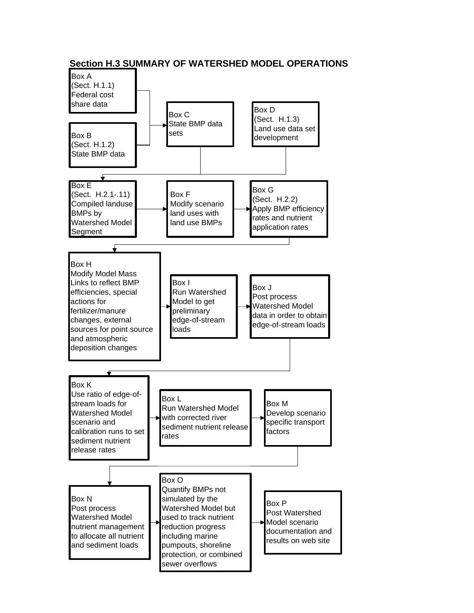

**Section H.3 SUMMARY OF WATERSHED MODEL OPERATIONS**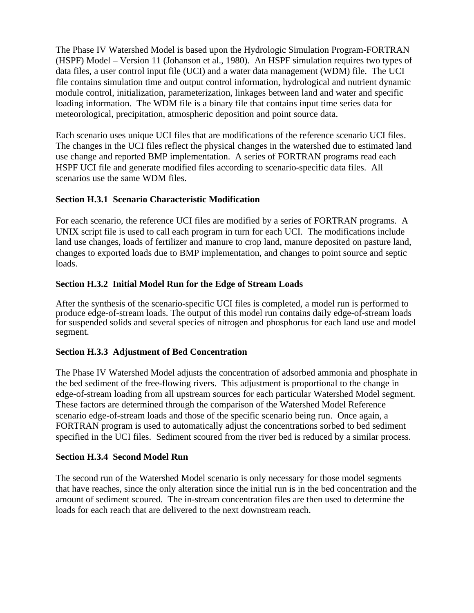The Phase IV Watershed Model is based upon the Hydrologic Simulation Program-FORTRAN (HSPF) Model – Version 11 (Johanson et al., 1980). An HSPF simulation requires two types of data files, a user control input file (UCI) and a water data management (WDM) file. The UCI file contains simulation time and output control information, hydrological and nutrient dynamic module control, initialization, parameterization, linkages between land and water and specific loading information. The WDM file is a binary file that contains input time series data for meteorological, precipitation, atmospheric deposition and point source data.

Each scenario uses unique UCI files that are modifications of the reference scenario UCI files. The changes in the UCI files reflect the physical changes in the watershed due to estimated land use change and reported BMP implementation. A series of FORTRAN programs read each HSPF UCI file and generate modified files according to scenario-specific data files. All scenarios use the same WDM files.

# **Section H.3.1 Scenario Characteristic Modification**

For each scenario, the reference UCI files are modified by a series of FORTRAN programs. A UNIX script file is used to call each program in turn for each UCI. The modifications include land use changes, loads of fertilizer and manure to crop land, manure deposited on pasture land, changes to exported loads due to BMP implementation, and changes to point source and septic loads.

# **Section H.3.2 Initial Model Run for the Edge of Stream Loads**

After the synthesis of the scenario-specific UCI files is completed, a model run is performed to produce edge-of-stream loads. The output of this model run contains daily edge-of-stream loads for suspended solids and several species of nitrogen and phosphorus for each land use and model segment.

# **Section H.3.3 Adjustment of Bed Concentration**

The Phase IV Watershed Model adjusts the concentration of adsorbed ammonia and phosphate in the bed sediment of the free-flowing rivers. This adjustment is proportional to the change in edge-of-stream loading from all upstream sources for each particular Watershed Model segment. These factors are determined through the comparison of the Watershed Model Reference scenario edge-of-stream loads and those of the specific scenario being run. Once again, a FORTRAN program is used to automatically adjust the concentrations sorbed to bed sediment specified in the UCI files. Sediment scoured from the river bed is reduced by a similar process.

# **Section H.3.4 Second Model Run**

The second run of the Watershed Model scenario is only necessary for those model segments that have reaches, since the only alteration since the initial run is in the bed concentration and the amount of sediment scoured. The in-stream concentration files are then used to determine the loads for each reach that are delivered to the next downstream reach.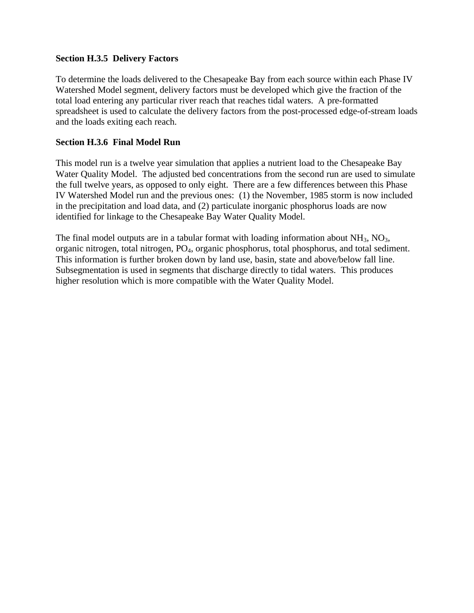## **Section H.3.5 Delivery Factors**

To determine the loads delivered to the Chesapeake Bay from each source within each Phase IV Watershed Model segment, delivery factors must be developed which give the fraction of the total load entering any particular river reach that reaches tidal waters. A pre-formatted spreadsheet is used to calculate the delivery factors from the post-processed edge-of-stream loads and the loads exiting each reach.

## **Section H.3.6 Final Model Run**

This model run is a twelve year simulation that applies a nutrient load to the Chesapeake Bay Water Quality Model. The adjusted bed concentrations from the second run are used to simulate the full twelve years, as opposed to only eight. There are a few differences between this Phase IV Watershed Model run and the previous ones: (1) the November, 1985 storm is now included in the precipitation and load data, and (2) particulate inorganic phosphorus loads are now identified for linkage to the Chesapeake Bay Water Quality Model.

The final model outputs are in a tabular format with loading information about  $NH_3$ ,  $NO_3$ , organic nitrogen, total nitrogen, PO4, organic phosphorus, total phosphorus, and total sediment. This information is further broken down by land use, basin, state and above/below fall line. Subsegmentation is used in segments that discharge directly to tidal waters. This produces higher resolution which is more compatible with the Water Quality Model.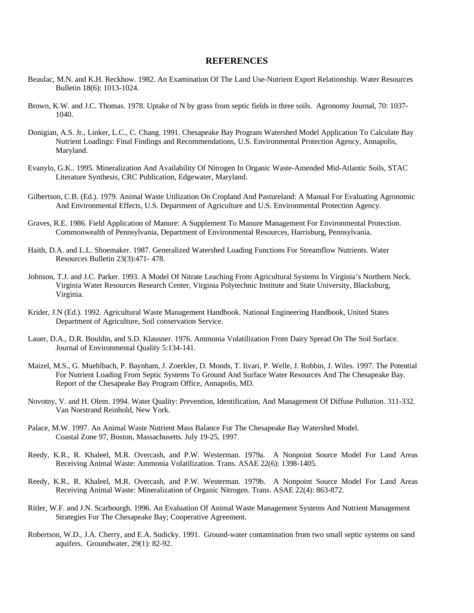#### **REFERENCES**

- Beaulac, M.N. and K.H. Reckhow. 1982. An Examination Of The Land Use-Nutrient Export Relationship. Water Resources Bulletin 18(6): 1013-1024.
- Brown, K.W. and J.C. Thomas. 1978. Uptake of N by grass from septic fields in three soils. Agronomy Journal, 70: 1037- 1040.
- Donigian, A.S. Jr., Linker, L.C., C. Chang. 1991. Chesapeake Bay Program Watershed Model Application To Calculate Bay Nutrient Loadings: Final Findings and Recommendations, U.S. Environmental Protection Agency, Annapolis, Maryland.
- Evanylo, G.K.. 1995. Mineralization And Availability Of Nitrogen In Organic Waste-Amended Mid-Atlantic Soils, STAC Literature Synthesis, CRC Publication, Edgewater, Maryland.
- Gilbertson, C.B. (Ed.). 1979. Animal Waste Utilization On Cropland And Pastureland: A Manual For Evaluating Agronomic And Environmental Effects, U.S. Department of Agriculture and U.S. Environmental Protection Agency.
- Graves, R.E. 1986. Field Application of Manure: A Supplement To Manure Management For Environmental Protection. Commonwealth of Pennsylvania, Department of Environmental Resources, Harrisburg, Pennsylvania.
- Haith, D.A. and L.L. Shoemaker. 1987. Generalized Watershed Loading Functions For Streamflow Nutrients. Water Resources Bulletin 23(3):471- 478.
- Johnson, T.J. and J.C. Parker. 1993. A Model Of Nitrate Leaching From Agricultural Systems In Virginia's Northern Neck. Virginia Water Resources Research Center, Virginia Polytechnic Institute and State University, Blacksburg, Virginia.
- Krider, J.N (Ed.). 1992. Agricultural Waste Management Handbook. National Engineering Handbook, United States Department of Agriculture, Soil conservation Service.
- Lauer, D.A., D.R. Bouldin, and S.D. Klausner. 1976. Ammonia Volatilization From Dairy Spread On The Soil Surface. Journal of Environmental Quality 5:134-141.
- Maizel, M.S., G. Muehlbach, P. Baynham, J. Zoerkler, D. Monds, T. Iivari, P. Welle, J. Robbin, J. Wiles. 1997. The Potential For Nutrient Loading From Septic Systems To Ground And Surface Water Resources And The Chesapeake Bay. Report of the Chesapeake Bay Program Office, Annapolis, MD.
- Novotny, V. and H. Olem. 1994. Water Quality: Prevention, Identification, And Management Of Diffuse Pollution. 311-332. Van Norstrand Reinhold, New York.
- Palace, M.W. 1997. An Animal Waste Nutrient Mass Balance For The Chesapeake Bay Watershed Model. Coastal Zone 97, Boston, Massachusetts. July 19-25, 1997.
- Reedy, K.R., R. Khaleel, M.R. Overcash, and P.W. Westerman. 1979a. A Nonpoint Source Model For Land Areas Receiving Animal Waste: Ammonia Volatilization. Trans. ASAE 22(6): 1398-1405.
- Reedy, K.R., R. Khaleel, M.R. Overcash, and P.W. Westerman. 1979b. A Nonpoint Source Model For Land Areas Receiving Animal Waste: Mineralization of Organic Nitrogen. Trans. ASAE 22(4): 863-872.
- Ritler, W.F. and J.N. Scarbourgh. 1996. An Evaluation Of Animal Waste Management Systems And Nutrient Management Strategies For The Chesapeake Bay; Cooperative Agreement.
- Robertson, W.D., J.A. Cherry, and E.A. Sudicky. 1991. Ground-water contamination from two small septic systems on sand aquifers. Groundwater, 29(1): 82-92.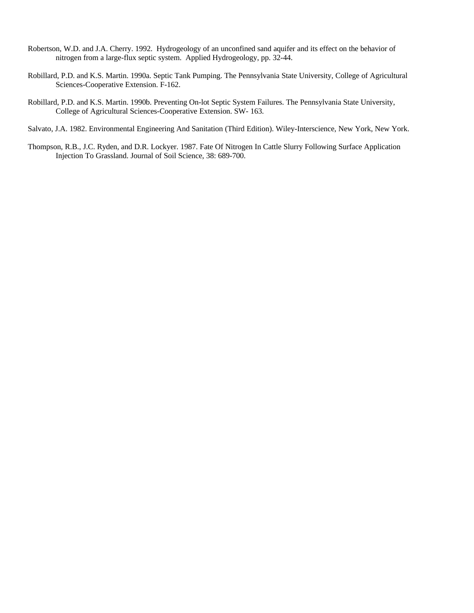- Robertson, W.D. and J.A. Cherry. 1992. Hydrogeology of an unconfined sand aquifer and its effect on the behavior of nitrogen from a large-flux septic system. Applied Hydrogeology, pp. 32-44.
- Robillard, P.D. and K.S. Martin. 1990a. Septic Tank Pumping. The Pennsylvania State University, College of Agricultural Sciences-Cooperative Extension. F-162.
- Robillard, P.D. and K.S. Martin. 1990b. Preventing On-lot Septic System Failures. The Pennsylvania State University, College of Agricultural Sciences-Cooperative Extension. SW- 163.
- Salvato, J.A. 1982. Environmental Engineering And Sanitation (Third Edition). Wiley-Interscience, New York, New York.
- Thompson, R.B., J.C. Ryden, and D.R. Lockyer. 1987. Fate Of Nitrogen In Cattle Slurry Following Surface Application Injection To Grassland. Journal of Soil Science, 38: 689-700.